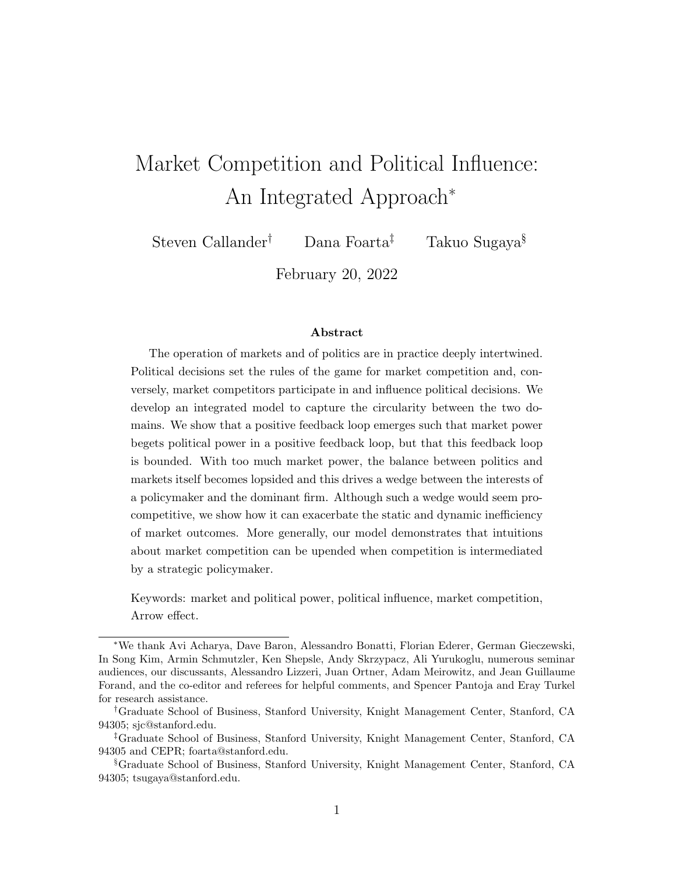# Market Competition and Political Influence: An Integrated Approach<sup>∗</sup>

Steven Callander† Dana Foarta‡ Takuo Sugaya§

February 20, 2022

#### Abstract

The operation of markets and of politics are in practice deeply intertwined. Political decisions set the rules of the game for market competition and, conversely, market competitors participate in and influence political decisions. We develop an integrated model to capture the circularity between the two domains. We show that a positive feedback loop emerges such that market power begets political power in a positive feedback loop, but that this feedback loop is bounded. With too much market power, the balance between politics and markets itself becomes lopsided and this drives a wedge between the interests of a policymaker and the dominant firm. Although such a wedge would seem procompetitive, we show how it can exacerbate the static and dynamic inefficiency of market outcomes. More generally, our model demonstrates that intuitions about market competition can be upended when competition is intermediated by a strategic policymaker.

Keywords: market and political power, political influence, market competition, Arrow effect.

<sup>∗</sup>We thank Avi Acharya, Dave Baron, Alessandro Bonatti, Florian Ederer, German Gieczewski, In Song Kim, Armin Schmutzler, Ken Shepsle, Andy Skrzypacz, Ali Yurukoglu, numerous seminar audiences, our discussants, Alessandro Lizzeri, Juan Ortner, Adam Meirowitz, and Jean Guillaume Forand, and the co-editor and referees for helpful comments, and Spencer Pantoja and Eray Turkel for research assistance.

<sup>†</sup>Graduate School of Business, Stanford University, Knight Management Center, Stanford, CA 94305; sjc@stanford.edu.

<sup>‡</sup>Graduate School of Business, Stanford University, Knight Management Center, Stanford, CA 94305 and CEPR; foarta@stanford.edu.

<sup>§</sup>Graduate School of Business, Stanford University, Knight Management Center, Stanford, CA 94305; tsugaya@stanford.edu.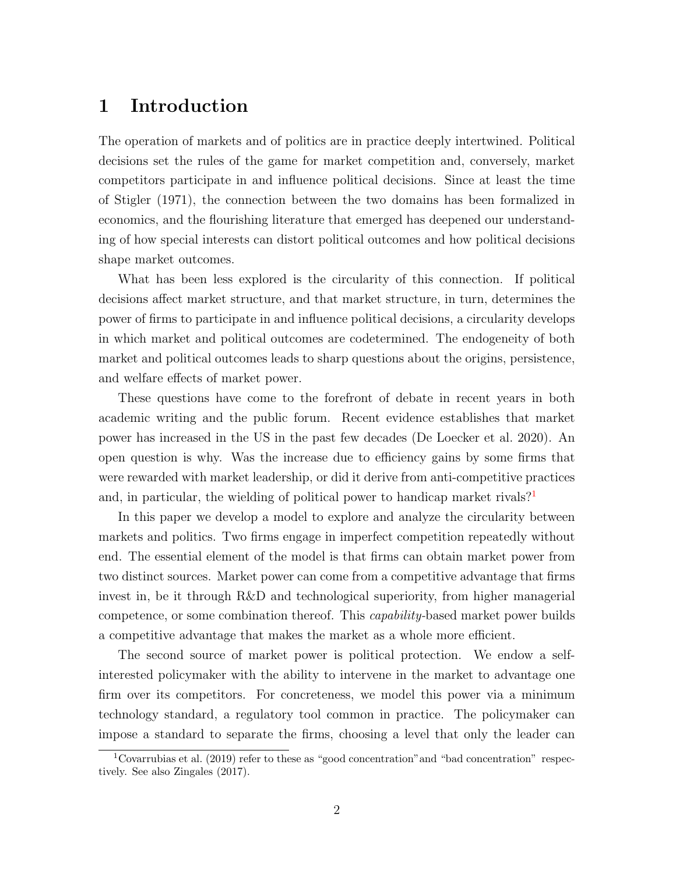# 1 Introduction

The operation of markets and of politics are in practice deeply intertwined. Political decisions set the rules of the game for market competition and, conversely, market competitors participate in and influence political decisions. Since at least the time of Stigler (1971), the connection between the two domains has been formalized in economics, and the flourishing literature that emerged has deepened our understanding of how special interests can distort political outcomes and how political decisions shape market outcomes.

What has been less explored is the circularity of this connection. If political decisions affect market structure, and that market structure, in turn, determines the power of firms to participate in and influence political decisions, a circularity develops in which market and political outcomes are codetermined. The endogeneity of both market and political outcomes leads to sharp questions about the origins, persistence, and welfare effects of market power.

These questions have come to the forefront of debate in recent years in both academic writing and the public forum. Recent evidence establishes that market power has increased in the US in the past few decades (De Loecker et al. 2020). An open question is why. Was the increase due to efficiency gains by some firms that were rewarded with market leadership, or did it derive from anti-competitive practices and, in particular, the wielding of political power to handicap market rivals?<sup>[1](#page-1-0)</sup>

In this paper we develop a model to explore and analyze the circularity between markets and politics. Two firms engage in imperfect competition repeatedly without end. The essential element of the model is that firms can obtain market power from two distinct sources. Market power can come from a competitive advantage that firms invest in, be it through R&D and technological superiority, from higher managerial competence, or some combination thereof. This capability-based market power builds a competitive advantage that makes the market as a whole more efficient.

The second source of market power is political protection. We endow a selfinterested policymaker with the ability to intervene in the market to advantage one firm over its competitors. For concreteness, we model this power via a minimum technology standard, a regulatory tool common in practice. The policymaker can impose a standard to separate the firms, choosing a level that only the leader can

<span id="page-1-0"></span> $1$ Covarrubias et al. (2019) refer to these as "good concentration" and "bad concentration" respectively. See also Zingales (2017).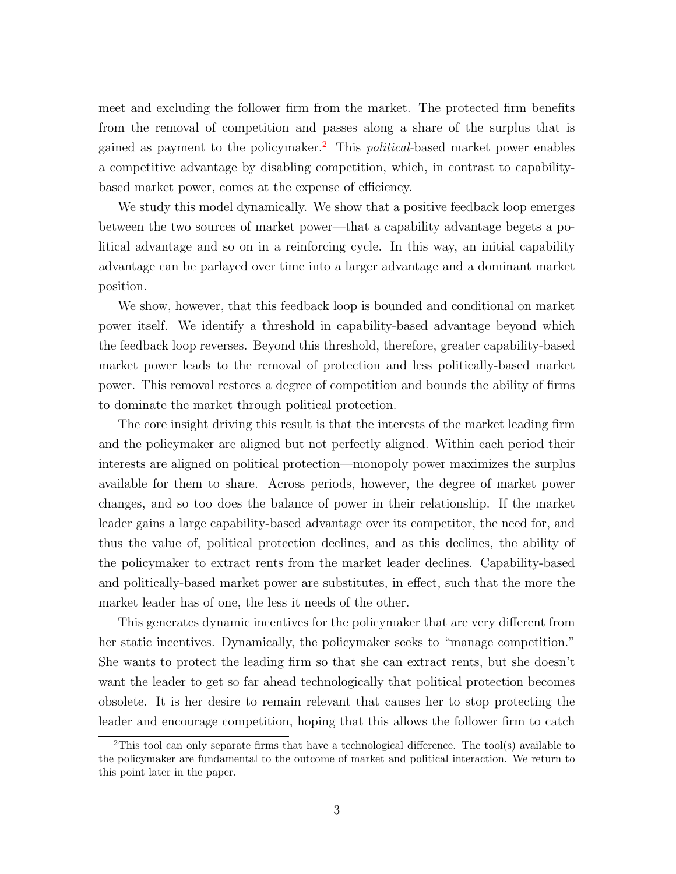meet and excluding the follower firm from the market. The protected firm benefits from the removal of competition and passes along a share of the surplus that is gained as payment to the policymaker.<sup>[2](#page-2-0)</sup> This *political*-based market power enables a competitive advantage by disabling competition, which, in contrast to capabilitybased market power, comes at the expense of efficiency.

We study this model dynamically. We show that a positive feedback loop emerges between the two sources of market power—that a capability advantage begets a political advantage and so on in a reinforcing cycle. In this way, an initial capability advantage can be parlayed over time into a larger advantage and a dominant market position.

We show, however, that this feedback loop is bounded and conditional on market power itself. We identify a threshold in capability-based advantage beyond which the feedback loop reverses. Beyond this threshold, therefore, greater capability-based market power leads to the removal of protection and less politically-based market power. This removal restores a degree of competition and bounds the ability of firms to dominate the market through political protection.

The core insight driving this result is that the interests of the market leading firm and the policymaker are aligned but not perfectly aligned. Within each period their interests are aligned on political protection—monopoly power maximizes the surplus available for them to share. Across periods, however, the degree of market power changes, and so too does the balance of power in their relationship. If the market leader gains a large capability-based advantage over its competitor, the need for, and thus the value of, political protection declines, and as this declines, the ability of the policymaker to extract rents from the market leader declines. Capability-based and politically-based market power are substitutes, in effect, such that the more the market leader has of one, the less it needs of the other.

This generates dynamic incentives for the policymaker that are very different from her static incentives. Dynamically, the policymaker seeks to "manage competition." She wants to protect the leading firm so that she can extract rents, but she doesn't want the leader to get so far ahead technologically that political protection becomes obsolete. It is her desire to remain relevant that causes her to stop protecting the leader and encourage competition, hoping that this allows the follower firm to catch

<span id="page-2-0"></span><sup>&</sup>lt;sup>2</sup>This tool can only separate firms that have a technological difference. The tool(s) available to the policymaker are fundamental to the outcome of market and political interaction. We return to this point later in the paper.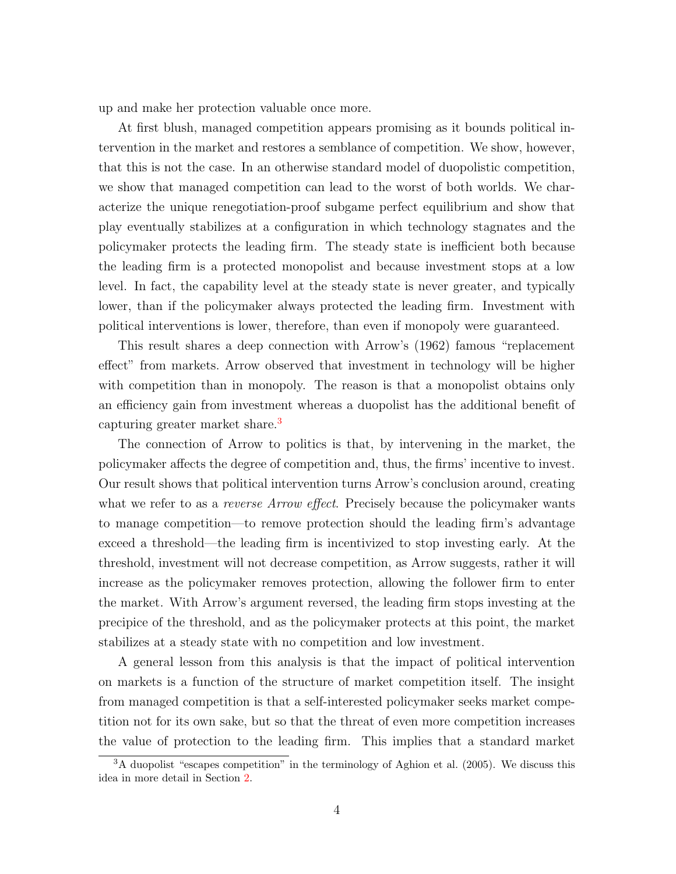up and make her protection valuable once more.

At first blush, managed competition appears promising as it bounds political intervention in the market and restores a semblance of competition. We show, however, that this is not the case. In an otherwise standard model of duopolistic competition, we show that managed competition can lead to the worst of both worlds. We characterize the unique renegotiation-proof subgame perfect equilibrium and show that play eventually stabilizes at a configuration in which technology stagnates and the policymaker protects the leading firm. The steady state is inefficient both because the leading firm is a protected monopolist and because investment stops at a low level. In fact, the capability level at the steady state is never greater, and typically lower, than if the policymaker always protected the leading firm. Investment with political interventions is lower, therefore, than even if monopoly were guaranteed.

This result shares a deep connection with Arrow's (1962) famous "replacement effect" from markets. Arrow observed that investment in technology will be higher with competition than in monopoly. The reason is that a monopolist obtains only an efficiency gain from investment whereas a duopolist has the additional benefit of capturing greater market share.<sup>[3](#page-3-0)</sup>

The connection of Arrow to politics is that, by intervening in the market, the policymaker affects the degree of competition and, thus, the firms' incentive to invest. Our result shows that political intervention turns Arrow's conclusion around, creating what we refer to as a *reverse Arrow effect*. Precisely because the policymaker wants to manage competition—to remove protection should the leading firm's advantage exceed a threshold—the leading firm is incentivized to stop investing early. At the threshold, investment will not decrease competition, as Arrow suggests, rather it will increase as the policymaker removes protection, allowing the follower firm to enter the market. With Arrow's argument reversed, the leading firm stops investing at the precipice of the threshold, and as the policymaker protects at this point, the market stabilizes at a steady state with no competition and low investment.

A general lesson from this analysis is that the impact of political intervention on markets is a function of the structure of market competition itself. The insight from managed competition is that a self-interested policymaker seeks market competition not for its own sake, but so that the threat of even more competition increases the value of protection to the leading firm. This implies that a standard market

<span id="page-3-0"></span> $3A$  duopolist "escapes competition" in the terminology of Aghion et al. (2005). We discuss this idea in more detail in Section [2.](#page-6-0)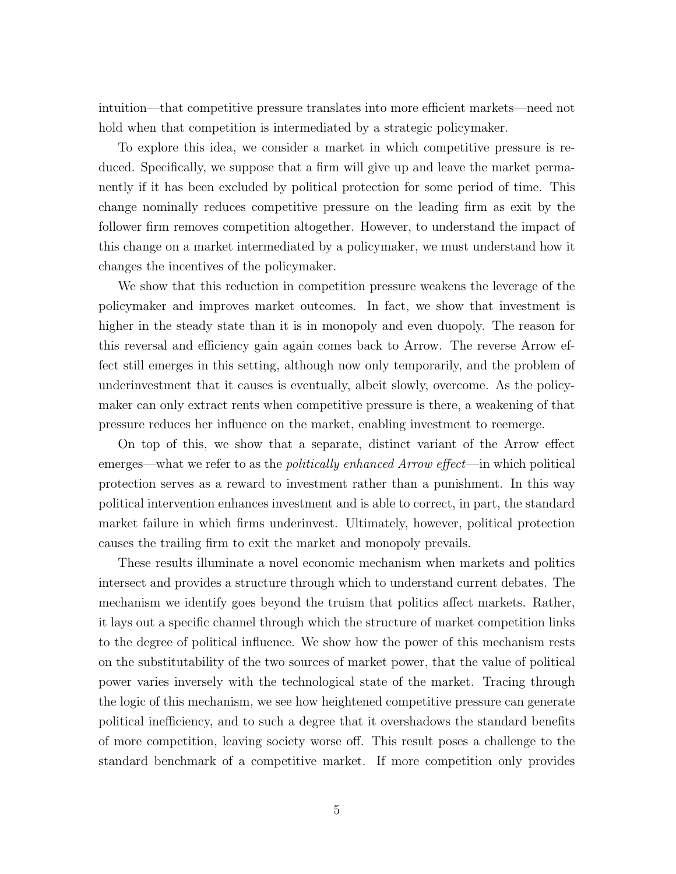intuition—that competitive pressure translates into more efficient markets—need not hold when that competition is intermediated by a strategic policymaker.

To explore this idea, we consider a market in which competitive pressure is reduced. Specifically, we suppose that a firm will give up and leave the market permanently if it has been excluded by political protection for some period of time. This change nominally reduces competitive pressure on the leading firm as exit by the follower firm removes competition altogether. However, to understand the impact of this change on a market intermediated by a policymaker, we must understand how it changes the incentives of the policymaker.

We show that this reduction in competition pressure weakens the leverage of the policymaker and improves market outcomes. In fact, we show that investment is higher in the steady state than it is in monopoly and even duopoly. The reason for this reversal and efficiency gain again comes back to Arrow. The reverse Arrow effect still emerges in this setting, although now only temporarily, and the problem of underinvestment that it causes is eventually, albeit slowly, overcome. As the policymaker can only extract rents when competitive pressure is there, a weakening of that pressure reduces her influence on the market, enabling investment to reemerge.

On top of this, we show that a separate, distinct variant of the Arrow effect emerges—what we refer to as the *politically enhanced Arrow effect*—in which political protection serves as a reward to investment rather than a punishment. In this way political intervention enhances investment and is able to correct, in part, the standard market failure in which firms underinvest. Ultimately, however, political protection causes the trailing firm to exit the market and monopoly prevails.

These results illuminate a novel economic mechanism when markets and politics intersect and provides a structure through which to understand current debates. The mechanism we identify goes beyond the truism that politics affect markets. Rather, it lays out a specific channel through which the structure of market competition links to the degree of political influence. We show how the power of this mechanism rests on the substitutability of the two sources of market power, that the value of political power varies inversely with the technological state of the market. Tracing through the logic of this mechanism, we see how heightened competitive pressure can generate political inefficiency, and to such a degree that it overshadows the standard benefits of more competition, leaving society worse off. This result poses a challenge to the standard benchmark of a competitive market. If more competition only provides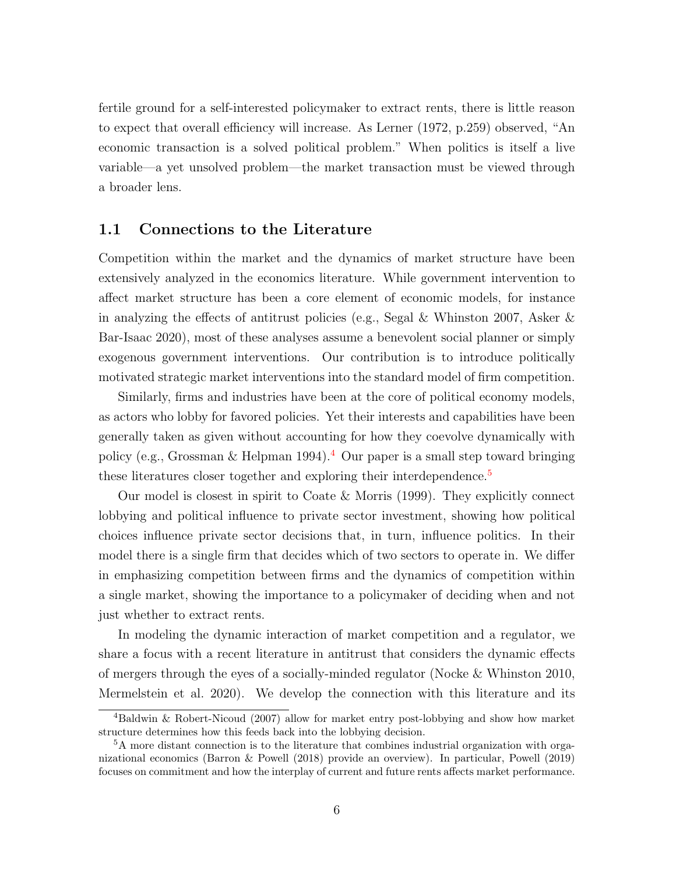fertile ground for a self-interested policymaker to extract rents, there is little reason to expect that overall efficiency will increase. As Lerner (1972, p.259) observed, "An economic transaction is a solved political problem." When politics is itself a live variable—a yet unsolved problem—the market transaction must be viewed through a broader lens.

#### 1.1 Connections to the Literature

Competition within the market and the dynamics of market structure have been extensively analyzed in the economics literature. While government intervention to affect market structure has been a core element of economic models, for instance in analyzing the effects of antitrust policies (e.g., Segal & Whinston 2007, Asker & Bar-Isaac 2020), most of these analyses assume a benevolent social planner or simply exogenous government interventions. Our contribution is to introduce politically motivated strategic market interventions into the standard model of firm competition.

Similarly, firms and industries have been at the core of political economy models, as actors who lobby for favored policies. Yet their interests and capabilities have been generally taken as given without accounting for how they coevolve dynamically with policy (e.g., Grossman & Helpman 199[4](#page-5-0)).<sup>4</sup> Our paper is a small step toward bringing these literatures closer together and exploring their interdependence.<sup>[5](#page-5-1)</sup>

Our model is closest in spirit to Coate & Morris (1999). They explicitly connect lobbying and political influence to private sector investment, showing how political choices influence private sector decisions that, in turn, influence politics. In their model there is a single firm that decides which of two sectors to operate in. We differ in emphasizing competition between firms and the dynamics of competition within a single market, showing the importance to a policymaker of deciding when and not just whether to extract rents.

In modeling the dynamic interaction of market competition and a regulator, we share a focus with a recent literature in antitrust that considers the dynamic effects of mergers through the eyes of a socially-minded regulator (Nocke & Whinston 2010, Mermelstein et al. 2020). We develop the connection with this literature and its

<span id="page-5-0"></span><sup>4</sup>Baldwin & Robert-Nicoud (2007) allow for market entry post-lobbying and show how market structure determines how this feeds back into the lobbying decision.

<span id="page-5-1"></span><sup>&</sup>lt;sup>5</sup>A more distant connection is to the literature that combines industrial organization with organizational economics (Barron & Powell (2018) provide an overview). In particular, Powell (2019) focuses on commitment and how the interplay of current and future rents affects market performance.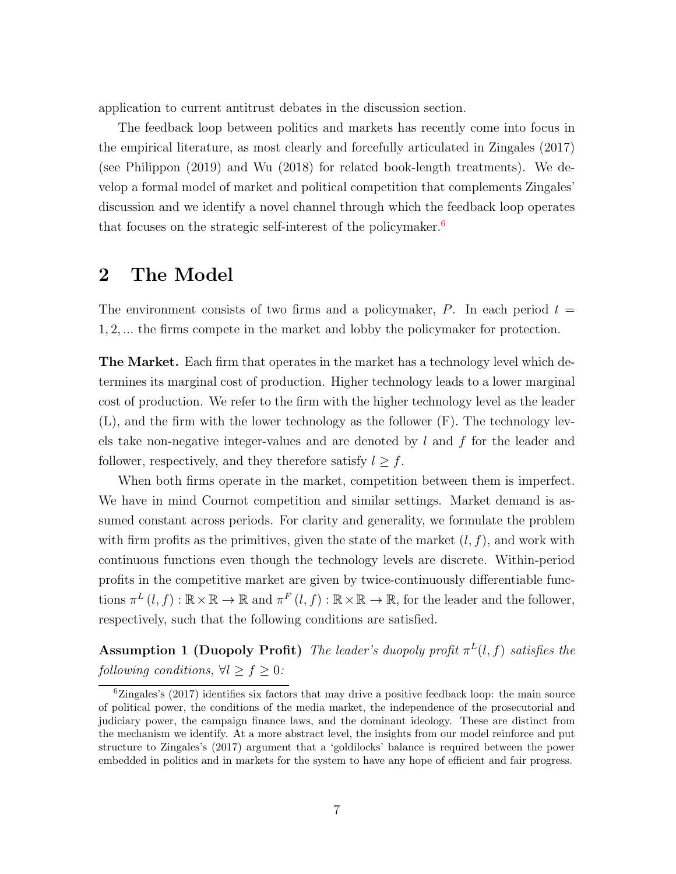application to current antitrust debates in the discussion section.

The feedback loop between politics and markets has recently come into focus in the empirical literature, as most clearly and forcefully articulated in Zingales (2017) (see Philippon (2019) and Wu (2018) for related book-length treatments). We develop a formal model of market and political competition that complements Zingales' discussion and we identify a novel channel through which the feedback loop operates that focuses on the strategic self-interest of the policymaker.<sup>[6](#page-6-1)</sup>

## <span id="page-6-0"></span>2 The Model

The environment consists of two firms and a policymaker, P. In each period  $t =$ 1, 2, ... the firms compete in the market and lobby the policymaker for protection.

The Market. Each firm that operates in the market has a technology level which determines its marginal cost of production. Higher technology leads to a lower marginal cost of production. We refer to the firm with the higher technology level as the leader (L), and the firm with the lower technology as the follower (F). The technology levels take non-negative integer-values and are denoted by  $l$  and  $f$  for the leader and follower, respectively, and they therefore satisfy  $l \geq f$ .

When both firms operate in the market, competition between them is imperfect. We have in mind Cournot competition and similar settings. Market demand is assumed constant across periods. For clarity and generality, we formulate the problem with firm profits as the primitives, given the state of the market  $(l, f)$ , and work with continuous functions even though the technology levels are discrete. Within-period profits in the competitive market are given by twice-continuously differentiable functions  $\pi^L(l, f) : \mathbb{R} \times \mathbb{R} \to \mathbb{R}$  and  $\pi^F(l, f) : \mathbb{R} \times \mathbb{R} \to \mathbb{R}$ , for the leader and the follower, respectively, such that the following conditions are satisfied.

<span id="page-6-2"></span>**Assumption 1 (Duopoly Profit)** The leader's duopoly profit  $\pi^{L}(l, f)$  satisfies the following conditions,  $\forall l \geq f \geq 0$ :

<span id="page-6-1"></span> ${}^{6}$ Zingales's (2017) identifies six factors that may drive a positive feedback loop: the main source of political power, the conditions of the media market, the independence of the prosecutorial and judiciary power, the campaign finance laws, and the dominant ideology. These are distinct from the mechanism we identify. At a more abstract level, the insights from our model reinforce and put structure to Zingales's (2017) argument that a 'goldilocks' balance is required between the power embedded in politics and in markets for the system to have any hope of efficient and fair progress.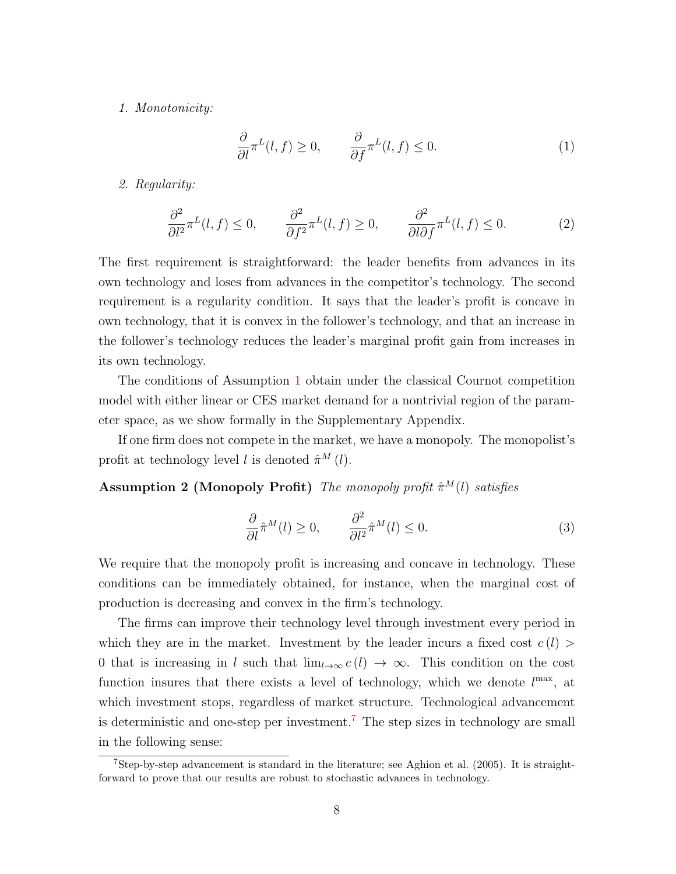#### 1. Monotonicity:

$$
\frac{\partial}{\partial l}\pi^L(l,f) \ge 0, \qquad \frac{\partial}{\partial f}\pi^L(l,f) \le 0.
$$
 (1)

#### 2. Regularity:

<span id="page-7-2"></span>
$$
\frac{\partial^2}{\partial l^2} \pi^L(l, f) \le 0, \qquad \frac{\partial^2}{\partial f^2} \pi^L(l, f) \ge 0, \qquad \frac{\partial^2}{\partial l \partial f} \pi^L(l, f) \le 0.
$$
 (2)

The first requirement is straightforward: the leader benefits from advances in its own technology and loses from advances in the competitor's technology. The second requirement is a regularity condition. It says that the leader's profit is concave in own technology, that it is convex in the follower's technology, and that an increase in the follower's technology reduces the leader's marginal profit gain from increases in its own technology.

The conditions of Assumption [1](#page-6-2) obtain under the classical Cournot competition model with either linear or CES market demand for a nontrivial region of the parameter space, as we show formally in the Supplementary Appendix.

If one firm does not compete in the market, we have a monopoly. The monopolist's profit at technology level l is denoted  $\hat{\pi}^M(l)$ .

Assumption 2 (Monopoly Profit) The monopoly profit  $\hat{\pi}^M(l)$  satisfies

<span id="page-7-3"></span>
$$
\frac{\partial}{\partial l}\hat{\pi}^M(l) \ge 0, \qquad \frac{\partial^2}{\partial l^2}\hat{\pi}^M(l) \le 0.
$$
 (3)

We require that the monopoly profit is increasing and concave in technology. These conditions can be immediately obtained, for instance, when the marginal cost of production is decreasing and convex in the firm's technology.

The firms can improve their technology level through investment every period in which they are in the market. Investment by the leader incurs a fixed cost  $c(l)$ 0 that is increasing in l such that  $\lim_{l\to\infty} c(l) \to \infty$ . This condition on the cost function insures that there exists a level of technology, which we denote  $l^{\max}$ , at which investment stops, regardless of market structure. Technological advancement is deterministic and one-step per investment.[7](#page-7-0) The step sizes in technology are small in the following sense:

<span id="page-7-1"></span><span id="page-7-0"></span><sup>7</sup>Step-by-step advancement is standard in the literature; see Aghion et al. (2005). It is straightforward to prove that our results are robust to stochastic advances in technology.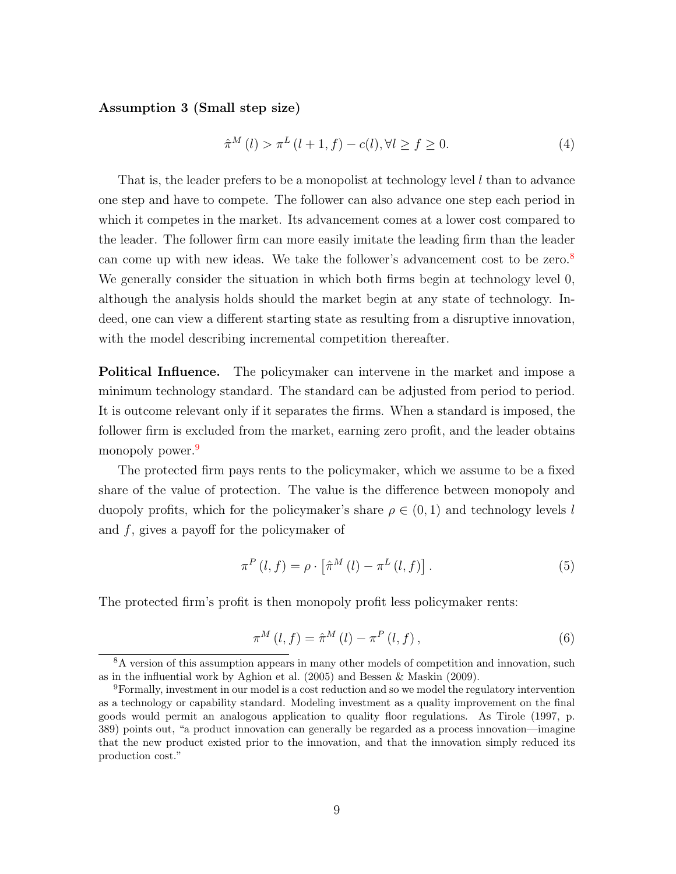#### Assumption 3 (Small step size)

$$
\hat{\pi}^{M}(l) > \pi^{L}(l+1, f) - c(l), \forall l \ge f \ge 0.
$$
\n(4)

That is, the leader prefers to be a monopolist at technology level  $l$  than to advance one step and have to compete. The follower can also advance one step each period in which it competes in the market. Its advancement comes at a lower cost compared to the leader. The follower firm can more easily imitate the leading firm than the leader can come up with new ideas. We take the follower's advancement cost to be zero. $8$ We generally consider the situation in which both firms begin at technology level 0, although the analysis holds should the market begin at any state of technology. Indeed, one can view a different starting state as resulting from a disruptive innovation, with the model describing incremental competition thereafter.

Political Influence. The policymaker can intervene in the market and impose a minimum technology standard. The standard can be adjusted from period to period. It is outcome relevant only if it separates the firms. When a standard is imposed, the follower firm is excluded from the market, earning zero profit, and the leader obtains monopoly power.<sup>[9](#page-8-1)</sup>

The protected firm pays rents to the policymaker, which we assume to be a fixed share of the value of protection. The value is the difference between monopoly and duopoly profits, which for the policymaker's share  $\rho \in (0,1)$  and technology levels l and f, gives a payoff for the policymaker of

$$
\pi^{P}\left(l,f\right) = \rho \cdot \left[\hat{\pi}^{M}\left(l\right) - \pi^{L}\left(l,f\right)\right].\tag{5}
$$

The protected firm's profit is then monopoly profit less policymaker rents:

$$
\pi^{M}\left(l,f\right) = \hat{\pi}^{M}\left(l\right) - \pi^{P}\left(l,f\right),\tag{6}
$$

<span id="page-8-0"></span><sup>&</sup>lt;sup>8</sup>A version of this assumption appears in many other models of competition and innovation, such as in the influential work by Aghion et al. (2005) and Bessen & Maskin (2009).

<span id="page-8-1"></span><sup>9</sup>Formally, investment in our model is a cost reduction and so we model the regulatory intervention as a technology or capability standard. Modeling investment as a quality improvement on the final goods would permit an analogous application to quality floor regulations. As Tirole (1997, p. 389) points out, "a product innovation can generally be regarded as a process innovation—imagine that the new product existed prior to the innovation, and that the innovation simply reduced its production cost."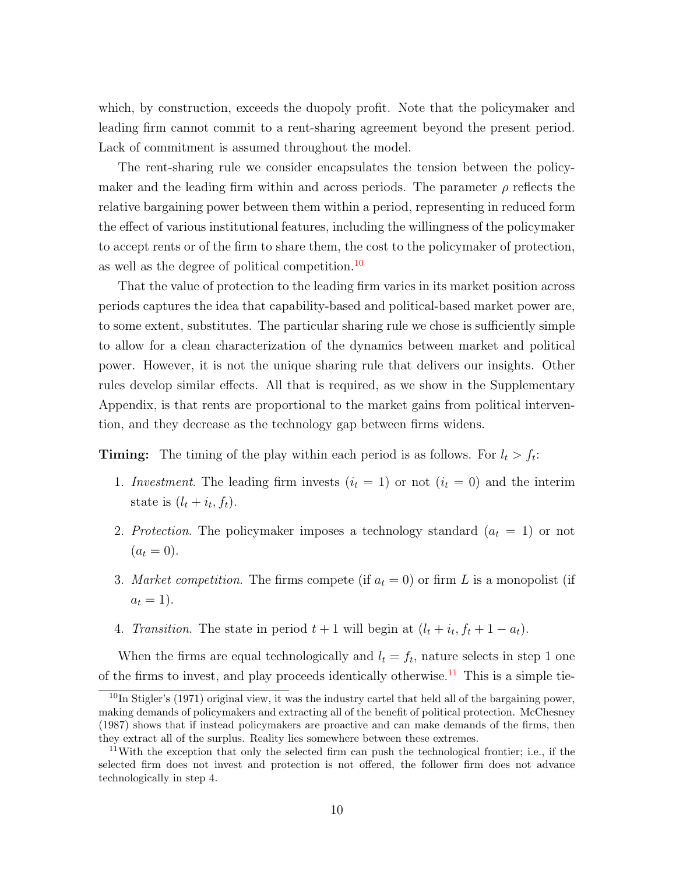which, by construction, exceeds the duopoly profit. Note that the policymaker and leading firm cannot commit to a rent-sharing agreement beyond the present period. Lack of commitment is assumed throughout the model.

The rent-sharing rule we consider encapsulates the tension between the policymaker and the leading firm within and across periods. The parameter  $\rho$  reflects the relative bargaining power between them within a period, representing in reduced form the effect of various institutional features, including the willingness of the policymaker to accept rents or of the firm to share them, the cost to the policymaker of protection, as well as the degree of political competition.<sup>[10](#page-9-0)</sup>

That the value of protection to the leading firm varies in its market position across periods captures the idea that capability-based and political-based market power are, to some extent, substitutes. The particular sharing rule we chose is sufficiently simple to allow for a clean characterization of the dynamics between market and political power. However, it is not the unique sharing rule that delivers our insights. Other rules develop similar effects. All that is required, as we show in the Supplementary Appendix, is that rents are proportional to the market gains from political intervention, and they decrease as the technology gap between firms widens.

**Timing:** The timing of the play within each period is as follows. For  $l_t > f_t$ :

- 1. Investment. The leading firm invests  $(i_t = 1)$  or not  $(i_t = 0)$  and the interim state is  $(l_t + i_t, f_t)$ .
- 2. Protection. The policymaker imposes a technology standard  $(a_t = 1)$  or not  $(a_t = 0).$
- 3. Market competition. The firms compete (if  $a_t = 0$ ) or firm L is a monopolist (if  $a_t = 1$ ).
- 4. Transition. The state in period  $t + 1$  will begin at  $(l_t + i_t, f_t + 1 a_t)$ .

When the firms are equal technologically and  $l_t = f_t$ , nature selects in step 1 one of the firms to invest, and play proceeds identically otherwise.<sup>[11](#page-9-1)</sup> This is a simple tie-

<span id="page-9-0"></span><sup>&</sup>lt;sup>10</sup>In Stigler's (1971) original view, it was the industry cartel that held all of the bargaining power, making demands of policymakers and extracting all of the benefit of political protection. McChesney (1987) shows that if instead policymakers are proactive and can make demands of the firms, then they extract all of the surplus. Reality lies somewhere between these extremes.

<span id="page-9-1"></span><sup>&</sup>lt;sup>11</sup>With the exception that only the selected firm can push the technological frontier; i.e., if the selected firm does not invest and protection is not offered, the follower firm does not advance technologically in step 4.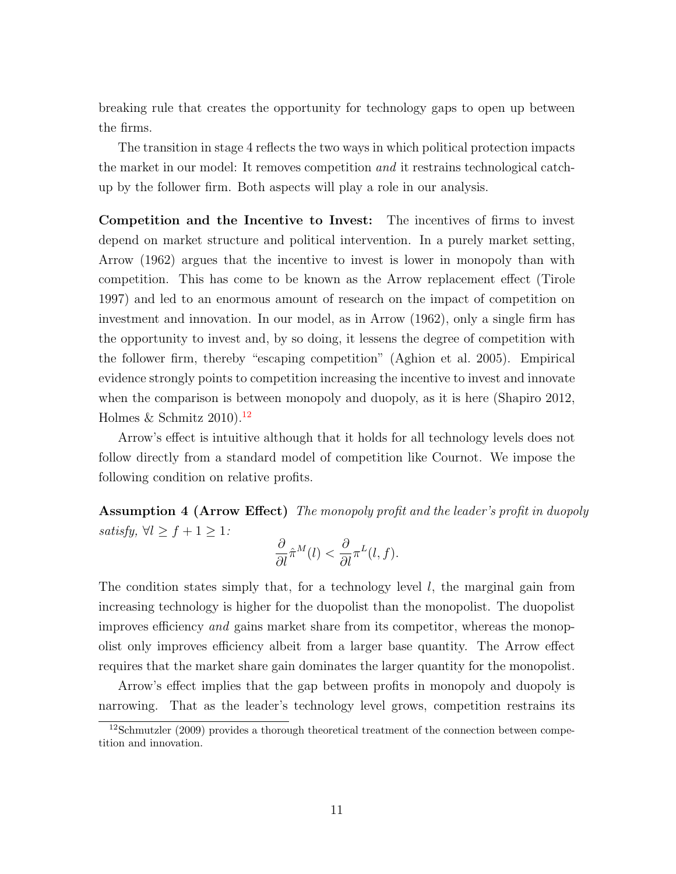breaking rule that creates the opportunity for technology gaps to open up between the firms.

The transition in stage 4 reflects the two ways in which political protection impacts the market in our model: It removes competition and it restrains technological catchup by the follower firm. Both aspects will play a role in our analysis.

Competition and the Incentive to Invest: The incentives of firms to invest depend on market structure and political intervention. In a purely market setting, Arrow (1962) argues that the incentive to invest is lower in monopoly than with competition. This has come to be known as the Arrow replacement effect (Tirole 1997) and led to an enormous amount of research on the impact of competition on investment and innovation. In our model, as in Arrow (1962), only a single firm has the opportunity to invest and, by so doing, it lessens the degree of competition with the follower firm, thereby "escaping competition" (Aghion et al. 2005). Empirical evidence strongly points to competition increasing the incentive to invest and innovate when the comparison is between monopoly and duopoly, as it is here (Shapiro 2012, Holmes & Schmitz  $2010$ .<sup>[12](#page-10-0)</sup>

Arrow's effect is intuitive although that it holds for all technology levels does not follow directly from a standard model of competition like Cournot. We impose the following condition on relative profits.

<span id="page-10-1"></span>Assumption 4 (Arrow Effect) The monopoly profit and the leader's profit in duopoly satisfy,  $\forall l \geq f+1 \geq 1$ :

$$
\frac{\partial}{\partial l} \hat{\pi}^M(l) < \frac{\partial}{\partial l} \pi^L(l,f).
$$

The condition states simply that, for a technology level  $l$ , the marginal gain from increasing technology is higher for the duopolist than the monopolist. The duopolist improves efficiency and gains market share from its competitor, whereas the monopolist only improves efficiency albeit from a larger base quantity. The Arrow effect requires that the market share gain dominates the larger quantity for the monopolist.

Arrow's effect implies that the gap between profits in monopoly and duopoly is narrowing. That as the leader's technology level grows, competition restrains its

<span id="page-10-0"></span><sup>&</sup>lt;sup>12</sup>Schmutzler (2009) provides a thorough theoretical treatment of the connection between competition and innovation.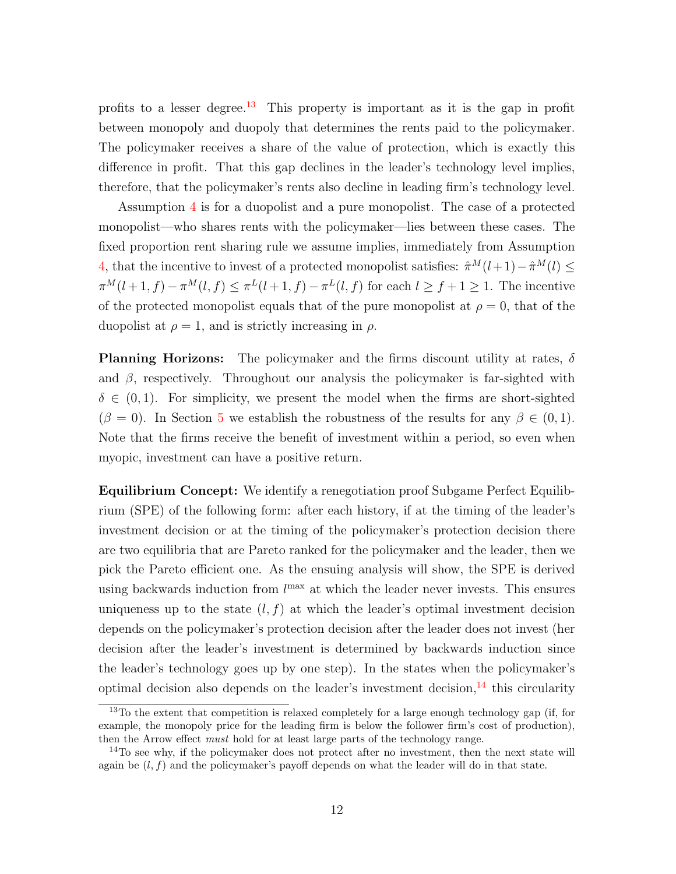profits to a lesser degree.<sup>[13](#page-11-0)</sup> This property is important as it is the gap in profit between monopoly and duopoly that determines the rents paid to the policymaker. The policymaker receives a share of the value of protection, which is exactly this difference in profit. That this gap declines in the leader's technology level implies, therefore, that the policymaker's rents also decline in leading firm's technology level.

Assumption [4](#page-10-1) is for a duopolist and a pure monopolist. The case of a protected monopolist—who shares rents with the policymaker—lies between these cases. The fixed proportion rent sharing rule we assume implies, immediately from Assumption [4,](#page-10-1) that the incentive to invest of a protected monopolist satisfies:  $\hat{\pi}^M(l+1) - \hat{\pi}^M(l) \leq$  $\pi^M(l+1,f) - \pi^M(l,f) \leq \pi^L(l+1,f) - \pi^L(l,f)$  for each  $l \geq f+1 \geq 1$ . The incentive of the protected monopolist equals that of the pure monopolist at  $\rho = 0$ , that of the duopolist at  $\rho = 1$ , and is strictly increasing in  $\rho$ .

**Planning Horizons:** The policymaker and the firms discount utility at rates,  $\delta$ and  $\beta$ , respectively. Throughout our analysis the policymaker is far-sighted with  $\delta \in (0,1)$ . For simplicity, we present the model when the firms are short-sighted  $(\beta = 0)$ . In Section [5](#page-28-0) we establish the robustness of the results for any  $\beta \in (0,1)$ . Note that the firms receive the benefit of investment within a period, so even when myopic, investment can have a positive return.

Equilibrium Concept: We identify a renegotiation proof Subgame Perfect Equilibrium (SPE) of the following form: after each history, if at the timing of the leader's investment decision or at the timing of the policymaker's protection decision there are two equilibria that are Pareto ranked for the policymaker and the leader, then we pick the Pareto efficient one. As the ensuing analysis will show, the SPE is derived using backwards induction from  $l^{\max}$  at which the leader never invests. This ensures uniqueness up to the state  $(l, f)$  at which the leader's optimal investment decision depends on the policymaker's protection decision after the leader does not invest (her decision after the leader's investment is determined by backwards induction since the leader's technology goes up by one step). In the states when the policymaker's optimal decision also depends on the leader's investment decision, $^{14}$  $^{14}$  $^{14}$  this circularity

<span id="page-11-0"></span><sup>&</sup>lt;sup>13</sup>To the extent that competition is relaxed completely for a large enough technology gap (if, for example, the monopoly price for the leading firm is below the follower firm's cost of production), then the Arrow effect must hold for at least large parts of the technology range.

<span id="page-11-1"></span> $14$ To see why, if the policymaker does not protect after no investment, then the next state will again be  $(l, f)$  and the policymaker's payoff depends on what the leader will do in that state.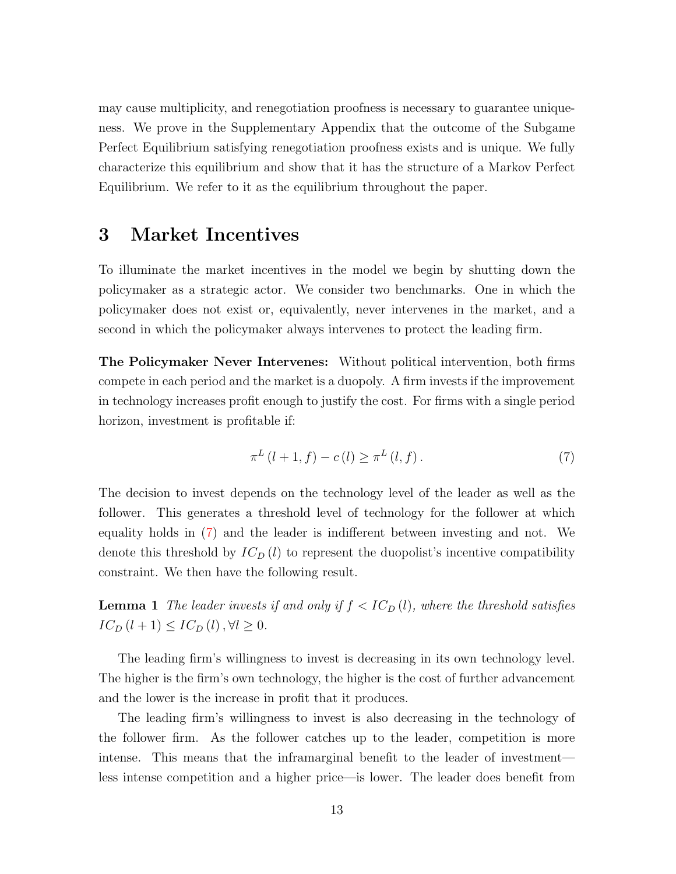may cause multiplicity, and renegotiation proofness is necessary to guarantee uniqueness. We prove in the Supplementary Appendix that the outcome of the Subgame Perfect Equilibrium satisfying renegotiation proofness exists and is unique. We fully characterize this equilibrium and show that it has the structure of a Markov Perfect Equilibrium. We refer to it as the equilibrium throughout the paper.

## <span id="page-12-2"></span>3 Market Incentives

To illuminate the market incentives in the model we begin by shutting down the policymaker as a strategic actor. We consider two benchmarks. One in which the policymaker does not exist or, equivalently, never intervenes in the market, and a second in which the policymaker always intervenes to protect the leading firm.

The Policymaker Never Intervenes: Without political intervention, both firms compete in each period and the market is a duopoly. A firm invests if the improvement in technology increases profit enough to justify the cost. For firms with a single period horizon, investment is profitable if:

<span id="page-12-0"></span>
$$
\pi^{L}(l+1,f) - c(l) \ge \pi^{L}(l,f).
$$
\n(7)

The decision to invest depends on the technology level of the leader as well as the follower. This generates a threshold level of technology for the follower at which equality holds in [\(7\)](#page-12-0) and the leader is indifferent between investing and not. We denote this threshold by  $IC_D(l)$  to represent the duopolist's incentive compatibility constraint. We then have the following result.

<span id="page-12-1"></span>**Lemma 1** The leader invests if and only if  $f < IC_D(l)$ , where the threshold satisfies  $IC_D(l + 1) \leq IC_D(l), \forall l \geq 0.$ 

The leading firm's willingness to invest is decreasing in its own technology level. The higher is the firm's own technology, the higher is the cost of further advancement and the lower is the increase in profit that it produces.

The leading firm's willingness to invest is also decreasing in the technology of the follower firm. As the follower catches up to the leader, competition is more intense. This means that the inframarginal benefit to the leader of investment less intense competition and a higher price—is lower. The leader does benefit from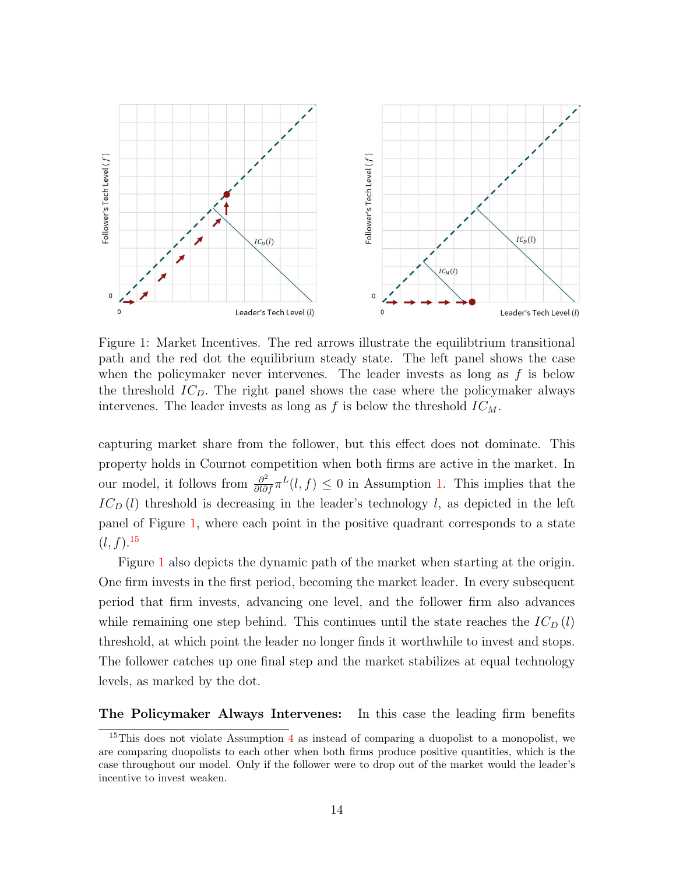

<span id="page-13-0"></span>Figure 1: Market Incentives. The red arrows illustrate the equilibtrium transitional path and the red dot the equilibrium steady state. The left panel shows the case when the policymaker never intervenes. The leader invests as long as  $f$  is below the threshold  $IC<sub>D</sub>$ . The right panel shows the case where the policymaker always intervenes. The leader invests as long as f is below the threshold  $IC_M$ .

capturing market share from the follower, but this effect does not dominate. This property holds in Cournot competition when both firms are active in the market. In our model, it follows from  $\frac{\partial^2}{\partial l \partial f} \pi^L(l, f) \leq 0$  in Assumption [1.](#page-6-2) This implies that the  $IC_D(l)$  threshold is decreasing in the leader's technology l, as depicted in the left panel of Figure [1,](#page-13-0) where each point in the positive quadrant corresponds to a state  $(l, f).^{15}$  $(l, f).^{15}$  $(l, f).^{15}$ 

Figure [1](#page-13-0) also depicts the dynamic path of the market when starting at the origin. One firm invests in the first period, becoming the market leader. In every subsequent period that firm invests, advancing one level, and the follower firm also advances while remaining one step behind. This continues until the state reaches the  $IC_D(l)$ threshold, at which point the leader no longer finds it worthwhile to invest and stops. The follower catches up one final step and the market stabilizes at equal technology levels, as marked by the dot.

The Policymaker Always Intervenes: In this case the leading firm benefits

<span id="page-13-1"></span><sup>&</sup>lt;sup>15</sup>This does not violate Assumption  $4$  as instead of comparing a duopolist to a monopolist, we are comparing duopolists to each other when both firms produce positive quantities, which is the case throughout our model. Only if the follower were to drop out of the market would the leader's incentive to invest weaken.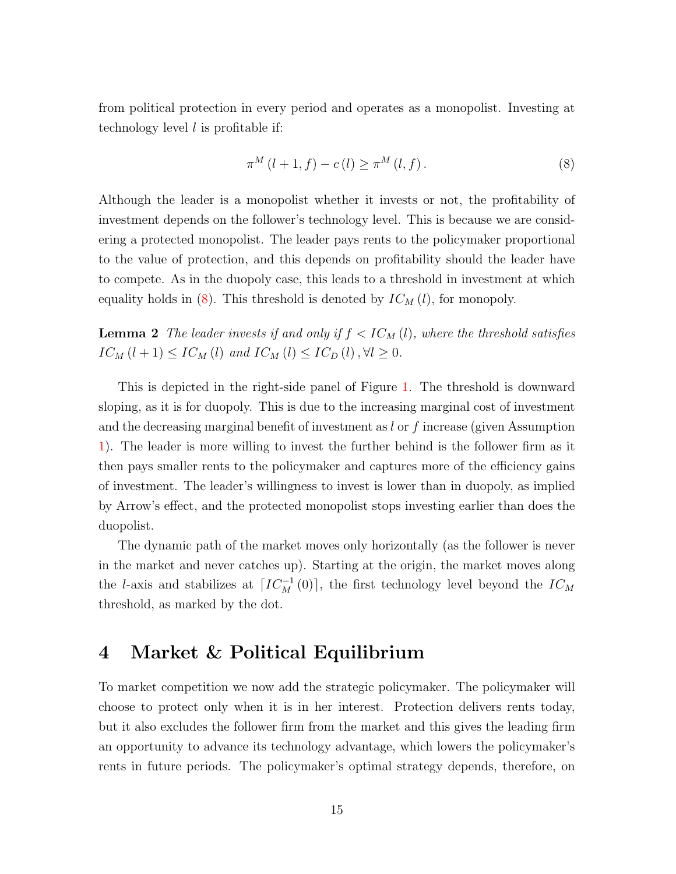from political protection in every period and operates as a monopolist. Investing at technology level  $l$  is profitable if:

<span id="page-14-0"></span>
$$
\pi^{M} (l+1, f) - c(l) \ge \pi^{M} (l, f).
$$
\n(8)

Although the leader is a monopolist whether it invests or not, the profitability of investment depends on the follower's technology level. This is because we are considering a protected monopolist. The leader pays rents to the policymaker proportional to the value of protection, and this depends on profitability should the leader have to compete. As in the duopoly case, this leads to a threshold in investment at which equality holds in [\(8\)](#page-14-0). This threshold is denoted by  $IC_M(l)$ , for monopoly.

<span id="page-14-1"></span>**Lemma 2** The leader invests if and only if  $f < IC_M(l)$ , where the threshold satisfies  $IC_M (l + 1) \leq IC_M (l)$  and  $IC_M (l) \leq IC_D (l)$ ,  $\forall l \geq 0$ .

This is depicted in the right-side panel of Figure [1.](#page-13-0) The threshold is downward sloping, as it is for duopoly. This is due to the increasing marginal cost of investment and the decreasing marginal benefit of investment as  $l$  or  $f$  increase (given Assumption [1\)](#page-6-2). The leader is more willing to invest the further behind is the follower firm as it then pays smaller rents to the policymaker and captures more of the efficiency gains of investment. The leader's willingness to invest is lower than in duopoly, as implied by Arrow's effect, and the protected monopolist stops investing earlier than does the duopolist.

The dynamic path of the market moves only horizontally (as the follower is never in the market and never catches up). Starting at the origin, the market moves along the l-axis and stabilizes at  $\lceil IC_M^{-1}(0) \rceil$ , the first technology level beyond the  $IC_M$ threshold, as marked by the dot.

# <span id="page-14-2"></span>4 Market & Political Equilibrium

To market competition we now add the strategic policymaker. The policymaker will choose to protect only when it is in her interest. Protection delivers rents today, but it also excludes the follower firm from the market and this gives the leading firm an opportunity to advance its technology advantage, which lowers the policymaker's rents in future periods. The policymaker's optimal strategy depends, therefore, on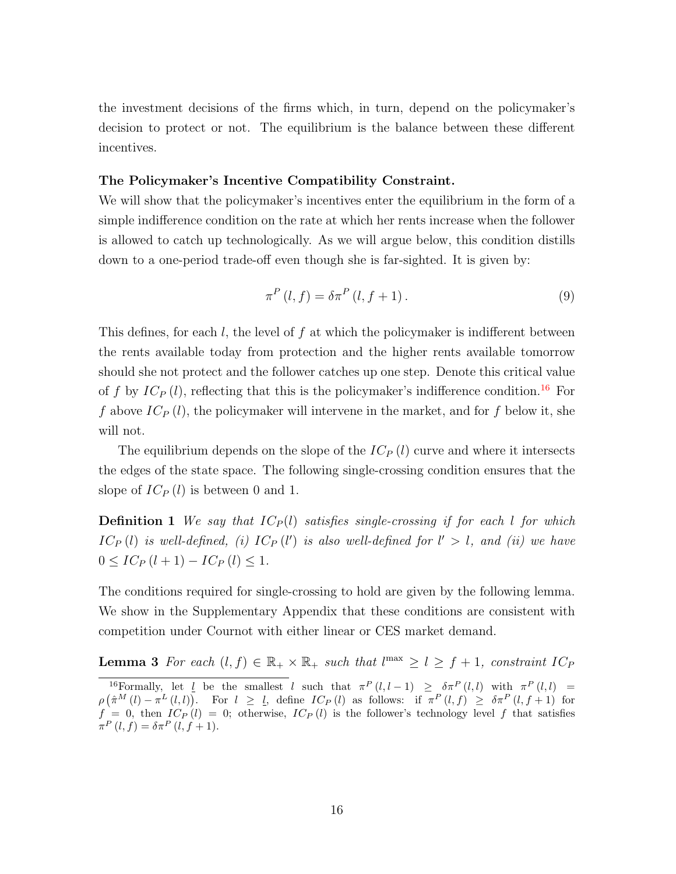the investment decisions of the firms which, in turn, depend on the policymaker's decision to protect or not. The equilibrium is the balance between these different incentives.

#### The Policymaker's Incentive Compatibility Constraint.

We will show that the policymaker's incentives enter the equilibrium in the form of a simple indifference condition on the rate at which her rents increase when the follower is allowed to catch up technologically. As we will argue below, this condition distills down to a one-period trade-off even though she is far-sighted. It is given by:

<span id="page-15-1"></span>
$$
\pi^{P}(l,f) = \delta \pi^{P}(l,f+1). \tag{9}
$$

This defines, for each l, the level of f at which the policymaker is indifferent between the rents available today from protection and the higher rents available tomorrow should she not protect and the follower catches up one step. Denote this critical value of f by  $IC_P(l)$ , reflecting that this is the policymaker's indifference condition.<sup>[16](#page-15-0)</sup> For f above  $IC_P(l)$ , the policymaker will intervene in the market, and for f below it, she will not.

The equilibrium depends on the slope of the  $IC_P(l)$  curve and where it intersects the edges of the state space. The following single-crossing condition ensures that the slope of  $IC_P(l)$  is between 0 and 1.

**Definition 1** We say that  $IC_P(l)$  satisfies single-crossing if for each l for which  $IC_P(l)$  is well-defined, (i)  $IC_P(l')$  is also well-defined for  $l' > l$ , and (ii) we have  $0 \leq IC_P(l+1) - IC_P(l) \leq 1.$ 

<span id="page-15-2"></span>The conditions required for single-crossing to hold are given by the following lemma. We show in the Supplementary Appendix that these conditions are consistent with competition under Cournot with either linear or CES market demand.

**Lemma 3** For each  $(l, f) \in \mathbb{R}_+ \times \mathbb{R}_+$  such that  $l^{\max} \geq l \geq f + 1$ , constraint  $IC_P$ 

<span id="page-15-0"></span><sup>&</sup>lt;sup>16</sup>Formally, let <u>l</u> be the smallest l such that  $\pi^P(l, l-1) \geq \delta \pi^P(l, l)$  with  $\pi^P(l, l)$  =  $\rho\left(\hat{\pi}^M\left(l\right)-\pi^L\left(l,l\right)\right)$ . For  $l \geq l$ , define  $IC_P\left(l\right)$  as follows: if  $\pi^P\left(l,f\right) \geq \delta \pi^P\left(l,f+1\right)$  for  $f = 0$ , then  $IC_P(t) = 0$ ; otherwise,  $IC_P(t)$  is the follower's technology level f that satisfies  $\pi^P(l, f) = \delta \pi^P(l, f + 1).$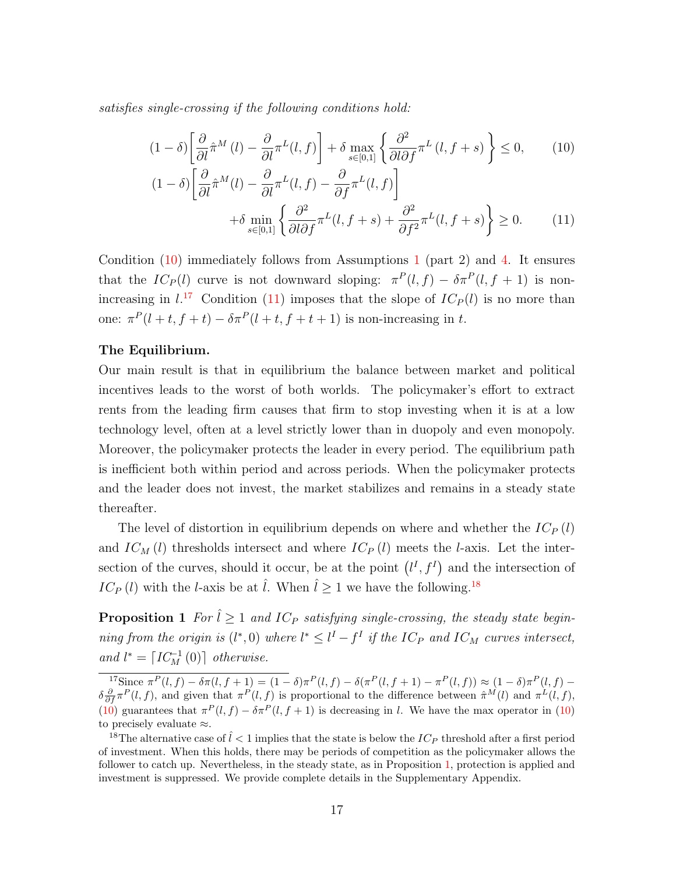satisfies single-crossing if the following conditions hold:

$$
(1 - \delta) \left[ \frac{\partial}{\partial l} \hat{\pi}^M(l) - \frac{\partial}{\partial l} \pi^L(l, f) \right] + \delta \max_{s \in [0, 1]} \left\{ \frac{\partial^2}{\partial l \partial f} \pi^L(l, f + s) \right\} \le 0, \quad (10)
$$

<span id="page-16-2"></span><span id="page-16-0"></span>
$$
(1 - \delta) \left[ \frac{\partial}{\partial l} \hat{\pi}^M(l) - \frac{\partial}{\partial l} \pi^L(l, f) - \frac{\partial}{\partial f} \pi^L(l, f) \right] + \delta \min_{s \in [0, 1]} \left\{ \frac{\partial^2}{\partial l \partial f} \pi^L(l, f + s) + \frac{\partial^2}{\partial f^2} \pi^L(l, f + s) \right\} \ge 0.
$$
 (11)

Condition  $(10)$  immediately follows from Assumptions [1](#page-6-2) (part 2) and [4.](#page-10-1) It ensures that the  $IC_P(l)$  curve is not downward sloping:  $\pi^P(l,f) - \delta \pi^P(l,f+1)$  is nonincreasing in  $l^{17}$  $l^{17}$  $l^{17}$  Condition [\(11\)](#page-16-2) imposes that the slope of  $IC_P(l)$  is no more than one:  $\pi^P(l+t, f+t) - \delta \pi^P(l+t, f+t+1)$  is non-increasing in t.

#### The Equilibrium.

Our main result is that in equilibrium the balance between market and political incentives leads to the worst of both worlds. The policymaker's effort to extract rents from the leading firm causes that firm to stop investing when it is at a low technology level, often at a level strictly lower than in duopoly and even monopoly. Moreover, the policymaker protects the leader in every period. The equilibrium path is inefficient both within period and across periods. When the policymaker protects and the leader does not invest, the market stabilizes and remains in a steady state thereafter.

The level of distortion in equilibrium depends on where and whether the  $IC_P(l)$ and  $IC_M(l)$  thresholds intersect and where  $IC_P(l)$  meets the l-axis. Let the intersection of the curves, should it occur, be at the point  $(l^I, f^I)$  and the intersection of  $IC_P (l)$  with the *l*-axis be at  $\hat{l}$ . When  $\hat{l} \geq 1$  we have the following.<sup>[18](#page-16-3)</sup>

<span id="page-16-4"></span>**Proposition 1** For  $\hat{l} \ge 1$  and IC<sub>P</sub> satisfying single-crossing, the steady state beginning from the origin is  $(l^*,0)$  where  $l^* \leq l^I - f^I$  if the IC<sub>P</sub> and IC<sub>M</sub> curves intersect, and  $l^* = \lceil IC_M^{-1}(0) \rceil$  otherwise.

<span id="page-16-1"></span><sup>&</sup>lt;sup>17</sup>Since π<sup>P</sup>(l, f) − δπ(l, f + 1) = (1 − δ)π<sup>P</sup>(l, f) − δ(π<sup>P</sup>(l, f + 1) − π<sup>P</sup>(l, f)) ≈ (1 − δ)π<sup>P</sup>(l, f) −  $\delta \frac{\partial}{\partial f} \pi^P(l, f)$ , and given that  $\pi^P(l, f)$  is proportional to the difference between  $\hat{\pi}^M(l)$  and  $\pi^L(l, f)$ , [\(10\)](#page-16-0) guarantees that  $\pi^P(l, f) - \delta \pi^P(l, f + 1)$  is decreasing in l. We have the max operator in (10) to precisely evaluate ≈.

<span id="page-16-3"></span><sup>&</sup>lt;sup>18</sup>The alternative case of  $l < 1$  implies that the state is below the  $IC_P$  threshold after a first period of investment. When this holds, there may be periods of competition as the policymaker allows the follower to catch up. Nevertheless, in the steady state, as in Proposition [1,](#page-16-4) protection is applied and investment is suppressed. We provide complete details in the Supplementary Appendix.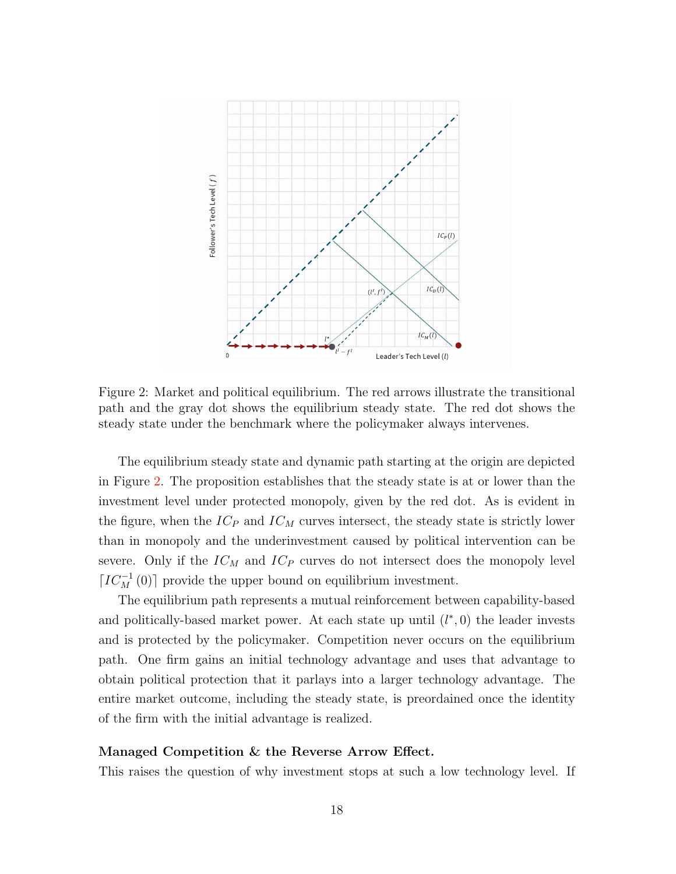

<span id="page-17-0"></span>Figure 2: Market and political equilibrium. The red arrows illustrate the transitional path and the gray dot shows the equilibrium steady state. The red dot shows the steady state under the benchmark where the policymaker always intervenes.

The equilibrium steady state and dynamic path starting at the origin are depicted in Figure [2.](#page-17-0) The proposition establishes that the steady state is at or lower than the investment level under protected monopoly, given by the red dot. As is evident in the figure, when the  $IC_P$  and  $IC_M$  curves intersect, the steady state is strictly lower than in monopoly and the underinvestment caused by political intervention can be severe. Only if the  $IC_M$  and  $IC_P$  curves do not intersect does the monopoly level [ $IC_M^{-1}(0)$ ] provide the upper bound on equilibrium investment.

The equilibrium path represents a mutual reinforcement between capability-based and politically-based market power. At each state up until  $(l^*,0)$  the leader invests and is protected by the policymaker. Competition never occurs on the equilibrium path. One firm gains an initial technology advantage and uses that advantage to obtain political protection that it parlays into a larger technology advantage. The entire market outcome, including the steady state, is preordained once the identity of the firm with the initial advantage is realized.

#### Managed Competition & the Reverse Arrow Effect.

This raises the question of why investment stops at such a low technology level. If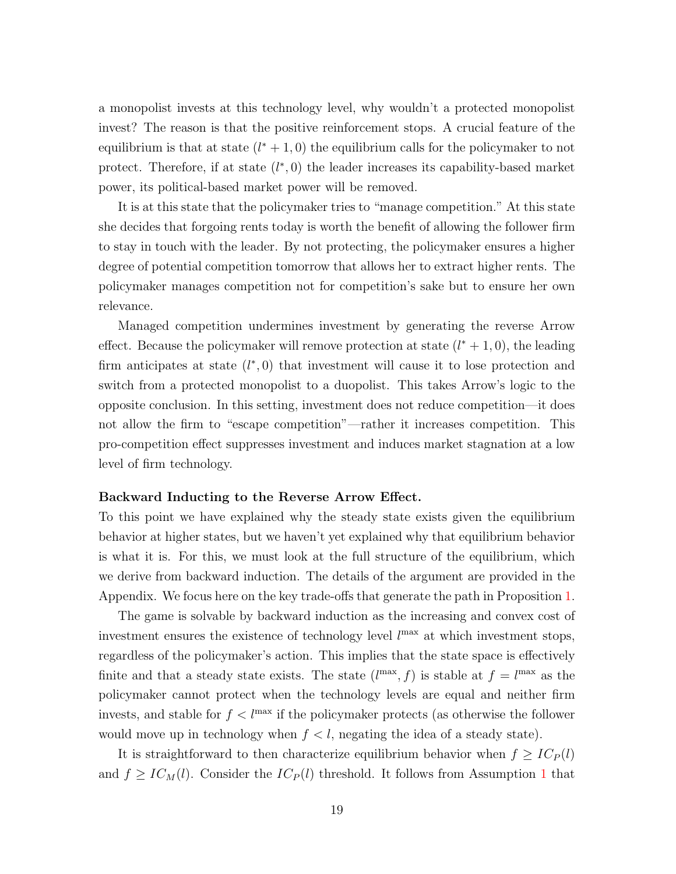a monopolist invests at this technology level, why wouldn't a protected monopolist invest? The reason is that the positive reinforcement stops. A crucial feature of the equilibrium is that at state  $(l^* + 1, 0)$  the equilibrium calls for the policymaker to not protect. Therefore, if at state  $(l^*,0)$  the leader increases its capability-based market power, its political-based market power will be removed.

It is at this state that the policymaker tries to "manage competition." At this state she decides that forgoing rents today is worth the benefit of allowing the follower firm to stay in touch with the leader. By not protecting, the policymaker ensures a higher degree of potential competition tomorrow that allows her to extract higher rents. The policymaker manages competition not for competition's sake but to ensure her own relevance.

Managed competition undermines investment by generating the reverse Arrow effect. Because the policymaker will remove protection at state  $(l^* + 1, 0)$ , the leading firm anticipates at state  $(l^*,0)$  that investment will cause it to lose protection and switch from a protected monopolist to a duopolist. This takes Arrow's logic to the opposite conclusion. In this setting, investment does not reduce competition—it does not allow the firm to "escape competition"—rather it increases competition. This pro-competition effect suppresses investment and induces market stagnation at a low level of firm technology.

#### Backward Inducting to the Reverse Arrow Effect.

To this point we have explained why the steady state exists given the equilibrium behavior at higher states, but we haven't yet explained why that equilibrium behavior is what it is. For this, we must look at the full structure of the equilibrium, which we derive from backward induction. The details of the argument are provided in the Appendix. We focus here on the key trade-offs that generate the path in Proposition [1.](#page-16-4)

The game is solvable by backward induction as the increasing and convex cost of investment ensures the existence of technology level  $l^{\max}$  at which investment stops, regardless of the policymaker's action. This implies that the state space is effectively finite and that a steady state exists. The state  $(l^{max}, f)$  is stable at  $f = l^{max}$  as the policymaker cannot protect when the technology levels are equal and neither firm invests, and stable for  $f < l^{\max}$  if the policymaker protects (as otherwise the follower would move up in technology when  $f < l$ , negating the idea of a steady state).

It is straightforward to then characterize equilibrium behavior when  $f \geq IC_P(l)$ and  $f \geq IC_M(l)$ . Consider the  $IC_P(l)$  threshold. It follows from Assumption [1](#page-6-2) that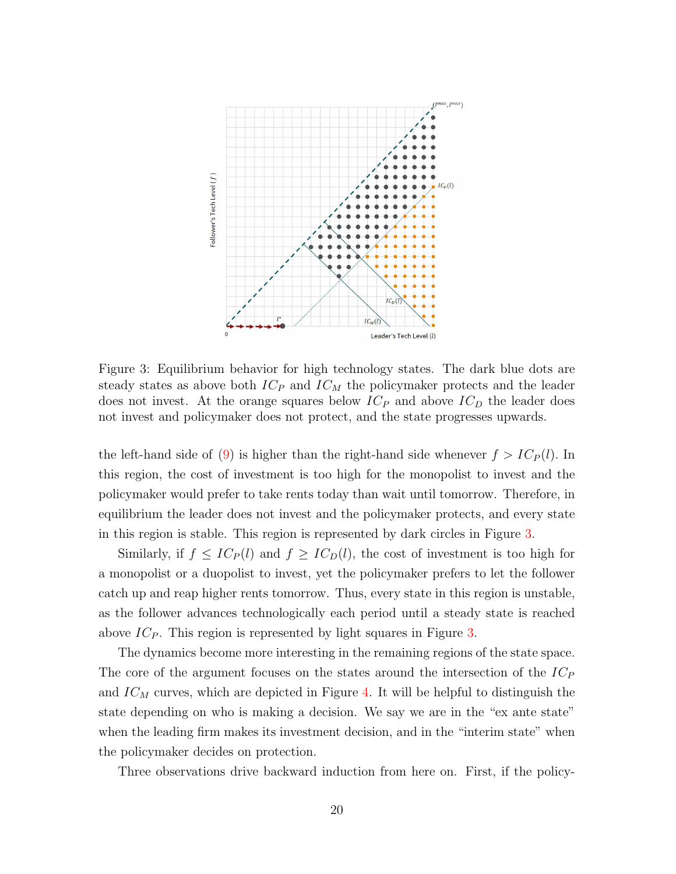

<span id="page-19-0"></span>Figure 3: Equilibrium behavior for high technology states. The dark blue dots are steady states as above both  $IC<sub>P</sub>$  and  $IC<sub>M</sub>$  the policymaker protects and the leader does not invest. At the orange squares below  $IC_P$  and above  $IC_D$  the leader does not invest and policymaker does not protect, and the state progresses upwards.

the left-hand side of [\(9\)](#page-15-1) is higher than the right-hand side whenever  $f > IC<sub>P</sub>(l)$ . In this region, the cost of investment is too high for the monopolist to invest and the policymaker would prefer to take rents today than wait until tomorrow. Therefore, in equilibrium the leader does not invest and the policymaker protects, and every state in this region is stable. This region is represented by dark circles in Figure [3.](#page-19-0)

Similarly, if  $f \leq IC_P(l)$  and  $f \geq IC_D(l)$ , the cost of investment is too high for a monopolist or a duopolist to invest, yet the policymaker prefers to let the follower catch up and reap higher rents tomorrow. Thus, every state in this region is unstable, as the follower advances technologically each period until a steady state is reached above  $IC_P$ . This region is represented by light squares in Figure [3.](#page-19-0)

The dynamics become more interesting in the remaining regions of the state space. The core of the argument focuses on the states around the intersection of the  $IC_P$ and  $IC_M$  curves, which are depicted in Figure [4.](#page-21-0) It will be helpful to distinguish the state depending on who is making a decision. We say we are in the "ex ante state" when the leading firm makes its investment decision, and in the "interim state" when the policymaker decides on protection.

Three observations drive backward induction from here on. First, if the policy-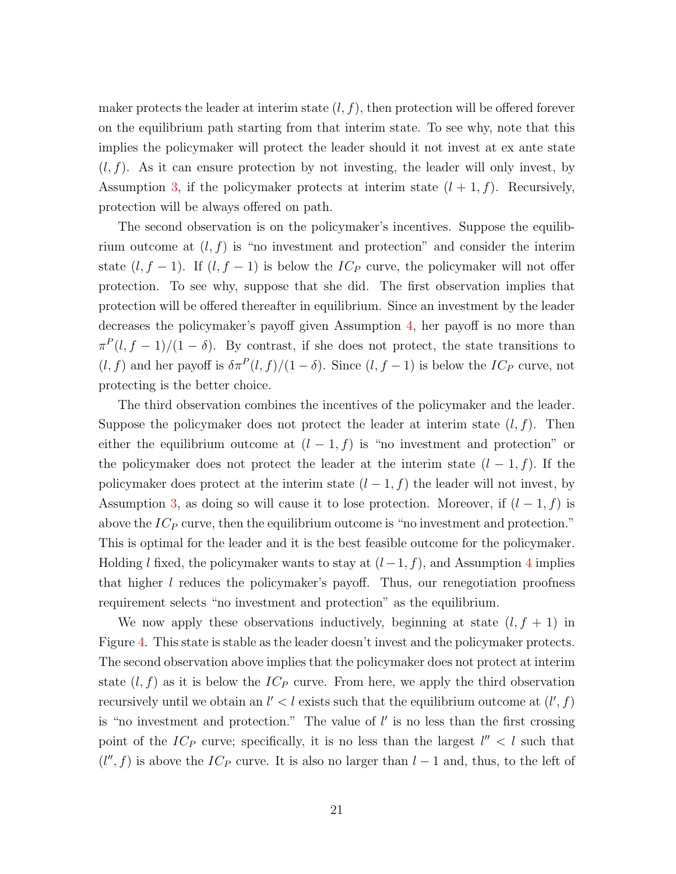maker protects the leader at interim state  $(l, f)$ , then protection will be offered forever on the equilibrium path starting from that interim state. To see why, note that this implies the policymaker will protect the leader should it not invest at ex ante state  $(l, f)$ . As it can ensure protection by not investing, the leader will only invest, by Assumption [3,](#page-7-1) if the policymaker protects at interim state  $(l + 1, f)$ . Recursively, protection will be always offered on path.

The second observation is on the policymaker's incentives. Suppose the equilibrium outcome at  $(l, f)$  is "no investment and protection" and consider the interim state  $(l, f - 1)$ . If  $(l, f - 1)$  is below the  $IC_P$  curve, the policymaker will not offer protection. To see why, suppose that she did. The first observation implies that protection will be offered thereafter in equilibrium. Since an investment by the leader decreases the policymaker's payoff given Assumption [4,](#page-10-1) her payoff is no more than  $\pi^P(l, f-1)/(1-\delta)$ . By contrast, if she does not protect, the state transitions to  $(l, f)$  and her payoff is  $\delta \pi^P(l, f)/(1 - \delta)$ . Since  $(l, f - 1)$  is below the  $IC_P$  curve, not protecting is the better choice.

The third observation combines the incentives of the policymaker and the leader. Suppose the policymaker does not protect the leader at interim state  $(l, f)$ . Then either the equilibrium outcome at  $(l-1, f)$  is "no investment and protection" or the policymaker does not protect the leader at the interim state  $(l-1, f)$ . If the policymaker does protect at the interim state  $(l-1, f)$  the leader will not invest, by Assumption [3,](#page-7-1) as doing so will cause it to lose protection. Moreover, if  $(l-1, f)$  is above the  $IC_P$  curve, then the equilibrium outcome is "no investment and protection." This is optimal for the leader and it is the best feasible outcome for the policymaker. Holding l fixed, the policymaker wants to stay at  $(l-1, f)$ , and Assumption [4](#page-10-1) implies that higher  $l$  reduces the policymaker's payoff. Thus, our renegotiation proofness requirement selects "no investment and protection" as the equilibrium.

We now apply these observations inductively, beginning at state  $(l, f + 1)$  in Figure [4.](#page-21-0) This state is stable as the leader doesn't invest and the policymaker protects. The second observation above implies that the policymaker does not protect at interim state  $(l, f)$  as it is below the  $IC_P$  curve. From here, we apply the third observation recursively until we obtain an  $l' < l$  exists such that the equilibrium outcome at  $(l', f)$ is "no investment and protection." The value of  $l'$  is no less than the first crossing point of the  $IC_P$  curve; specifically, it is no less than the largest  $l'' < l$  such that  $(l'', f)$  is above the  $IC_P$  curve. It is also no larger than  $l - 1$  and, thus, to the left of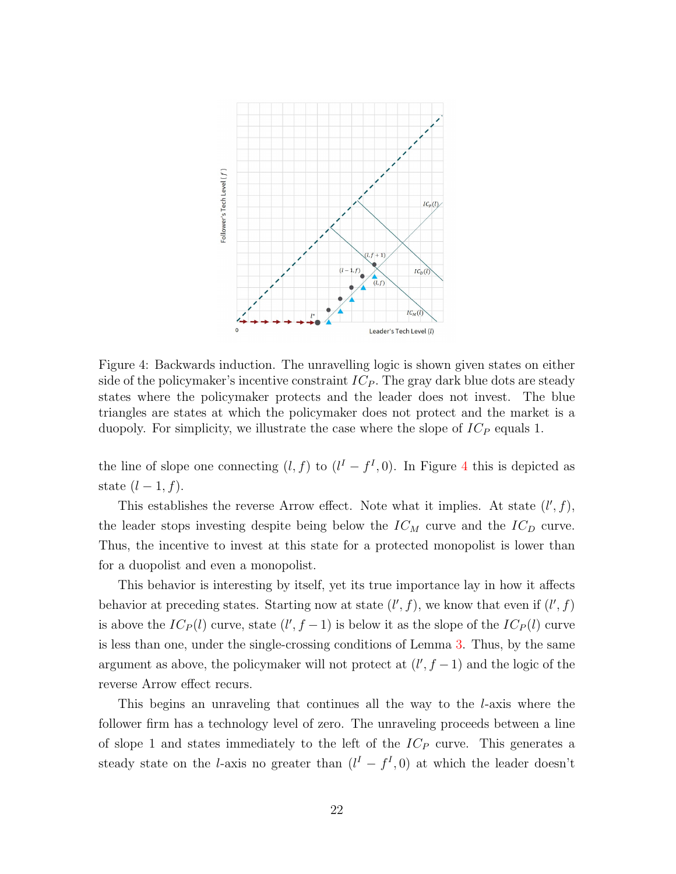

<span id="page-21-0"></span>Figure 4: Backwards induction. The unravelling logic is shown given states on either side of the policymaker's incentive constraint  $IC_P$ . The gray dark blue dots are steady states where the policymaker protects and the leader does not invest. The blue triangles are states at which the policymaker does not protect and the market is a duopoly. For simplicity, we illustrate the case where the slope of  $IC_P$  equals 1.

the line of slope one connecting  $(l, f)$  to  $(l^I - f^I, 0)$ . In Figure [4](#page-21-0) this is depicted as state  $(l-1, f)$ .

This establishes the reverse Arrow effect. Note what it implies. At state  $(l', f)$ , the leader stops investing despite being below the  $IC_M$  curve and the  $IC_D$  curve. Thus, the incentive to invest at this state for a protected monopolist is lower than for a duopolist and even a monopolist.

This behavior is interesting by itself, yet its true importance lay in how it affects behavior at preceding states. Starting now at state  $(l', f)$ , we know that even if  $(l', f)$ is above the  $IC_P(l)$  curve, state  $(l', f - 1)$  is below it as the slope of the  $IC_P(l)$  curve is less than one, under the single-crossing conditions of Lemma [3.](#page-15-2) Thus, by the same argument as above, the policymaker will not protect at  $(l', f - 1)$  and the logic of the reverse Arrow effect recurs.

This begins an unraveling that continues all the way to the l-axis where the follower firm has a technology level of zero. The unraveling proceeds between a line of slope 1 and states immediately to the left of the  $IC_P$  curve. This generates a steady state on the *l*-axis no greater than  $(l^I - f^I, 0)$  at which the leader doesn't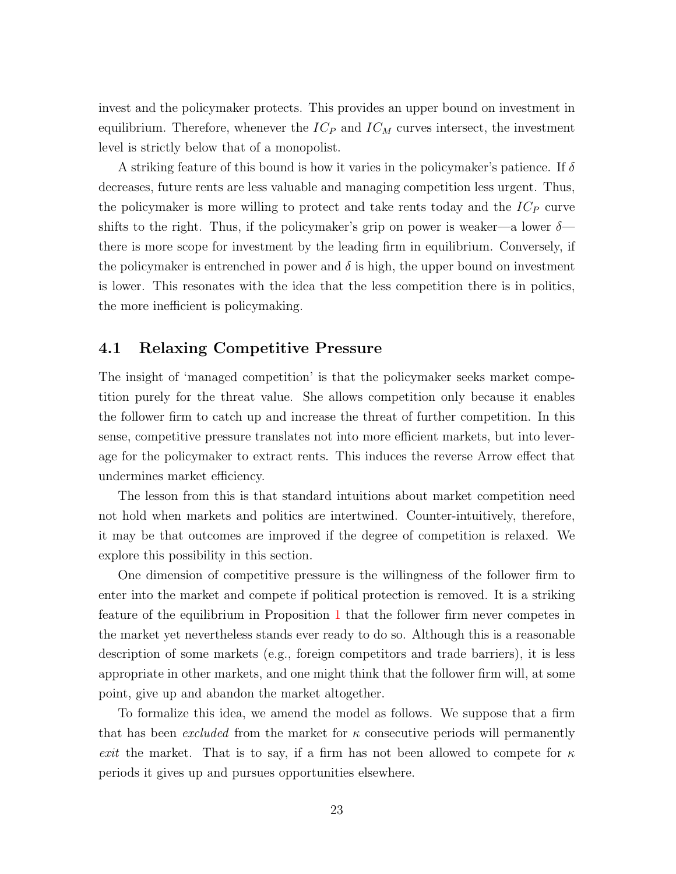invest and the policymaker protects. This provides an upper bound on investment in equilibrium. Therefore, whenever the  $IC_P$  and  $IC_M$  curves intersect, the investment level is strictly below that of a monopolist.

A striking feature of this bound is how it varies in the policymaker's patience. If  $\delta$ decreases, future rents are less valuable and managing competition less urgent. Thus, the policymaker is more willing to protect and take rents today and the  $IC<sub>P</sub>$  curve shifts to the right. Thus, if the policymaker's grip on power is weaker—a lower  $\delta$  there is more scope for investment by the leading firm in equilibrium. Conversely, if the policymaker is entrenched in power and  $\delta$  is high, the upper bound on investment is lower. This resonates with the idea that the less competition there is in politics, the more inefficient is policymaking.

### 4.1 Relaxing Competitive Pressure

The insight of 'managed competition' is that the policymaker seeks market competition purely for the threat value. She allows competition only because it enables the follower firm to catch up and increase the threat of further competition. In this sense, competitive pressure translates not into more efficient markets, but into leverage for the policymaker to extract rents. This induces the reverse Arrow effect that undermines market efficiency.

The lesson from this is that standard intuitions about market competition need not hold when markets and politics are intertwined. Counter-intuitively, therefore, it may be that outcomes are improved if the degree of competition is relaxed. We explore this possibility in this section.

One dimension of competitive pressure is the willingness of the follower firm to enter into the market and compete if political protection is removed. It is a striking feature of the equilibrium in Proposition [1](#page-16-4) that the follower firm never competes in the market yet nevertheless stands ever ready to do so. Although this is a reasonable description of some markets (e.g., foreign competitors and trade barriers), it is less appropriate in other markets, and one might think that the follower firm will, at some point, give up and abandon the market altogether.

To formalize this idea, we amend the model as follows. We suppose that a firm that has been *excluded* from the market for  $\kappa$  consecutive periods will permanently exit the market. That is to say, if a firm has not been allowed to compete for  $\kappa$ periods it gives up and pursues opportunities elsewhere.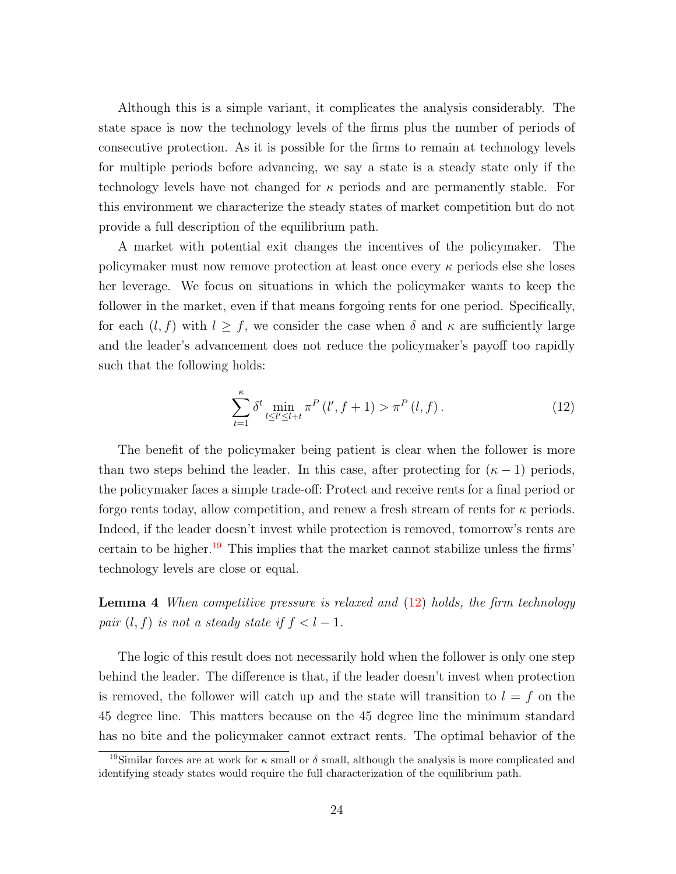Although this is a simple variant, it complicates the analysis considerably. The state space is now the technology levels of the firms plus the number of periods of consecutive protection. As it is possible for the firms to remain at technology levels for multiple periods before advancing, we say a state is a steady state only if the technology levels have not changed for  $\kappa$  periods and are permanently stable. For this environment we characterize the steady states of market competition but do not provide a full description of the equilibrium path.

A market with potential exit changes the incentives of the policymaker. The policymaker must now remove protection at least once every  $\kappa$  periods else she loses her leverage. We focus on situations in which the policymaker wants to keep the follower in the market, even if that means forgoing rents for one period. Specifically, for each  $(l, f)$  with  $l \geq f$ , we consider the case when  $\delta$  and  $\kappa$  are sufficiently large and the leader's advancement does not reduce the policymaker's payoff too rapidly such that the following holds:

<span id="page-23-1"></span>
$$
\sum_{t=1}^{\kappa} \delta^t \min_{l \le l' \le l+t} \pi^P(l', f+1) > \pi^P(l, f). \tag{12}
$$

The benefit of the policymaker being patient is clear when the follower is more than two steps behind the leader. In this case, after protecting for  $(\kappa - 1)$  periods, the policymaker faces a simple trade-off: Protect and receive rents for a final period or forgo rents today, allow competition, and renew a fresh stream of rents for  $\kappa$  periods. Indeed, if the leader doesn't invest while protection is removed, tomorrow's rents are certain to be higher.<sup>[19](#page-23-0)</sup> This implies that the market cannot stabilize unless the firms' technology levels are close or equal.

<span id="page-23-2"></span>**Lemma 4** When competitive pressure is relaxed and  $(12)$  holds, the firm technology pair  $(l, f)$  is not a steady state if  $f < l-1$ .

The logic of this result does not necessarily hold when the follower is only one step behind the leader. The difference is that, if the leader doesn't invest when protection is removed, the follower will catch up and the state will transition to  $l = f$  on the 45 degree line. This matters because on the 45 degree line the minimum standard has no bite and the policymaker cannot extract rents. The optimal behavior of the

<span id="page-23-0"></span><sup>&</sup>lt;sup>19</sup>Similar forces are at work for  $\kappa$  small or  $\delta$  small, although the analysis is more complicated and identifying steady states would require the full characterization of the equilibrium path.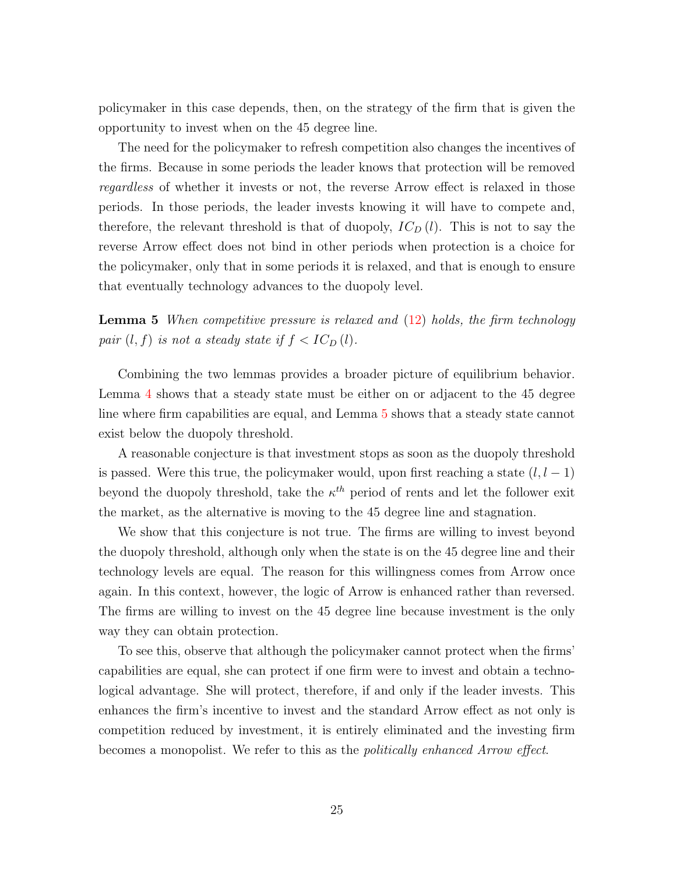policymaker in this case depends, then, on the strategy of the firm that is given the opportunity to invest when on the 45 degree line.

The need for the policymaker to refresh competition also changes the incentives of the firms. Because in some periods the leader knows that protection will be removed regardless of whether it invests or not, the reverse Arrow effect is relaxed in those periods. In those periods, the leader invests knowing it will have to compete and, therefore, the relevant threshold is that of duopoly,  $IC_D(l)$ . This is not to say the reverse Arrow effect does not bind in other periods when protection is a choice for the policymaker, only that in some periods it is relaxed, and that is enough to ensure that eventually technology advances to the duopoly level.

<span id="page-24-0"></span>**Lemma 5** When competitive pressure is relaxed and  $(12)$  holds, the firm technology pair  $(l, f)$  is not a steady state if  $f < IC_D(l)$ .

Combining the two lemmas provides a broader picture of equilibrium behavior. Lemma [4](#page-23-2) shows that a steady state must be either on or adjacent to the 45 degree line where firm capabilities are equal, and Lemma [5](#page-24-0) shows that a steady state cannot exist below the duopoly threshold.

A reasonable conjecture is that investment stops as soon as the duopoly threshold is passed. Were this true, the policymaker would, upon first reaching a state  $(l, l - 1)$ beyond the duopoly threshold, take the  $\kappa^{th}$  period of rents and let the follower exit the market, as the alternative is moving to the 45 degree line and stagnation.

We show that this conjecture is not true. The firms are willing to invest beyond the duopoly threshold, although only when the state is on the 45 degree line and their technology levels are equal. The reason for this willingness comes from Arrow once again. In this context, however, the logic of Arrow is enhanced rather than reversed. The firms are willing to invest on the 45 degree line because investment is the only way they can obtain protection.

To see this, observe that although the policymaker cannot protect when the firms' capabilities are equal, she can protect if one firm were to invest and obtain a technological advantage. She will protect, therefore, if and only if the leader invests. This enhances the firm's incentive to invest and the standard Arrow effect as not only is competition reduced by investment, it is entirely eliminated and the investing firm becomes a monopolist. We refer to this as the politically enhanced Arrow effect.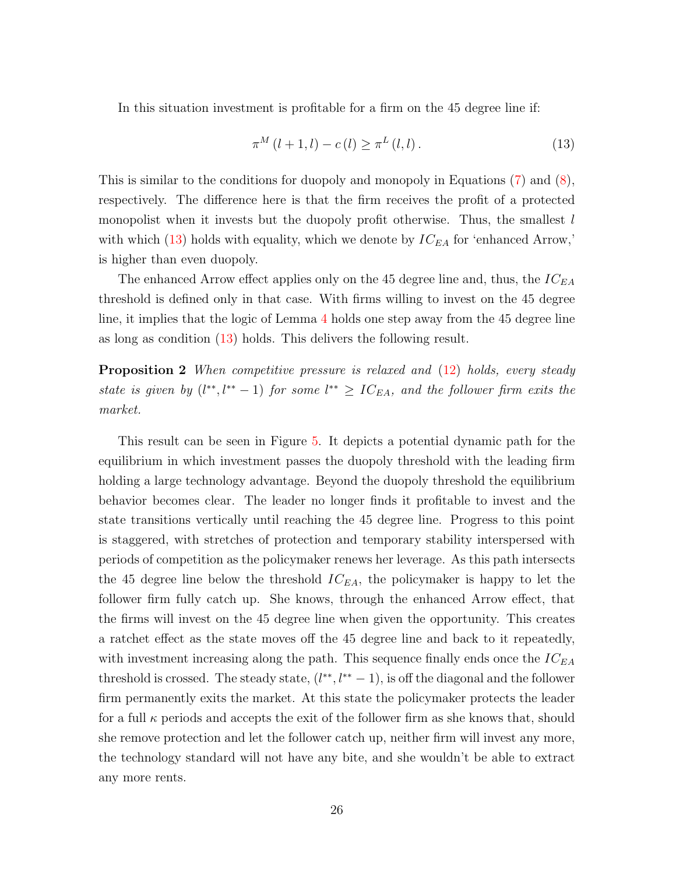In this situation investment is profitable for a firm on the 45 degree line if:

<span id="page-25-0"></span>
$$
\pi^{M} (l+1, l) - c(l) \ge \pi^{L} (l, l). \tag{13}
$$

This is similar to the conditions for duopoly and monopoly in Equations [\(7\)](#page-12-0) and [\(8\)](#page-14-0), respectively. The difference here is that the firm receives the profit of a protected monopolist when it invests but the duopoly profit otherwise. Thus, the smallest  $l$ with which [\(13\)](#page-25-0) holds with equality, which we denote by  $IC_{EA}$  for 'enhanced Arrow,' is higher than even duopoly.

The enhanced Arrow effect applies only on the 45 degree line and, thus, the  $IC_{EA}$ threshold is defined only in that case. With firms willing to invest on the 45 degree line, it implies that the logic of Lemma [4](#page-23-2) holds one step away from the 45 degree line as long as condition [\(13\)](#page-25-0) holds. This delivers the following result.

<span id="page-25-1"></span>**Proposition 2** When competitive pressure is relaxed and [\(12\)](#page-23-1) holds, every steady state is given by  $(l^{**}, l^{**}-1)$  for some  $l^{**} \geq IC_{EA}$ , and the follower firm exits the market.

This result can be seen in Figure [5.](#page-26-0) It depicts a potential dynamic path for the equilibrium in which investment passes the duopoly threshold with the leading firm holding a large technology advantage. Beyond the duopoly threshold the equilibrium behavior becomes clear. The leader no longer finds it profitable to invest and the state transitions vertically until reaching the 45 degree line. Progress to this point is staggered, with stretches of protection and temporary stability interspersed with periods of competition as the policymaker renews her leverage. As this path intersects the 45 degree line below the threshold  $IC_{EA}$ , the policymaker is happy to let the follower firm fully catch up. She knows, through the enhanced Arrow effect, that the firms will invest on the 45 degree line when given the opportunity. This creates a ratchet effect as the state moves off the 45 degree line and back to it repeatedly, with investment increasing along the path. This sequence finally ends once the  $IC_{EA}$ threshold is crossed. The steady state,  $(l^{**}, l^{**} - 1)$ , is off the diagonal and the follower firm permanently exits the market. At this state the policymaker protects the leader for a full  $\kappa$  periods and accepts the exit of the follower firm as she knows that, should she remove protection and let the follower catch up, neither firm will invest any more, the technology standard will not have any bite, and she wouldn't be able to extract any more rents.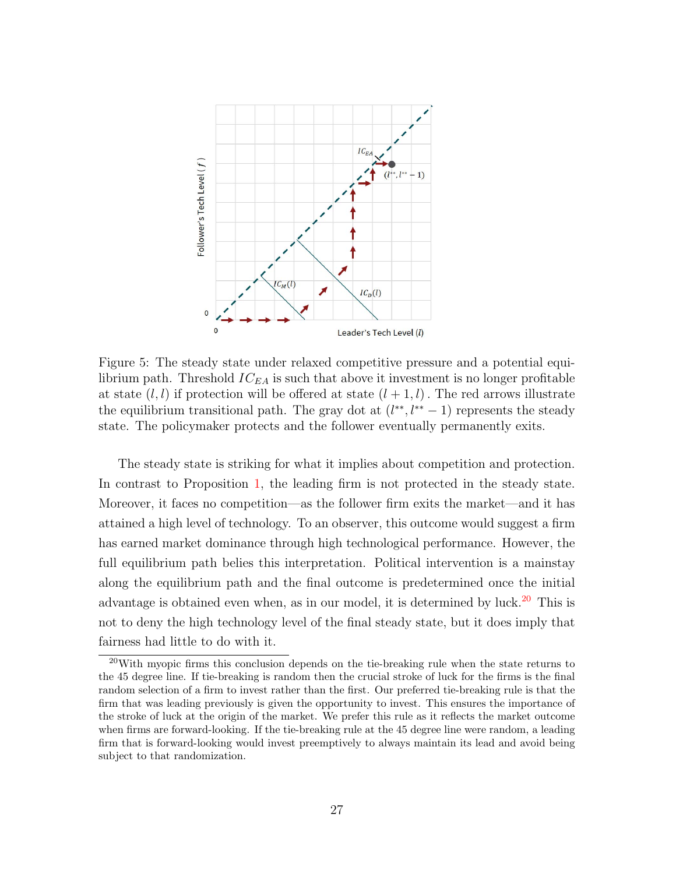

<span id="page-26-0"></span>Figure 5: The steady state under relaxed competitive pressure and a potential equilibrium path. Threshold  $IC_{EA}$  is such that above it investment is no longer profitable at state  $(l, l)$  if protection will be offered at state  $(l + 1, l)$ . The red arrows illustrate the equilibrium transitional path. The gray dot at  $(l^{**}, l^{**} - 1)$  represents the steady state. The policymaker protects and the follower eventually permanently exits.

The steady state is striking for what it implies about competition and protection. In contrast to Proposition [1,](#page-16-4) the leading firm is not protected in the steady state. Moreover, it faces no competition—as the follower firm exits the market—and it has attained a high level of technology. To an observer, this outcome would suggest a firm has earned market dominance through high technological performance. However, the full equilibrium path belies this interpretation. Political intervention is a mainstay along the equilibrium path and the final outcome is predetermined once the initial advantage is obtained even when, as in our model, it is determined by luck.<sup>[20](#page-26-1)</sup> This is not to deny the high technology level of the final steady state, but it does imply that fairness had little to do with it.

<span id="page-26-1"></span><sup>20</sup>With myopic firms this conclusion depends on the tie-breaking rule when the state returns to the 45 degree line. If tie-breaking is random then the crucial stroke of luck for the firms is the final random selection of a firm to invest rather than the first. Our preferred tie-breaking rule is that the firm that was leading previously is given the opportunity to invest. This ensures the importance of the stroke of luck at the origin of the market. We prefer this rule as it reflects the market outcome when firms are forward-looking. If the tie-breaking rule at the 45 degree line were random, a leading firm that is forward-looking would invest preemptively to always maintain its lead and avoid being subject to that randomization.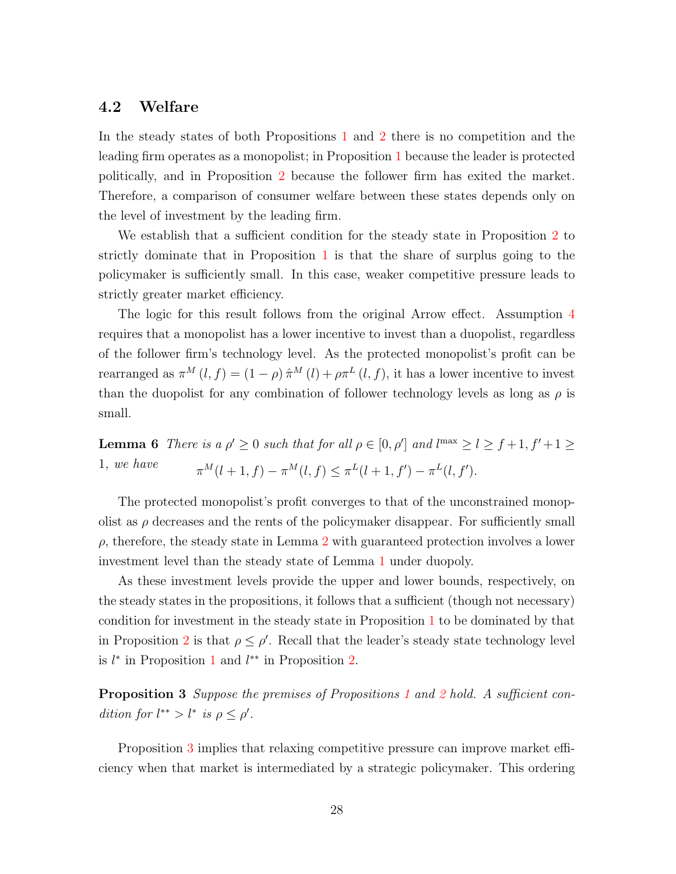### 4.2 Welfare

In the steady states of both Propositions [1](#page-16-4) and [2](#page-25-1) there is no competition and the leading firm operates as a monopolist; in Proposition [1](#page-16-4) because the leader is protected politically, and in Proposition [2](#page-25-1) because the follower firm has exited the market. Therefore, a comparison of consumer welfare between these states depends only on the level of investment by the leading firm.

We establish that a sufficient condition for the steady state in Proposition [2](#page-25-1) to strictly dominate that in Proposition [1](#page-16-4) is that the share of surplus going to the policymaker is sufficiently small. In this case, weaker competitive pressure leads to strictly greater market efficiency.

The logic for this result follows from the original Arrow effect. Assumption [4](#page-10-1) requires that a monopolist has a lower incentive to invest than a duopolist, regardless of the follower firm's technology level. As the protected monopolist's profit can be rearranged as  $\pi^M(l, f) = (1 - \rho) \hat{\pi}^M(l) + \rho \pi^L(l, f)$ , it has a lower incentive to invest than the duopolist for any combination of follower technology levels as long as  $\rho$  is small.

<span id="page-27-1"></span>**Lemma 6** There is a  $\rho' \ge 0$  such that for all  $\rho \in [0, \rho']$  and  $l^{\max} \ge l \ge f+1, f'+1 \ge l$ 1, we have  $\pi^M(l+1,f) - \pi^M(l,f) \leq \pi^L(l+1,f') - \pi^L(l,f').$ 

The protected monopolist's profit converges to that of the unconstrained monopolist as  $\rho$  decreases and the rents of the policymaker disappear. For sufficiently small  $\rho$ , therefore, the steady state in Lemma [2](#page-14-1) with guaranteed protection involves a lower investment level than the steady state of Lemma [1](#page-12-1) under duopoly.

As these investment levels provide the upper and lower bounds, respectively, on the steady states in the propositions, it follows that a sufficient (though not necessary) condition for investment in the steady state in Proposition [1](#page-16-4) to be dominated by that in Proposition [2](#page-25-1) is that  $\rho \leq \rho'$ . Recall that the leader's steady state technology level is  $l^*$  in Proposition [1](#page-16-4) and  $l^{**}$  in Proposition [2.](#page-25-1)

<span id="page-27-0"></span>**Proposition 3** Suppose the premises of Propositions [1](#page-16-4) and [2](#page-25-1) hold. A sufficient condition for  $l^{**} > l^*$  is  $\rho \leq \rho'$ .

Proposition [3](#page-27-0) implies that relaxing competitive pressure can improve market efficiency when that market is intermediated by a strategic policymaker. This ordering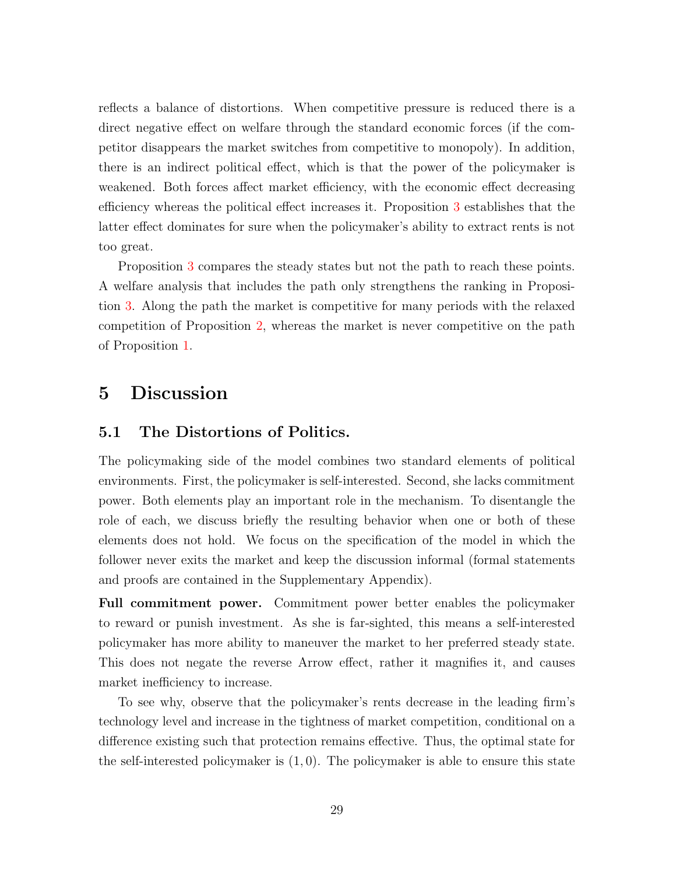reflects a balance of distortions. When competitive pressure is reduced there is a direct negative effect on welfare through the standard economic forces (if the competitor disappears the market switches from competitive to monopoly). In addition, there is an indirect political effect, which is that the power of the policymaker is weakened. Both forces affect market efficiency, with the economic effect decreasing efficiency whereas the political effect increases it. Proposition [3](#page-27-0) establishes that the latter effect dominates for sure when the policymaker's ability to extract rents is not too great.

Proposition [3](#page-27-0) compares the steady states but not the path to reach these points. A welfare analysis that includes the path only strengthens the ranking in Proposition [3.](#page-27-0) Along the path the market is competitive for many periods with the relaxed competition of Proposition [2,](#page-25-1) whereas the market is never competitive on the path of Proposition [1.](#page-16-4)

# <span id="page-28-0"></span>5 Discussion

### 5.1 The Distortions of Politics.

The policymaking side of the model combines two standard elements of political environments. First, the policymaker is self-interested. Second, she lacks commitment power. Both elements play an important role in the mechanism. To disentangle the role of each, we discuss briefly the resulting behavior when one or both of these elements does not hold. We focus on the specification of the model in which the follower never exits the market and keep the discussion informal (formal statements and proofs are contained in the Supplementary Appendix).

Full commitment power. Commitment power better enables the policymaker to reward or punish investment. As she is far-sighted, this means a self-interested policymaker has more ability to maneuver the market to her preferred steady state. This does not negate the reverse Arrow effect, rather it magnifies it, and causes market inefficiency to increase.

To see why, observe that the policymaker's rents decrease in the leading firm's technology level and increase in the tightness of market competition, conditional on a difference existing such that protection remains effective. Thus, the optimal state for the self-interested policymaker is  $(1,0)$ . The policymaker is able to ensure this state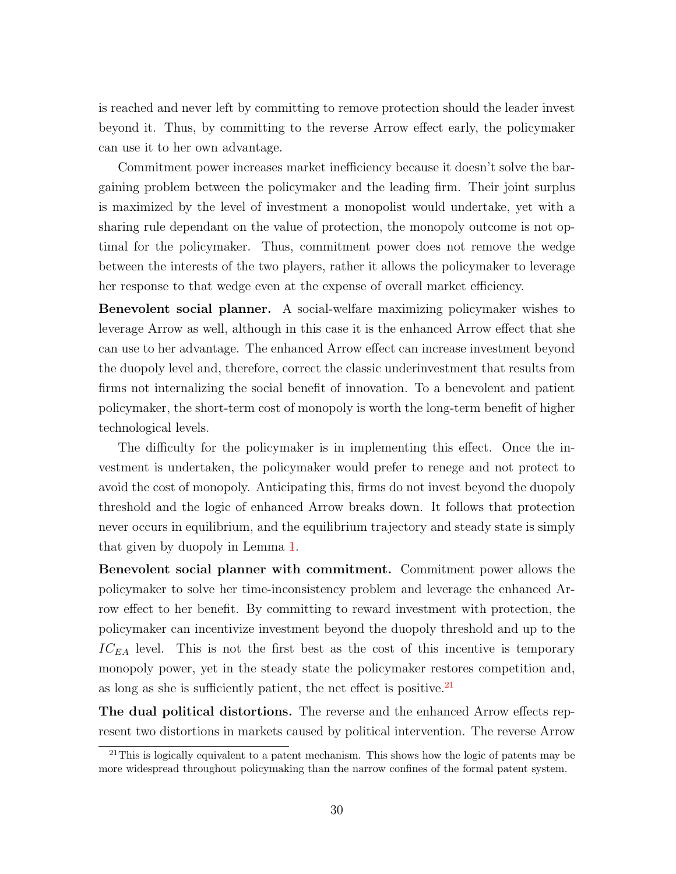is reached and never left by committing to remove protection should the leader invest beyond it. Thus, by committing to the reverse Arrow effect early, the policymaker can use it to her own advantage.

Commitment power increases market inefficiency because it doesn't solve the bargaining problem between the policymaker and the leading firm. Their joint surplus is maximized by the level of investment a monopolist would undertake, yet with a sharing rule dependant on the value of protection, the monopoly outcome is not optimal for the policymaker. Thus, commitment power does not remove the wedge between the interests of the two players, rather it allows the policymaker to leverage her response to that wedge even at the expense of overall market efficiency.

Benevolent social planner. A social-welfare maximizing policymaker wishes to leverage Arrow as well, although in this case it is the enhanced Arrow effect that she can use to her advantage. The enhanced Arrow effect can increase investment beyond the duopoly level and, therefore, correct the classic underinvestment that results from firms not internalizing the social benefit of innovation. To a benevolent and patient policymaker, the short-term cost of monopoly is worth the long-term benefit of higher technological levels.

The difficulty for the policymaker is in implementing this effect. Once the investment is undertaken, the policymaker would prefer to renege and not protect to avoid the cost of monopoly. Anticipating this, firms do not invest beyond the duopoly threshold and the logic of enhanced Arrow breaks down. It follows that protection never occurs in equilibrium, and the equilibrium trajectory and steady state is simply that given by duopoly in Lemma [1.](#page-12-1)

Benevolent social planner with commitment. Commitment power allows the policymaker to solve her time-inconsistency problem and leverage the enhanced Arrow effect to her benefit. By committing to reward investment with protection, the policymaker can incentivize investment beyond the duopoly threshold and up to the  $IC_{EA}$  level. This is not the first best as the cost of this incentive is temporary monopoly power, yet in the steady state the policymaker restores competition and, as long as she is sufficiently patient, the net effect is positive. $^{21}$  $^{21}$  $^{21}$ 

The dual political distortions. The reverse and the enhanced Arrow effects represent two distortions in markets caused by political intervention. The reverse Arrow

<span id="page-29-0"></span><sup>&</sup>lt;sup>21</sup>This is logically equivalent to a patent mechanism. This shows how the logic of patents may be more widespread throughout policymaking than the narrow confines of the formal patent system.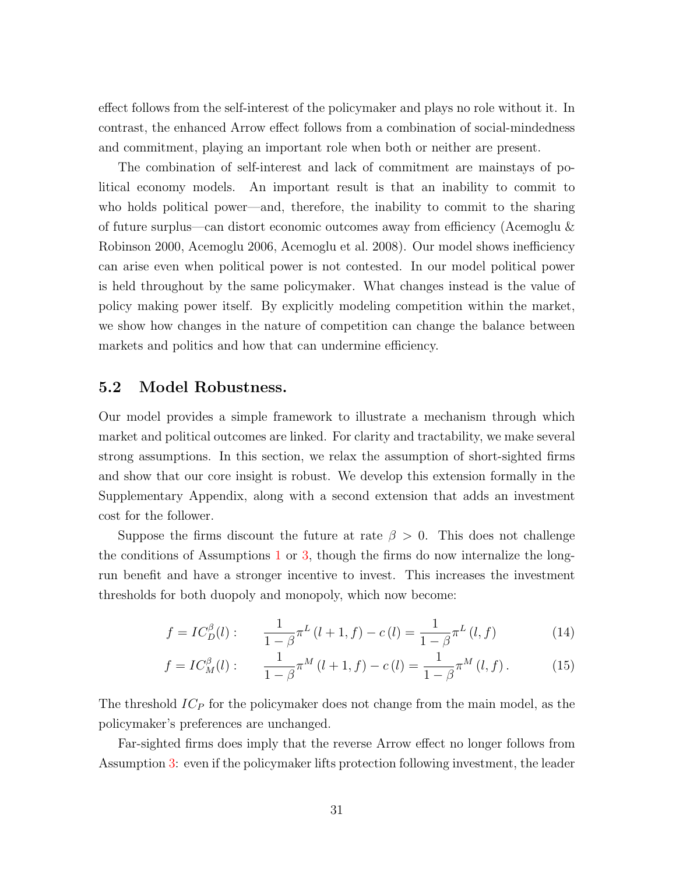effect follows from the self-interest of the policymaker and plays no role without it. In contrast, the enhanced Arrow effect follows from a combination of social-mindedness and commitment, playing an important role when both or neither are present.

The combination of self-interest and lack of commitment are mainstays of political economy models. An important result is that an inability to commit to who holds political power—and, therefore, the inability to commit to the sharing of future surplus—can distort economic outcomes away from efficiency (Acemoglu & Robinson 2000, Acemoglu 2006, Acemoglu et al. 2008). Our model shows inefficiency can arise even when political power is not contested. In our model political power is held throughout by the same policymaker. What changes instead is the value of policy making power itself. By explicitly modeling competition within the market, we show how changes in the nature of competition can change the balance between markets and politics and how that can undermine efficiency.

#### 5.2 Model Robustness.

Our model provides a simple framework to illustrate a mechanism through which market and political outcomes are linked. For clarity and tractability, we make several strong assumptions. In this section, we relax the assumption of short-sighted firms and show that our core insight is robust. We develop this extension formally in the Supplementary Appendix, along with a second extension that adds an investment cost for the follower.

Suppose the firms discount the future at rate  $\beta > 0$ . This does not challenge the conditions of Assumptions [1](#page-6-2) or [3,](#page-7-1) though the firms do now internalize the longrun benefit and have a stronger incentive to invest. This increases the investment thresholds for both duopoly and monopoly, which now become:

$$
f = IC_D^{\beta}(l): \qquad \frac{1}{1-\beta}\pi^L(l+1,f) - c(l) = \frac{1}{1-\beta}\pi^L(l,f) \tag{14}
$$

$$
f = IC_{M}^{\beta}(l): \qquad \frac{1}{1-\beta}\pi^{M}(l+1,f) - c(l) = \frac{1}{1-\beta}\pi^{M}(l,f).
$$
 (15)

The threshold  $IC<sub>P</sub>$  for the policymaker does not change from the main model, as the policymaker's preferences are unchanged.

Far-sighted firms does imply that the reverse Arrow effect no longer follows from Assumption [3:](#page-7-1) even if the policymaker lifts protection following investment, the leader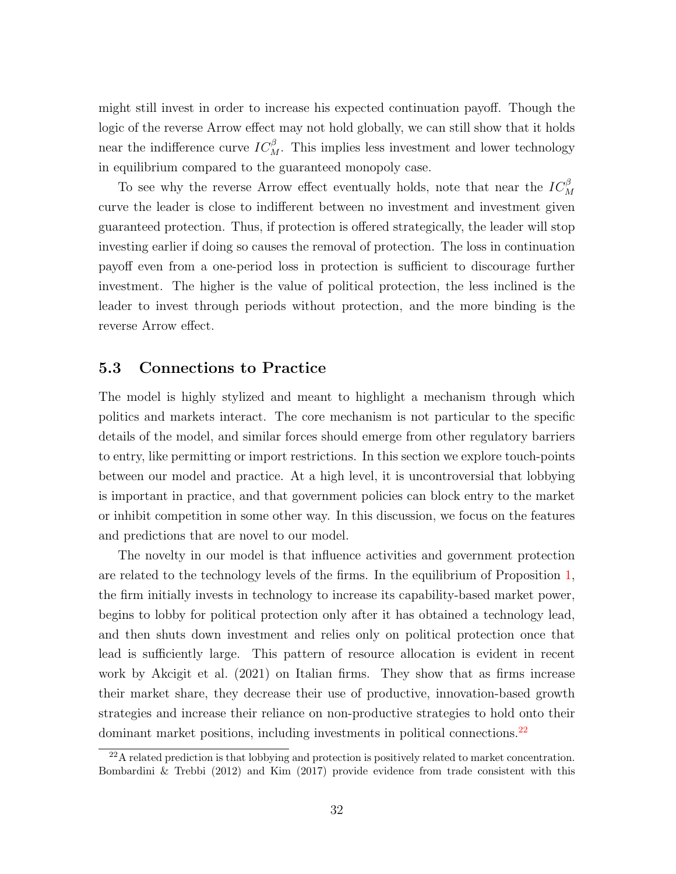might still invest in order to increase his expected continuation payoff. Though the logic of the reverse Arrow effect may not hold globally, we can still show that it holds near the indifference curve  $IC_M^{\beta}$ . This implies less investment and lower technology in equilibrium compared to the guaranteed monopoly case.

To see why the reverse Arrow effect eventually holds, note that near the  $IC_M^{\beta}$ curve the leader is close to indifferent between no investment and investment given guaranteed protection. Thus, if protection is offered strategically, the leader will stop investing earlier if doing so causes the removal of protection. The loss in continuation payoff even from a one-period loss in protection is sufficient to discourage further investment. The higher is the value of political protection, the less inclined is the leader to invest through periods without protection, and the more binding is the reverse Arrow effect.

#### 5.3 Connections to Practice

The model is highly stylized and meant to highlight a mechanism through which politics and markets interact. The core mechanism is not particular to the specific details of the model, and similar forces should emerge from other regulatory barriers to entry, like permitting or import restrictions. In this section we explore touch-points between our model and practice. At a high level, it is uncontroversial that lobbying is important in practice, and that government policies can block entry to the market or inhibit competition in some other way. In this discussion, we focus on the features and predictions that are novel to our model.

The novelty in our model is that influence activities and government protection are related to the technology levels of the firms. In the equilibrium of Proposition [1,](#page-16-4) the firm initially invests in technology to increase its capability-based market power, begins to lobby for political protection only after it has obtained a technology lead, and then shuts down investment and relies only on political protection once that lead is sufficiently large. This pattern of resource allocation is evident in recent work by Akcigit et al. (2021) on Italian firms. They show that as firms increase their market share, they decrease their use of productive, innovation-based growth strategies and increase their reliance on non-productive strategies to hold onto their dominant market positions, including investments in political connections.<sup>[22](#page-31-0)</sup>

<span id="page-31-0"></span><sup>22</sup>A related prediction is that lobbying and protection is positively related to market concentration. Bombardini & Trebbi (2012) and Kim (2017) provide evidence from trade consistent with this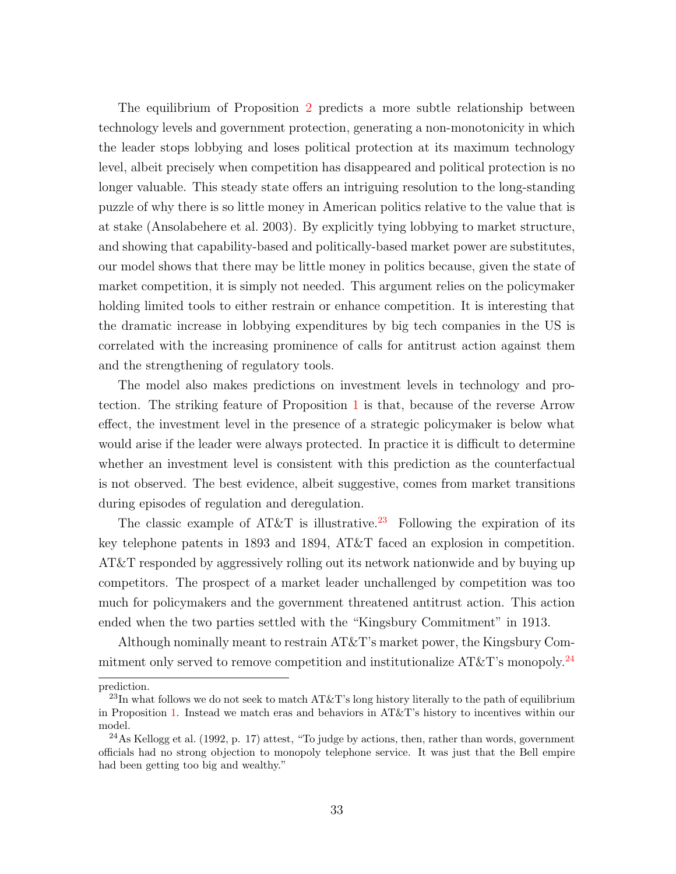The equilibrium of Proposition [2](#page-25-1) predicts a more subtle relationship between technology levels and government protection, generating a non-monotonicity in which the leader stops lobbying and loses political protection at its maximum technology level, albeit precisely when competition has disappeared and political protection is no longer valuable. This steady state offers an intriguing resolution to the long-standing puzzle of why there is so little money in American politics relative to the value that is at stake (Ansolabehere et al. 2003). By explicitly tying lobbying to market structure, and showing that capability-based and politically-based market power are substitutes, our model shows that there may be little money in politics because, given the state of market competition, it is simply not needed. This argument relies on the policymaker holding limited tools to either restrain or enhance competition. It is interesting that the dramatic increase in lobbying expenditures by big tech companies in the US is correlated with the increasing prominence of calls for antitrust action against them and the strengthening of regulatory tools.

The model also makes predictions on investment levels in technology and protection. The striking feature of Proposition [1](#page-16-4) is that, because of the reverse Arrow effect, the investment level in the presence of a strategic policymaker is below what would arise if the leader were always protected. In practice it is difficult to determine whether an investment level is consistent with this prediction as the counterfactual is not observed. The best evidence, albeit suggestive, comes from market transitions during episodes of regulation and deregulation.

The classic example of AT&T is illustrative.<sup>[23](#page-32-0)</sup> Following the expiration of its key telephone patents in 1893 and 1894, AT&T faced an explosion in competition. AT&T responded by aggressively rolling out its network nationwide and by buying up competitors. The prospect of a market leader unchallenged by competition was too much for policymakers and the government threatened antitrust action. This action ended when the two parties settled with the "Kingsbury Commitment" in 1913.

Although nominally meant to restrain AT&T's market power, the Kingsbury Commitment only served to remove competition and institutionalize  $AT\&T$ 's monopoly.<sup>[24](#page-32-1)</sup>

prediction.

<span id="page-32-0"></span><sup>&</sup>lt;sup>23</sup>In what follows we do not seek to match AT&T's long history literally to the path of equilibrium in Proposition [1.](#page-16-4) Instead we match eras and behaviors in AT&T's history to incentives within our model.

<span id="page-32-1"></span> $^{24}$ As Kellogg et al. (1992, p. 17) attest, "To judge by actions, then, rather than words, government officials had no strong objection to monopoly telephone service. It was just that the Bell empire had been getting too big and wealthy."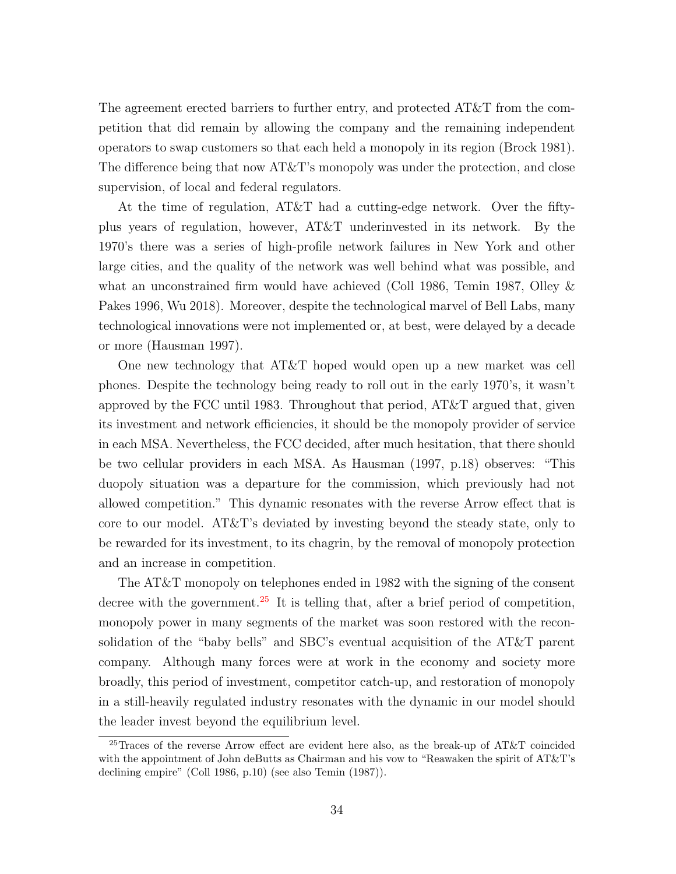The agreement erected barriers to further entry, and protected AT&T from the competition that did remain by allowing the company and the remaining independent operators to swap customers so that each held a monopoly in its region (Brock 1981). The difference being that now  $AT\&T$ 's monopoly was under the protection, and close supervision, of local and federal regulators.

At the time of regulation, AT&T had a cutting-edge network. Over the fiftyplus years of regulation, however, AT&T underinvested in its network. By the 1970's there was a series of high-profile network failures in New York and other large cities, and the quality of the network was well behind what was possible, and what an unconstrained firm would have achieved (Coll 1986, Temin 1987, Olley & Pakes 1996, Wu 2018). Moreover, despite the technological marvel of Bell Labs, many technological innovations were not implemented or, at best, were delayed by a decade or more (Hausman 1997).

One new technology that AT&T hoped would open up a new market was cell phones. Despite the technology being ready to roll out in the early 1970's, it wasn't approved by the FCC until 1983. Throughout that period, AT&T argued that, given its investment and network efficiencies, it should be the monopoly provider of service in each MSA. Nevertheless, the FCC decided, after much hesitation, that there should be two cellular providers in each MSA. As Hausman (1997, p.18) observes: "This duopoly situation was a departure for the commission, which previously had not allowed competition." This dynamic resonates with the reverse Arrow effect that is core to our model. AT&T's deviated by investing beyond the steady state, only to be rewarded for its investment, to its chagrin, by the removal of monopoly protection and an increase in competition.

The AT&T monopoly on telephones ended in 1982 with the signing of the consent decree with the government.<sup>[25](#page-33-0)</sup> It is telling that, after a brief period of competition, monopoly power in many segments of the market was soon restored with the reconsolidation of the "baby bells" and SBC's eventual acquisition of the AT&T parent company. Although many forces were at work in the economy and society more broadly, this period of investment, competitor catch-up, and restoration of monopoly in a still-heavily regulated industry resonates with the dynamic in our model should the leader invest beyond the equilibrium level.

<span id="page-33-0"></span><sup>&</sup>lt;sup>25</sup>Traces of the reverse Arrow effect are evident here also, as the break-up of AT&T coincided with the appointment of John deButts as Chairman and his vow to "Reawaken the spirit of AT&T's declining empire" (Coll 1986, p.10) (see also Temin (1987)).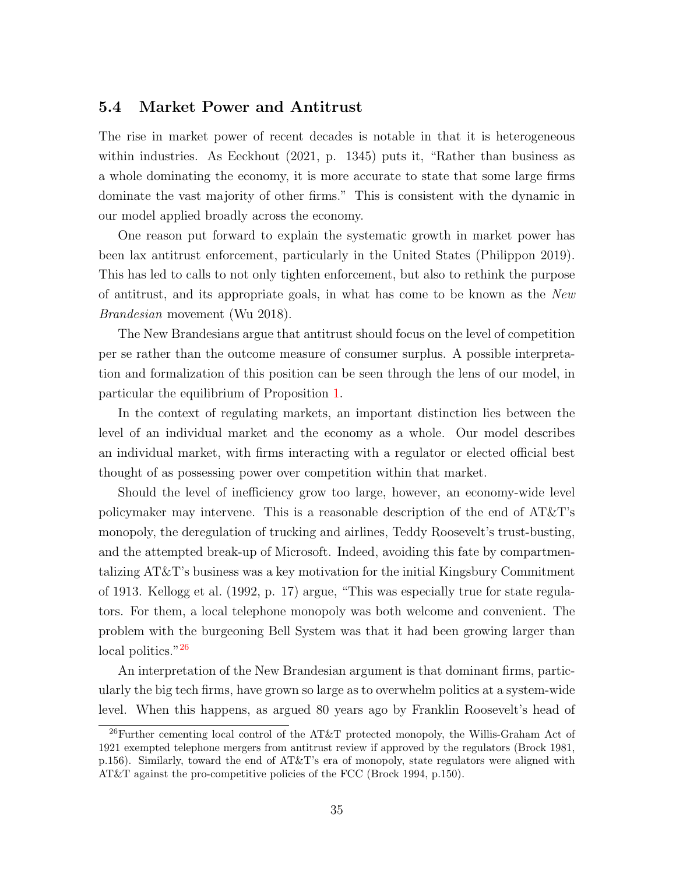#### 5.4 Market Power and Antitrust

The rise in market power of recent decades is notable in that it is heterogeneous within industries. As Eeckhout (2021, p. 1345) puts it, "Rather than business as a whole dominating the economy, it is more accurate to state that some large firms dominate the vast majority of other firms." This is consistent with the dynamic in our model applied broadly across the economy.

One reason put forward to explain the systematic growth in market power has been lax antitrust enforcement, particularly in the United States (Philippon 2019). This has led to calls to not only tighten enforcement, but also to rethink the purpose of antitrust, and its appropriate goals, in what has come to be known as the New Brandesian movement (Wu 2018).

The New Brandesians argue that antitrust should focus on the level of competition per se rather than the outcome measure of consumer surplus. A possible interpretation and formalization of this position can be seen through the lens of our model, in particular the equilibrium of Proposition [1.](#page-16-4)

In the context of regulating markets, an important distinction lies between the level of an individual market and the economy as a whole. Our model describes an individual market, with firms interacting with a regulator or elected official best thought of as possessing power over competition within that market.

Should the level of inefficiency grow too large, however, an economy-wide level policymaker may intervene. This is a reasonable description of the end of AT&T's monopoly, the deregulation of trucking and airlines, Teddy Roosevelt's trust-busting, and the attempted break-up of Microsoft. Indeed, avoiding this fate by compartmentalizing AT&T's business was a key motivation for the initial Kingsbury Commitment of 1913. Kellogg et al. (1992, p. 17) argue, "This was especially true for state regulators. For them, a local telephone monopoly was both welcome and convenient. The problem with the burgeoning Bell System was that it had been growing larger than local politics."<sup>[26](#page-34-0)</sup>

An interpretation of the New Brandesian argument is that dominant firms, particularly the big tech firms, have grown so large as to overwhelm politics at a system-wide level. When this happens, as argued 80 years ago by Franklin Roosevelt's head of

<span id="page-34-0"></span><sup>26</sup>Further cementing local control of the AT&T protected monopoly, the Willis-Graham Act of 1921 exempted telephone mergers from antitrust review if approved by the regulators (Brock 1981, p.156). Similarly, toward the end of AT&T's era of monopoly, state regulators were aligned with AT&T against the pro-competitive policies of the FCC (Brock 1994, p.150).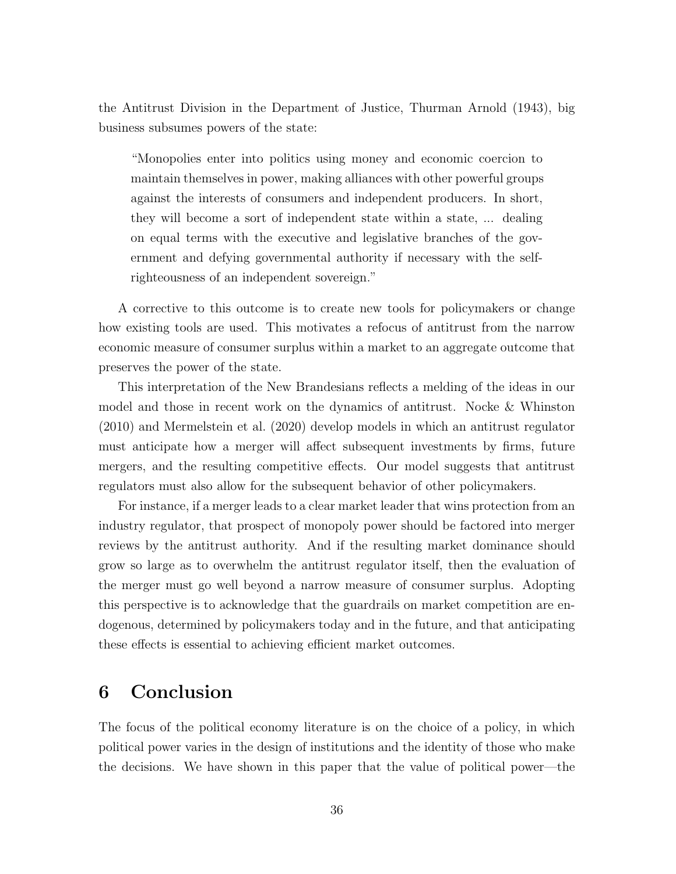the Antitrust Division in the Department of Justice, Thurman Arnold (1943), big business subsumes powers of the state:

"Monopolies enter into politics using money and economic coercion to maintain themselves in power, making alliances with other powerful groups against the interests of consumers and independent producers. In short, they will become a sort of independent state within a state, ... dealing on equal terms with the executive and legislative branches of the government and defying governmental authority if necessary with the selfrighteousness of an independent sovereign."

A corrective to this outcome is to create new tools for policymakers or change how existing tools are used. This motivates a refocus of antitrust from the narrow economic measure of consumer surplus within a market to an aggregate outcome that preserves the power of the state.

This interpretation of the New Brandesians reflects a melding of the ideas in our model and those in recent work on the dynamics of antitrust. Nocke & Whinston (2010) and Mermelstein et al. (2020) develop models in which an antitrust regulator must anticipate how a merger will affect subsequent investments by firms, future mergers, and the resulting competitive effects. Our model suggests that antitrust regulators must also allow for the subsequent behavior of other policymakers.

For instance, if a merger leads to a clear market leader that wins protection from an industry regulator, that prospect of monopoly power should be factored into merger reviews by the antitrust authority. And if the resulting market dominance should grow so large as to overwhelm the antitrust regulator itself, then the evaluation of the merger must go well beyond a narrow measure of consumer surplus. Adopting this perspective is to acknowledge that the guardrails on market competition are endogenous, determined by policymakers today and in the future, and that anticipating these effects is essential to achieving efficient market outcomes.

# 6 Conclusion

The focus of the political economy literature is on the choice of a policy, in which political power varies in the design of institutions and the identity of those who make the decisions. We have shown in this paper that the value of political power—the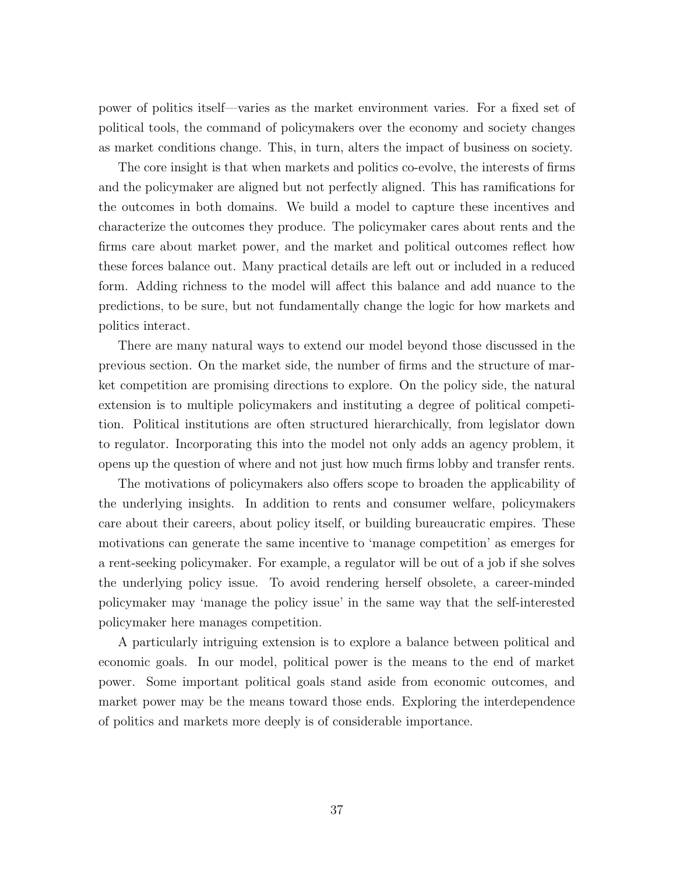power of politics itself—varies as the market environment varies. For a fixed set of political tools, the command of policymakers over the economy and society changes as market conditions change. This, in turn, alters the impact of business on society.

The core insight is that when markets and politics co-evolve, the interests of firms and the policymaker are aligned but not perfectly aligned. This has ramifications for the outcomes in both domains. We build a model to capture these incentives and characterize the outcomes they produce. The policymaker cares about rents and the firms care about market power, and the market and political outcomes reflect how these forces balance out. Many practical details are left out or included in a reduced form. Adding richness to the model will affect this balance and add nuance to the predictions, to be sure, but not fundamentally change the logic for how markets and politics interact.

There are many natural ways to extend our model beyond those discussed in the previous section. On the market side, the number of firms and the structure of market competition are promising directions to explore. On the policy side, the natural extension is to multiple policymakers and instituting a degree of political competition. Political institutions are often structured hierarchically, from legislator down to regulator. Incorporating this into the model not only adds an agency problem, it opens up the question of where and not just how much firms lobby and transfer rents.

The motivations of policymakers also offers scope to broaden the applicability of the underlying insights. In addition to rents and consumer welfare, policymakers care about their careers, about policy itself, or building bureaucratic empires. These motivations can generate the same incentive to 'manage competition' as emerges for a rent-seeking policymaker. For example, a regulator will be out of a job if she solves the underlying policy issue. To avoid rendering herself obsolete, a career-minded policymaker may 'manage the policy issue' in the same way that the self-interested policymaker here manages competition.

A particularly intriguing extension is to explore a balance between political and economic goals. In our model, political power is the means to the end of market power. Some important political goals stand aside from economic outcomes, and market power may be the means toward those ends. Exploring the interdependence of politics and markets more deeply is of considerable importance.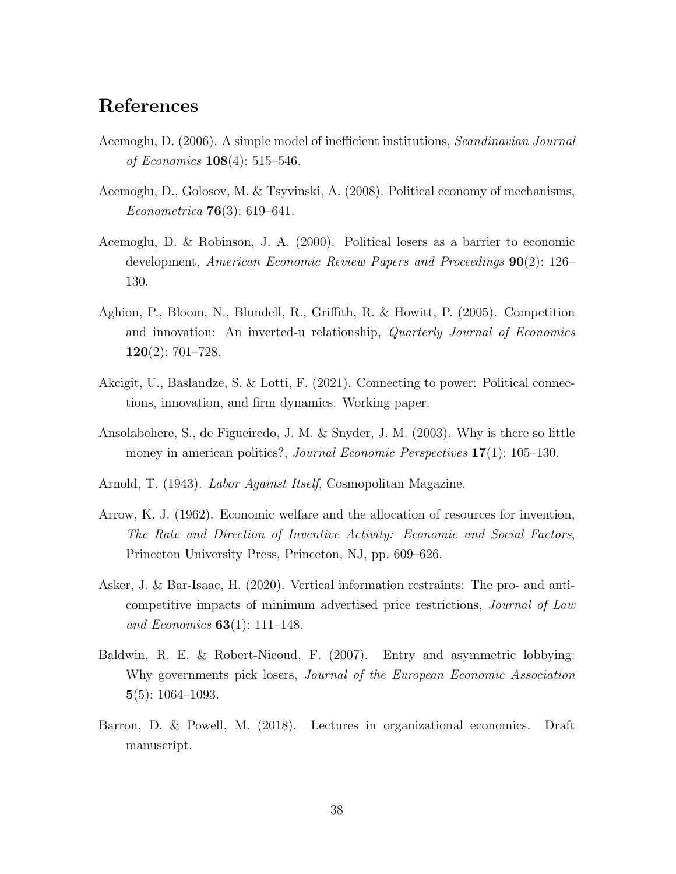# References

- Acemoglu, D. (2006). A simple model of inefficient institutions, Scandinavian Journal of Economics 108(4): 515–546.
- Acemoglu, D., Golosov, M. & Tsyvinski, A. (2008). Political economy of mechanisms, Econometrica 76(3): 619–641.
- Acemoglu, D. & Robinson, J. A. (2000). Political losers as a barrier to economic development, American Economic Review Papers and Proceedings 90(2): 126– 130.
- Aghion, P., Bloom, N., Blundell, R., Griffith, R. & Howitt, P. (2005). Competition and innovation: An inverted-u relationship, Quarterly Journal of Economics 120(2): 701–728.
- Akcigit, U., Baslandze, S. & Lotti, F. (2021). Connecting to power: Political connections, innovation, and firm dynamics. Working paper.
- Ansolabehere, S., de Figueiredo, J. M. & Snyder, J. M. (2003). Why is there so little money in american politics?, *Journal Economic Perspectives* 17(1): 105–130.
- Arnold, T. (1943). Labor Against Itself, Cosmopolitan Magazine.
- Arrow, K. J. (1962). Economic welfare and the allocation of resources for invention, The Rate and Direction of Inventive Activity: Economic and Social Factors, Princeton University Press, Princeton, NJ, pp. 609–626.
- Asker, J. & Bar-Isaac, H. (2020). Vertical information restraints: The pro- and anticompetitive impacts of minimum advertised price restrictions, Journal of Law and Economics  $63(1)$ : 111–148.
- Baldwin, R. E. & Robert-Nicoud, F. (2007). Entry and asymmetric lobbying: Why governments pick losers, *Journal of the European Economic Association* 5(5): 1064–1093.
- Barron, D. & Powell, M. (2018). Lectures in organizational economics. Draft manuscript.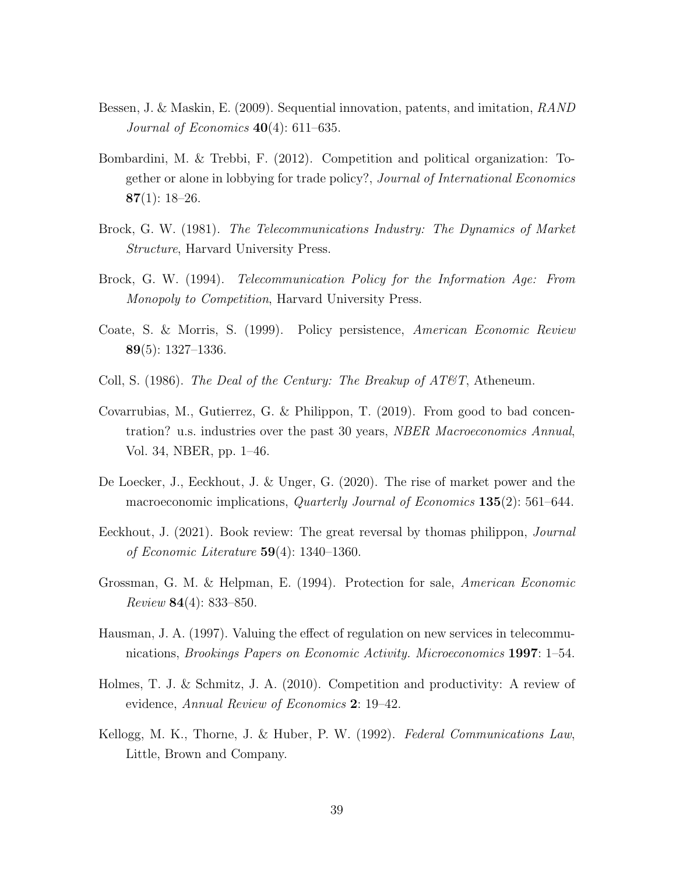- Bessen, J. & Maskin, E. (2009). Sequential innovation, patents, and imitation, RAND Journal of Economics  $40(4)$ : 611–635.
- Bombardini, M. & Trebbi, F. (2012). Competition and political organization: Together or alone in lobbying for trade policy?, Journal of International Economics  $87(1): 18-26.$
- Brock, G. W. (1981). The Telecommunications Industry: The Dynamics of Market Structure, Harvard University Press.
- Brock, G. W. (1994). Telecommunication Policy for the Information Age: From Monopoly to Competition, Harvard University Press.
- Coate, S. & Morris, S. (1999). Policy persistence, American Economic Review 89(5): 1327–1336.
- Coll, S. (1986). The Deal of the Century: The Breakup of  $AT\mathcal{O}T$ , Atheneum.
- Covarrubias, M., Gutierrez, G. & Philippon, T. (2019). From good to bad concentration? u.s. industries over the past 30 years, NBER Macroeconomics Annual, Vol. 34, NBER, pp. 1–46.
- De Loecker, J., Eeckhout, J. & Unger, G. (2020). The rise of market power and the macroeconomic implications, *Quarterly Journal of Economics* 135(2): 561–644.
- Eeckhout, J. (2021). Book review: The great reversal by thomas philippon, *Journal* of Economic Literature 59(4): 1340–1360.
- Grossman, G. M. & Helpman, E. (1994). Protection for sale, American Economic Review 84(4): 833–850.
- Hausman, J. A. (1997). Valuing the effect of regulation on new services in telecommunications, Brookings Papers on Economic Activity. Microeconomics 1997: 1–54.
- Holmes, T. J. & Schmitz, J. A. (2010). Competition and productivity: A review of evidence, Annual Review of Economics 2: 19–42.
- Kellogg, M. K., Thorne, J. & Huber, P. W. (1992). Federal Communications Law, Little, Brown and Company.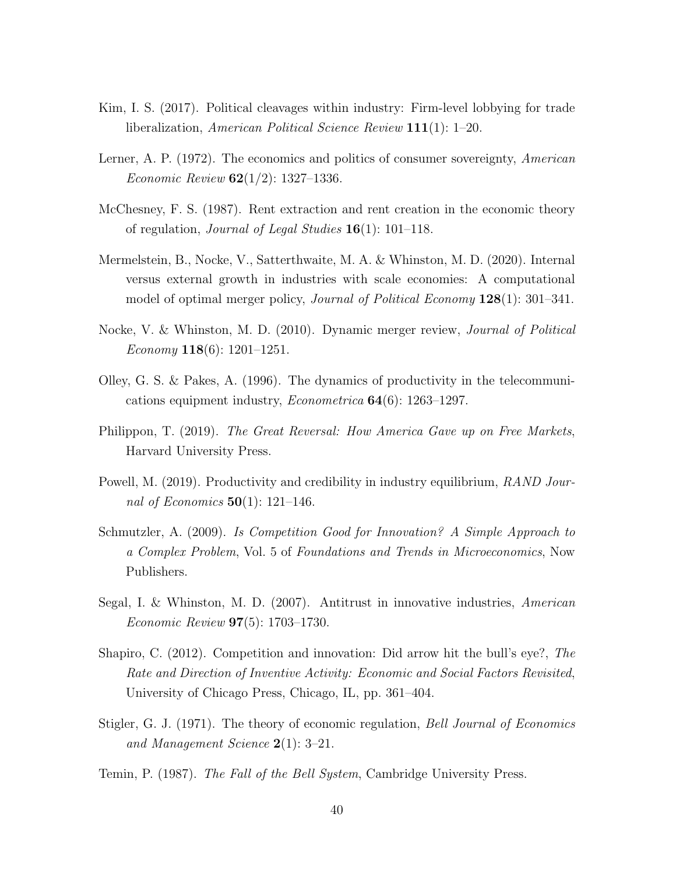- Kim, I. S. (2017). Political cleavages within industry: Firm-level lobbying for trade liberalization, American Political Science Review 111(1): 1–20.
- Lerner, A. P. (1972). The economics and politics of consumer sovereignty, American *Economic Review*  $62(1/2)$ : 1327–1336.
- McChesney, F. S. (1987). Rent extraction and rent creation in the economic theory of regulation, *Journal of Legal Studies*  $16(1)$ : 101–118.
- Mermelstein, B., Nocke, V., Satterthwaite, M. A. & Whinston, M. D. (2020). Internal versus external growth in industries with scale economies: A computational model of optimal merger policy, *Journal of Political Economy* **128**(1): 301–341.
- Nocke, V. & Whinston, M. D. (2010). Dynamic merger review, Journal of Political Economy **118**(6): 1201–1251.
- Olley, G. S. & Pakes, A. (1996). The dynamics of productivity in the telecommunications equipment industry, Econometrica 64(6): 1263–1297.
- Philippon, T. (2019). The Great Reversal: How America Gave up on Free Markets, Harvard University Press.
- Powell, M. (2019). Productivity and credibility in industry equilibrium, *RAND Jour*nal of Economics  $50(1)$ : 121–146.
- Schmutzler, A. (2009). Is Competition Good for Innovation? A Simple Approach to a Complex Problem, Vol. 5 of Foundations and Trends in Microeconomics, Now Publishers.
- Segal, I. & Whinston, M. D. (2007). Antitrust in innovative industries, American Economic Review 97(5): 1703–1730.
- Shapiro, C. (2012). Competition and innovation: Did arrow hit the bull's eye?, The Rate and Direction of Inventive Activity: Economic and Social Factors Revisited, University of Chicago Press, Chicago, IL, pp. 361–404.
- Stigler, G. J. (1971). The theory of economic regulation, Bell Journal of Economics and Management Science 2(1): 3–21.
- Temin, P. (1987). The Fall of the Bell System, Cambridge University Press.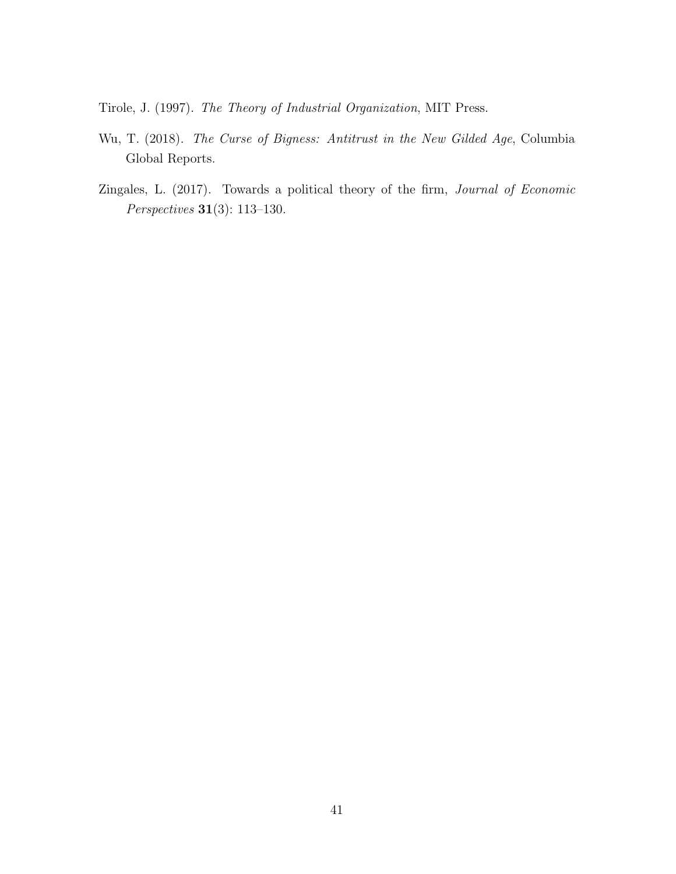Tirole, J. (1997). The Theory of Industrial Organization, MIT Press.

- Wu, T. (2018). The Curse of Bigness: Antitrust in the New Gilded Age, Columbia Global Reports.
- Zingales, L. (2017). Towards a political theory of the firm, Journal of Economic Perspectives 31(3): 113–130.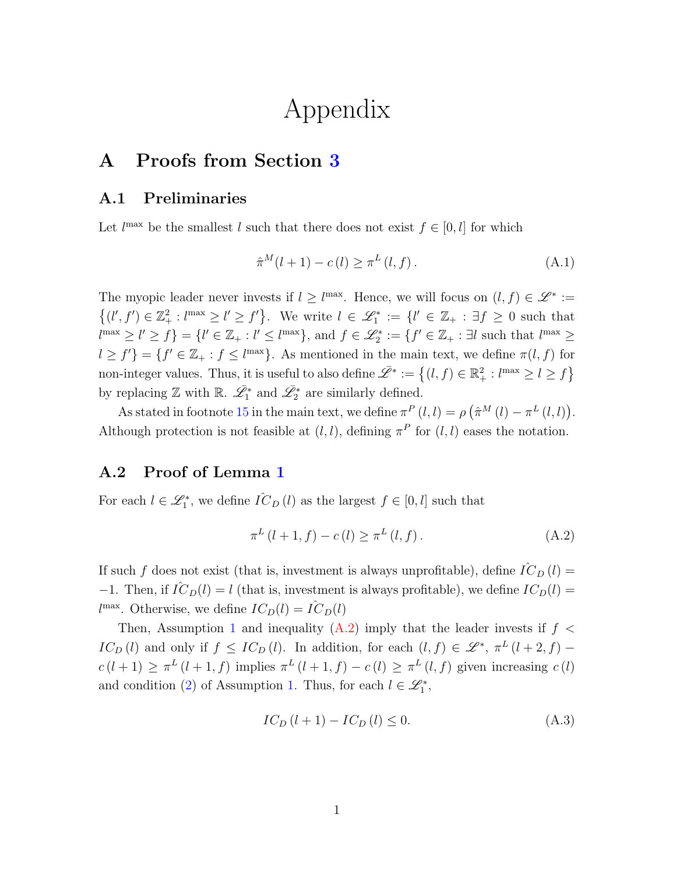# Appendix

# A Proofs from Section [3](#page-12-2)

#### A.1 Preliminaries

Let  $l^{\max}$  be the smallest l such that there does not exist  $f \in [0, l]$  for which

$$
\hat{\pi}^{M}(l+1) - c(l) \ge \pi^{L}(l,f).
$$
\n(A.1)

The myopic leader never invests if  $l \geq l^{\max}$ . Hence, we will focus on  $(l, f) \in \mathscr{L}^* :=$  $\{(l', f') \in \mathbb{Z}_+^2 : l^{\max} \geq l' \geq f'\}.$  We write  $l \in \mathcal{L}_1^* := \{l' \in \mathbb{Z}_+ : \exists f \geq 0 \text{ such that } \{l' \in \mathbb{Z}_+ : l' \geq 0\}$  $l^{\max} \ge l' \ge f$  = { $l' \in \mathbb{Z}_+ : l' \le l^{\max}$ }, and  $f \in \mathcal{L}_2^* := \{f' \in \mathbb{Z}_+ : \exists l \text{ such that } l^{\max} \ge l' \}$  $l \geq f'$ } = { $f' \in \mathbb{Z}_+ : f \leq l^{\max}$ }. As mentioned in the main text, we define  $\pi(l, f)$  for non-integer values. Thus, it is useful to also define  $\overline{\mathscr{L}}^* := \{(l, f) \in \mathbb{R}_+^2 : l^{\max} \ge l \ge f\}$ by replacing  $\mathbb Z$  with  $\mathbb R$ .  $\bar{\mathscr{L}_1^*}$  and  $\bar{\mathscr{L}_2^*}$  are similarly defined.

As stated in footnote [15](#page-13-1) in the main text, we define  $\pi^P(l, l) = \rho (\hat{\pi}^M(l) - \pi^L(l, l)).$ Although protection is not feasible at  $(l, l)$ , defining  $\pi^P$  for  $(l, l)$  eases the notation.

### A.2 Proof of Lemma [1](#page-12-1)

For each  $l \in \mathcal{L}_1^*$ , we define  $\hat{IC}_D(l)$  as the largest  $f \in [0, l]$  such that

<span id="page-41-0"></span>
$$
\pi^{L} (l+1, f) - c(l) \ge \pi^{L} (l, f).
$$
\n(A.2)

If such f does not exist (that is, investment is always unprofitable), define  $\hat{IC}_D(l)$  = −1. Then, if  $\hat{IC}_D(l) = l$  (that is, investment is always profitable), we define  $IC_D(l)$  =  $l^{\max}$ . Otherwise, we define  $IC_D(l) = I\hat{C}_D(l)$ 

Then, Assumption [1](#page-6-2) and inequality  $(A.2)$  imply that the leader invests if  $f \lt \theta$  $IC_D(l)$  and only if  $f \leq IC_D(l)$ . In addition, for each  $(l, f) \in \mathscr{L}^*, \pi^L(l+2, f)$   $c(l+1) \geq \pi^{L}(l+1,f)$  implies  $\pi^{L}(l+1,f) - c(l) \geq \pi^{L}(l,f)$  given increasing  $c(l)$ and condition [\(2\)](#page-7-2) of Assumption [1.](#page-6-2) Thus, for each  $l \in \mathcal{L}_1^*$ ,

$$
IC_D(l+1) - IC_D(l) \le 0.
$$
 (A.3)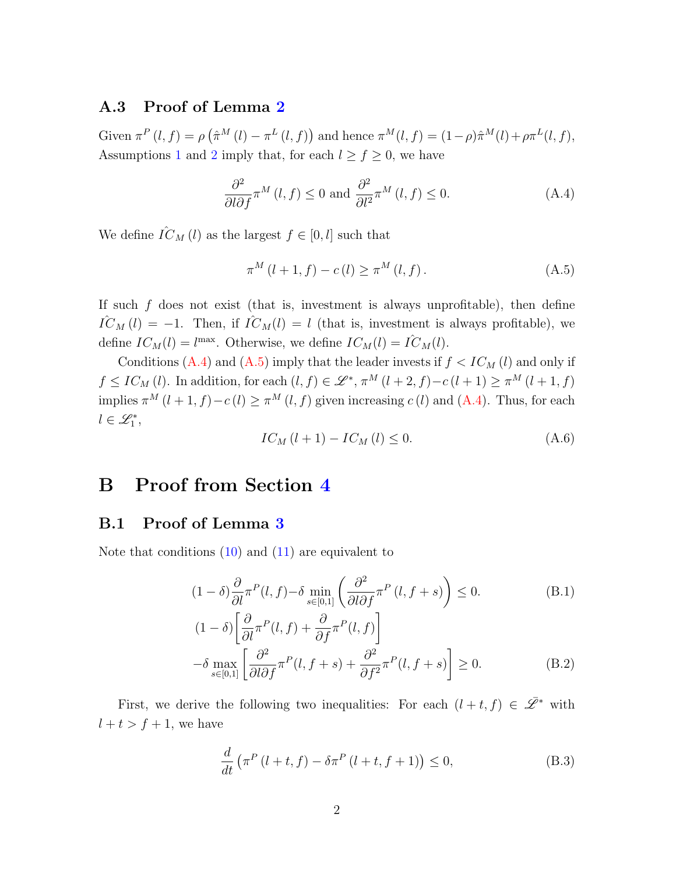#### A.3 Proof of Lemma [2](#page-14-1)

Given  $\pi^P(l, f) = \rho \left( \hat{\pi}^M(l) - \pi^L(l, f) \right)$  and hence  $\pi^M(l, f) = (1 - \rho) \hat{\pi}^M(l) + \rho \pi^L(l, f)$ , Assumptions [1](#page-6-2) and [2](#page-7-3) imply that, for each  $l \ge f \ge 0$ , we have

<span id="page-42-0"></span>
$$
\frac{\partial^2}{\partial l \partial f} \pi^M(l, f) \le 0 \text{ and } \frac{\partial^2}{\partial l^2} \pi^M(l, f) \le 0. \tag{A.4}
$$

We define  $\hat{IC}_M(l)$  as the largest  $f \in [0, l]$  such that

<span id="page-42-1"></span>
$$
\pi^{M} (l + 1, f) - c(l) \ge \pi^{M} (l, f).
$$
\n(A.5)

If such  $f$  does not exist (that is, investment is always unprofitable), then define  $\hat{IC}_M (l) = -1$ . Then, if  $\hat{IC}_M (l) = l$  (that is, investment is always profitable), we define  $IC_M(l) = l^{\text{max}}$ . Otherwise, we define  $IC_M(l) = \hat{IC}_M(l)$ .

Conditions [\(A.4\)](#page-42-0) and [\(A.5\)](#page-42-1) imply that the leader invests if  $f < IC_M$  (l) and only if  $f \leq IC_M(l)$ . In addition, for each  $(l, f) \in \mathcal{L}^*, \pi^M(l+2, f) - c(l+1) \geq \pi^M(l+1, f)$ implies  $\pi^M(l+1,f)-c(l) \geq \pi^M(l,f)$  given increasing  $c(l)$  and  $(A.4)$ . Thus, for each  $l \in \mathscr{L}_1^*,$ 

<span id="page-42-3"></span>
$$
IC_{M}(l+1) - IC_{M}(l) \leq 0. \tag{A.6}
$$

# B Proof from Section [4](#page-14-2)

### B.1 Proof of Lemma [3](#page-15-2)

Note that conditions  $(10)$  and  $(11)$  are equivalent to

$$
(1 - \delta) \frac{\partial}{\partial l} \pi^P(l, f) - \delta \min_{s \in [0, 1]} \left( \frac{\partial^2}{\partial l \partial f} \pi^P(l, f + s) \right) \le 0.
$$
 (B.1)

$$
(1 - \delta) \left[ \frac{\partial}{\partial l} \pi^P(l, f) + \frac{\partial}{\partial f} \pi^P(l, f) \right]
$$
  

$$
- \delta \max_{s \in [0,1]} \left[ \frac{\partial^2}{\partial l \partial f} \pi^P(l, f+s) + \frac{\partial^2}{\partial f^2} \pi^P(l, f+s) \right] \ge 0.
$$
 (B.2)

First, we derive the following two inequalities: For each  $(l + t, f) \in \mathscr{L}^*$  with  $l + t > f + 1$ , we have

<span id="page-42-4"></span><span id="page-42-2"></span>
$$
\frac{d}{dt}\left(\pi^P\left(l+t,f\right)-\delta\pi^P\left(l+t,f+1\right)\right)\leq 0,\tag{B.3}
$$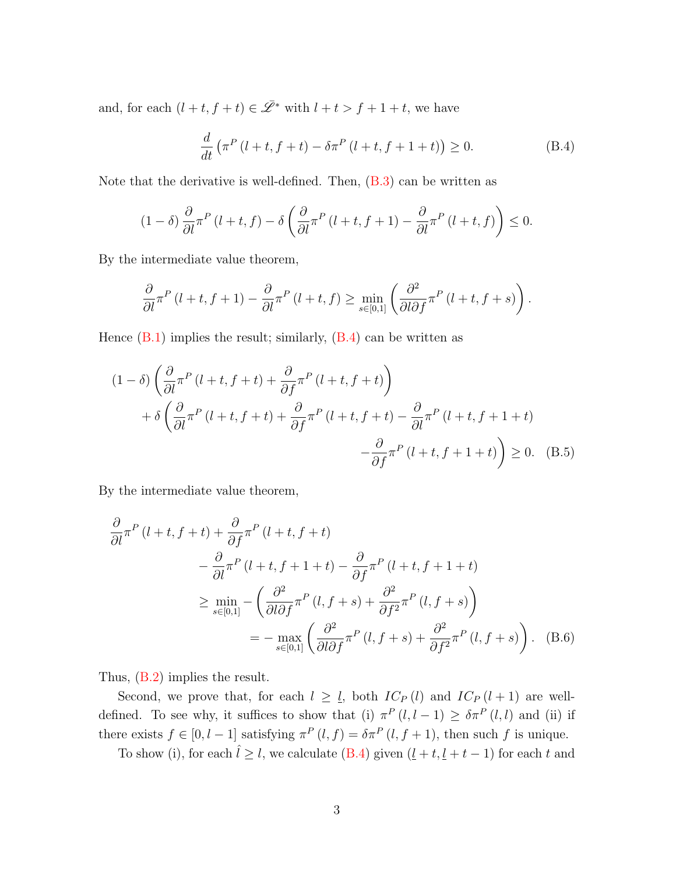and, for each  $(l + t, f + t) \in \overline{\mathscr{L}}^*$  with  $l + t > f + 1 + t$ , we have

<span id="page-43-0"></span>
$$
\frac{d}{dt}\left(\pi^P\left(l+t,f+t\right)-\delta\pi^P\left(l+t,f+1+t\right)\right)\geq 0.\tag{B.4}
$$

Note that the derivative is well-defined. Then,  $(B.3)$  can be written as

$$
(1 - \delta) \frac{\partial}{\partial l} \pi^P (l + t, f) - \delta \left( \frac{\partial}{\partial l} \pi^P (l + t, f + 1) - \frac{\partial}{\partial l} \pi^P (l + t, f) \right) \le 0.
$$

By the intermediate value theorem,

$$
\frac{\partial}{\partial l}\pi^P(l+t,f+1) - \frac{\partial}{\partial l}\pi^P(l+t,f) \ge \min_{s \in [0,1]} \left(\frac{\partial^2}{\partial l \partial f}\pi^P(l+t,f+s)\right).
$$

Hence  $(B.1)$  implies the result; similarly,  $(B.4)$  can be written as

$$
(1 - \delta) \left( \frac{\partial}{\partial l} \pi^P (l + t, f + t) + \frac{\partial}{\partial f} \pi^P (l + t, f + t) \right)
$$
  
+ 
$$
\delta \left( \frac{\partial}{\partial l} \pi^P (l + t, f + t) + \frac{\partial}{\partial f} \pi^P (l + t, f + t) - \frac{\partial}{\partial l} \pi^P (l + t, f + 1 + t) \right)
$$
  
- 
$$
\frac{\partial}{\partial f} \pi^P (l + t, f + 1 + t) \right) \ge 0. \quad (B.5)
$$

By the intermediate value theorem,

$$
\frac{\partial}{\partial l}\pi^{P}(l+t,f+t) + \frac{\partial}{\partial f}\pi^{P}(l+t,f+t) \n- \frac{\partial}{\partial l}\pi^{P}(l+t,f+1+t) - \frac{\partial}{\partial f}\pi^{P}(l+t,f+1+t) \n\geq \min_{s \in [0,1]} -\left(\frac{\partial^{2}}{\partial l\partial f}\pi^{P}(l,f+s) + \frac{\partial^{2}}{\partial f^{2}}\pi^{P}(l,f+s)\right) \n= - \max_{s \in [0,1]} \left(\frac{\partial^{2}}{\partial l\partial f}\pi^{P}(l,f+s) + \frac{\partial^{2}}{\partial f^{2}}\pi^{P}(l,f+s)\right). (B.6)
$$

Thus, [\(B.2\)](#page-42-4) implies the result.

Second, we prove that, for each  $l \geq \underline{l}$ , both  $IC_P(l)$  and  $IC_P(l+1)$  are welldefined. To see why, it suffices to show that (i)  $\pi^P(l, l-1) \geq \delta \pi^P(l, l)$  and (ii) if there exists  $f \in [0, l-1]$  satisfying  $\pi^P(l, f) = \delta \pi^P(l, f+1)$ , then such f is unique.

To show (i), for each  $\hat{l} \geq l$ , we calculate [\(B.4\)](#page-43-0) given  $(\underline{l} + t, \underline{l} + t - 1)$  for each t and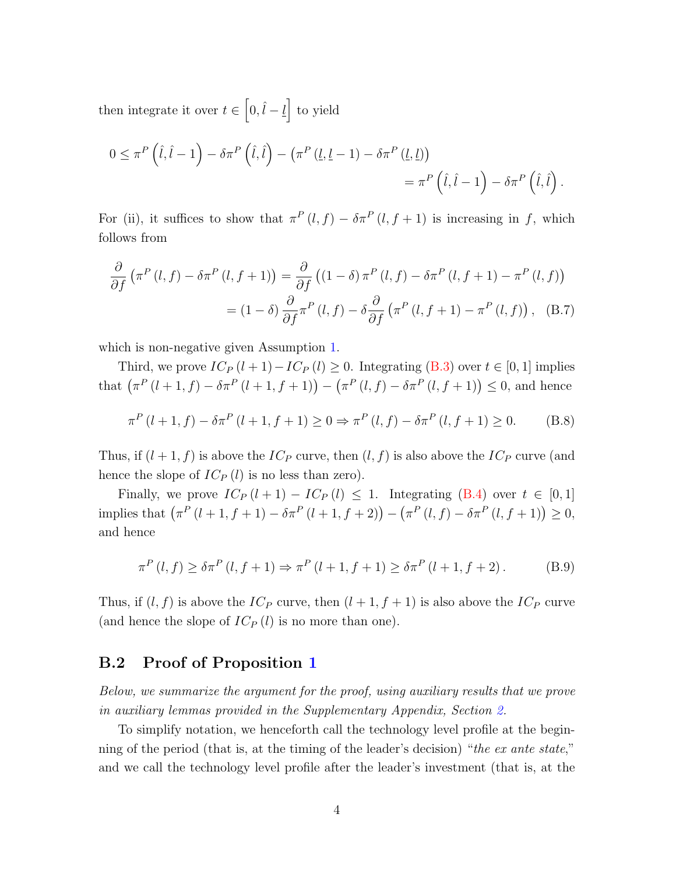then integrate it over  $t \in [0, \hat{l} - \underline{l}]$  to yield

$$
0 \leq \pi^P\left(\hat{l}, \hat{l} - 1\right) - \delta \pi^P\left(\hat{l}, \hat{l}\right) - \left(\pi^P\left(l, \underline{l} - 1\right) - \delta \pi^P\left(\underline{l}, \underline{l}\right)\right) \\
= \pi^P\left(\hat{l}, \hat{l} - 1\right) - \delta \pi^P\left(\hat{l}, \hat{l}\right).
$$

For (ii), it suffices to show that  $\pi^P(l, f) - \delta \pi^P(l, f+1)$  is increasing in f, which follows from

$$
\frac{\partial}{\partial f} \left( \pi^P(l, f) - \delta \pi^P(l, f + 1) \right) = \frac{\partial}{\partial f} \left( (1 - \delta) \pi^P(l, f) - \delta \pi^P(l, f + 1) - \pi^P(l, f) \right)
$$

$$
= (1 - \delta) \frac{\partial}{\partial f} \pi^P(l, f) - \delta \frac{\partial}{\partial f} \left( \pi^P(l, f + 1) - \pi^P(l, f) \right), \quad (B.7)
$$

which is non-negative given Assumption [1.](#page-6-2)

Third, we prove  $IC_P(l+1)-IC_P(l) \geq 0$ . Integrating [\(B.3\)](#page-42-2) over  $t \in [0,1]$  implies that  $(\pi^P(l+1,f) - \delta \pi^P(l+1,f+1)) - (\pi^P(l,f) - \delta \pi^P(l,f+1)) \leq 0$ , and hence

$$
\pi^{P}(l+1,f) - \delta \pi^{P}(l+1,f+1) \ge 0 \Rightarrow \pi^{P}(l,f) - \delta \pi^{P}(l,f+1) \ge 0.
$$
 (B.8)

Thus, if  $(l + 1, f)$  is above the  $IC_P$  curve, then  $(l, f)$  is also above the  $IC_P$  curve (and hence the slope of  $IC_P(l)$  is no less than zero).

Finally, we prove  $IC_P(l + 1) - IC_P(l) \leq 1$ . Integrating [\(B.4\)](#page-43-0) over  $t \in [0, 1]$ implies that  $(\pi^P(l+1, f+1) - \delta \pi^P(l+1, f+2)) - (\pi^P(l, f) - \delta \pi^P(l, f+1)) \geq 0$ , and hence

$$
\pi^{P}(l,f) \ge \delta \pi^{P}(l,f+1) \Rightarrow \pi^{P}(l+1,f+1) \ge \delta \pi^{P}(l+1,f+2). \tag{B.9}
$$

Thus, if  $(l, f)$  is above the  $IC_P$  curve, then  $(l + 1, f + 1)$  is also above the  $IC_P$  curve (and hence the slope of  $IC_P(l)$  is no more than one).

### B.2 Proof of Proposition [1](#page-16-4)

Below, we summarize the argument for the proof, using auxiliary results that we prove in auxiliary lemmas provided in the Supplementary Appendix, Section [2.](#page-6-0)

To simplify notation, we henceforth call the technology level profile at the beginning of the period (that is, at the timing of the leader's decision) "the ex ante state," and we call the technology level profile after the leader's investment (that is, at the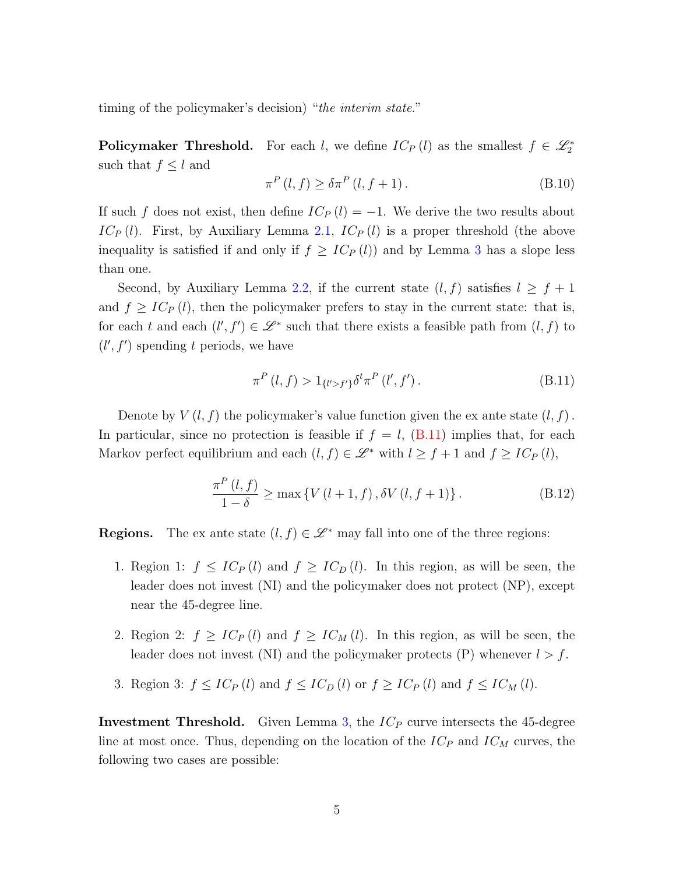timing of the policymaker's decision) "the interim state."

Policymaker Threshold. For each l, we define  $IC_P(l)$  as the smallest  $f \in \mathcal{L}_2^*$ such that  $f \leq l$  and

$$
\pi^{P}(l,f) \ge \delta \pi^{P}(l,f+1). \tag{B.10}
$$

If such f does not exist, then define  $IC_P(l) = -1$ . We derive the two results about  $IC_P(l)$ . First, by Auxiliary Lemma 2.1,  $IC_P(l)$  is a proper threshold (the above inequality is satisfied if and only if  $f \geq IC_P(l)$  and by Lemma [3](#page-15-2) has a slope less than one.

Second, by Auxiliary Lemma 2.2, if the current state  $(l, f)$  satisfies  $l \geq f + 1$ and  $f \geq IC_P(l)$ , then the policymaker prefers to stay in the current state: that is, for each t and each  $(l', f') \in \mathcal{L}^*$  such that there exists a feasible path from  $(l, f)$  to  $(l', f')$  spending t periods, we have

<span id="page-45-0"></span>
$$
\pi^{P}(l,f) > 1_{\{l' > f'\}} \delta^{t} \pi^{P}(l',f'). \tag{B.11}
$$

Denote by  $V(l, f)$  the policymaker's value function given the ex ante state  $(l, f)$ . In particular, since no protection is feasible if  $f = l$ , [\(B.11\)](#page-45-0) implies that, for each Markov perfect equilibrium and each  $(l, f) \in \mathcal{L}^*$  with  $l \geq f + 1$  and  $f \geq IC_P(l)$ ,

<span id="page-45-1"></span>
$$
\frac{\pi^{P}(l,f)}{1-\delta} \ge \max \left\{ V\left(l+1,f\right), \delta V\left(l,f+1\right) \right\}. \tag{B.12}
$$

**Regions.** The ex ante state  $(l, f) \in \mathcal{L}^*$  may fall into one of the three regions:

- 1. Region 1:  $f \leq IC_P(l)$  and  $f \geq IC_D(l)$ . In this region, as will be seen, the leader does not invest (NI) and the policymaker does not protect (NP), except near the 45-degree line.
- 2. Region 2:  $f \geq IC_P(l)$  and  $f \geq IC_M(l)$ . In this region, as will be seen, the leader does not invest (NI) and the policymaker protects (P) whenever  $l > f$ .
- 3. Region 3:  $f \leq IC_P(l)$  and  $f \leq IC_D(l)$  or  $f \geq IC_P(l)$  and  $f \leq IC_M(l)$ .

**Investment Threshold.** Given Lemma [3,](#page-15-2) the  $IC_P$  curve intersects the 45-degree line at most once. Thus, depending on the location of the  $IC_P$  and  $IC_M$  curves, the following two cases are possible: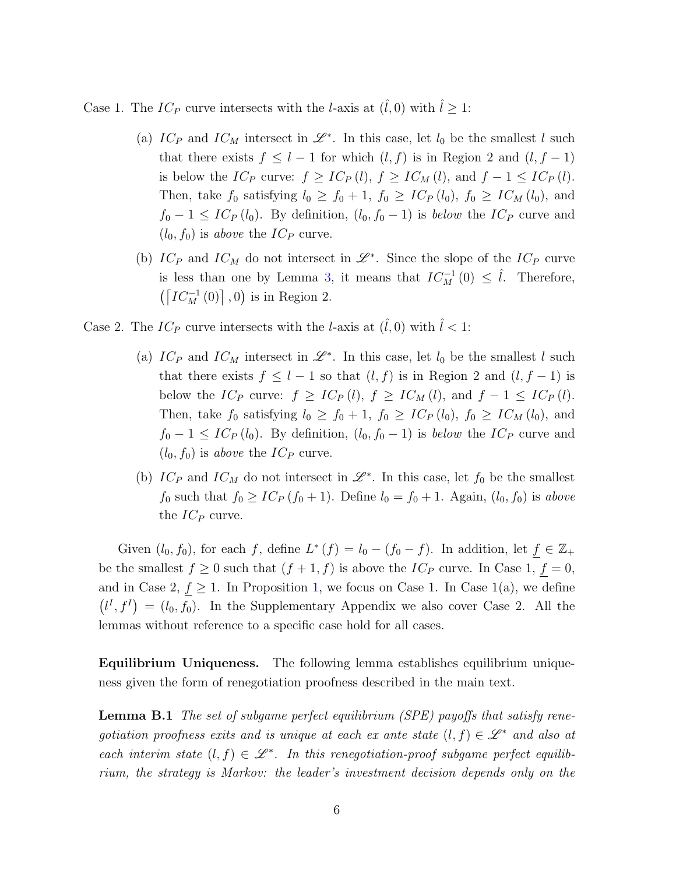Case 1. The  $IC_P$  curve intersects with the *l*-axis at  $(\hat{l}, 0)$  with  $\hat{l} \geq 1$ :

- (a)  $IC_P$  and  $IC_M$  intersect in  $\mathscr{L}^*$ . In this case, let  $l_0$  be the smallest l such that there exists  $f \leq l - 1$  for which  $(l, f)$  is in Region 2 and  $(l, f - 1)$ is below the  $IC_P$  curve:  $f \geq IC_P(l)$ ,  $f \geq IC_M(l)$ , and  $f - 1 \leq IC_P(l)$ . Then, take  $f_0$  satisfying  $l_0 \geq f_0 + 1$ ,  $f_0 \geq IC_P(l_0)$ ,  $f_0 \geq IC_M(l_0)$ , and  $f_0 - 1 \leq IC_P(l_0)$ . By definition,  $(l_0, f_0 - 1)$  is *below* the  $IC_P$  curve and  $(l_0, f_0)$  is above the  $IC_P$  curve.
- (b)  $IC_P$  and  $IC_M$  do not intersect in  $\mathscr{L}^*$ . Since the slope of the  $IC_P$  curve is less than one by Lemma [3,](#page-15-2) it means that  $IC_M^{-1}(0) \leq \hat{l}$ . Therefore,  $\left(\left\lceil IC_{M}^{-1}\left(0\right)\right\rceil,0\right)$  is in Region 2.

Case 2. The  $IC_P$  curve intersects with the *l*-axis at  $(\hat{l}, 0)$  with  $\hat{l} < 1$ :

- (a)  $IC_P$  and  $IC_M$  intersect in  $\mathscr{L}^*$ . In this case, let  $l_0$  be the smallest l such that there exists  $f \leq l - 1$  so that  $(l, f)$  is in Region 2 and  $(l, f - 1)$  is below the  $IC_P$  curve:  $f \geq IC_P(l)$ ,  $f \geq IC_M(l)$ , and  $f - 1 \leq IC_P(l)$ . Then, take  $f_0$  satisfying  $l_0 \ge f_0 + 1$ ,  $f_0 \ge IC_P(l_0)$ ,  $f_0 \ge IC_M(l_0)$ , and  $f_0 - 1 \leq IC_P(l_0)$ . By definition,  $(l_0, f_0 - 1)$  is *below* the  $IC_P$  curve and  $(l_0, f_0)$  is above the  $IC_P$  curve.
- (b)  $IC_P$  and  $IC_M$  do not intersect in  $\mathscr{L}^*$ . In this case, let  $f_0$  be the smallest  $f_0$  such that  $f_0 \geq IC_P(f_0 + 1)$ . Define  $l_0 = f_0 + 1$ . Again,  $(l_0, f_0)$  is above the  $IC_P$  curve.

Given  $(l_0, f_0)$ , for each f, define  $L^*(f) = l_0 - (f_0 - f)$ . In addition, let  $f \in \mathbb{Z}_+$ be the smallest  $f \ge 0$  such that  $(f + 1, f)$  is above the  $IC_P$  curve. In Case 1,  $f = 0$ , and in Case 2,  $f \geq 1$ . In Proposition [1,](#page-16-4) we focus on Case 1. In Case 1(a), we define  $(l<sup>I</sup>, f<sup>I</sup>) = (l<sub>0</sub>, f<sub>0</sub>)$ . In the Supplementary Appendix we also cover Case 2. All the lemmas without reference to a specific case hold for all cases.

Equilibrium Uniqueness. The following lemma establishes equilibrium uniqueness given the form of renegotiation proofness described in the main text.

<span id="page-46-0"></span>**Lemma B.1** The set of subgame perfect equilibrium (SPE) payoffs that satisfy renegotiation proofness exits and is unique at each ex ante state  $(l, f) \in \mathcal{L}^*$  and also at each interim state  $(l, f) \in \mathcal{L}^*$ . In this renegotiation-proof subgame perfect equilibrium, the strategy is Markov: the leader's investment decision depends only on the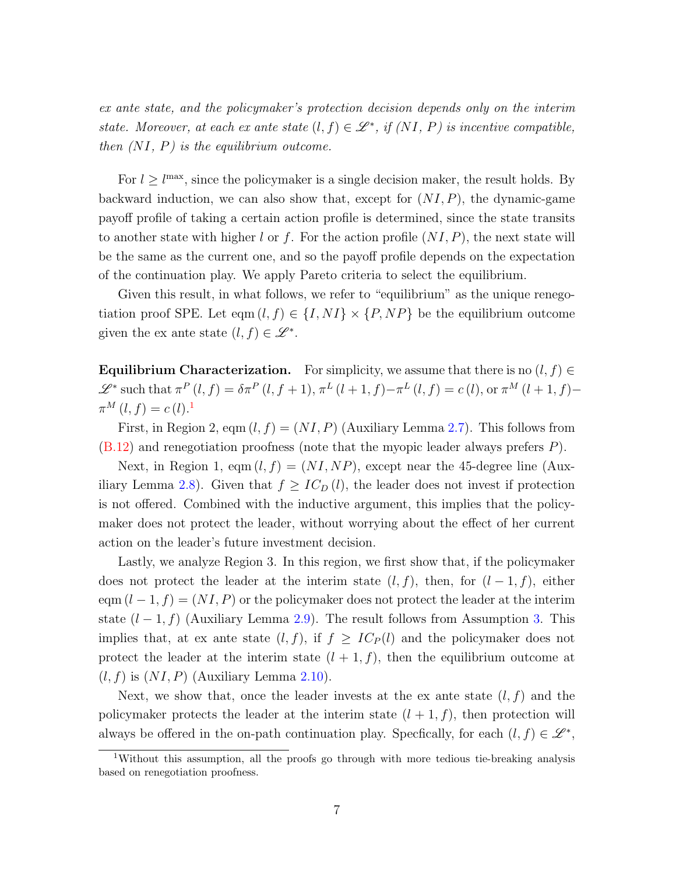ex ante state, and the policymaker's protection decision depends only on the interim state. Moreover, at each ex ante state  $(l, f) \in \mathcal{L}^*$ , if  $(NI, P)$  is incentive compatible, then  $(NI, P)$  is the equilibrium outcome.

For  $l \geq l^{\max}$ , since the policymaker is a single decision maker, the result holds. By backward induction, we can also show that, except for  $(NI, P)$ , the dynamic-game payoff profile of taking a certain action profile is determined, since the state transits to another state with higher l or f. For the action profile  $(NI, P)$ , the next state will be the same as the current one, and so the payoff profile depends on the expectation of the continuation play. We apply Pareto criteria to select the equilibrium.

Given this result, in what follows, we refer to "equilibrium" as the unique renegotiation proof SPE. Let eqm  $(l, f) \in \{I, NI\} \times \{P, NP\}$  be the equilibrium outcome given the ex ante state  $(l, f) \in \mathscr{L}^*$ .

**Equilibrium Characterization.** For simplicity, we assume that there is no  $(l, f) \in$  $\mathcal{L}^*$  such that  $\pi^P(l, f) = \delta \pi^P(l, f + 1), \pi^L(l + 1, f) - \pi^L(l, f) = c(l)$ , or  $\pi^M(l + 1, f) \pi^M(l, f) = c(l).$ <sup>[1](#page-47-0)</sup>

First, in Region 2, eqm  $(l, f) = (NI, P)$  (Auxiliary Lemma 2.7). This follows from  $(B.12)$  and renegotiation proofness (note that the myopic leader always prefers P).

Next, in Region 1, eqm  $(l, f) = (NI, NP)$ , except near the 45-degree line (Auxiliary Lemma 2.8). Given that  $f \geq IC_D(l)$ , the leader does not invest if protection is not offered. Combined with the inductive argument, this implies that the policymaker does not protect the leader, without worrying about the effect of her current action on the leader's future investment decision.

Lastly, we analyze Region 3. In this region, we first show that, if the policymaker does not protect the leader at the interim state  $(l, f)$ , then, for  $(l-1, f)$ , either eqm  $(l-1, f) = (NI, P)$  or the policymaker does not protect the leader at the interim state  $(l-1, f)$  (Auxiliary Lemma 2.9). The result follows from Assumption [3.](#page-7-1) This implies that, at ex ante state  $(l, f)$ , if  $f \geq IC_P(l)$  and the policymaker does not protect the leader at the interim state  $(l + 1, f)$ , then the equilibrium outcome at  $(l, f)$  is  $(NI, P)$  (Auxiliary Lemma 2.10).

Next, we show that, once the leader invests at the ex ante state  $(l, f)$  and the policymaker protects the leader at the interim state  $(l + 1, f)$ , then protection will always be offered in the on-path continuation play. Specfically, for each  $(l, f) \in \mathscr{L}^*$ ,

<span id="page-47-0"></span><sup>1</sup>Without this assumption, all the proofs go through with more tedious tie-breaking analysis based on renegotiation proofness.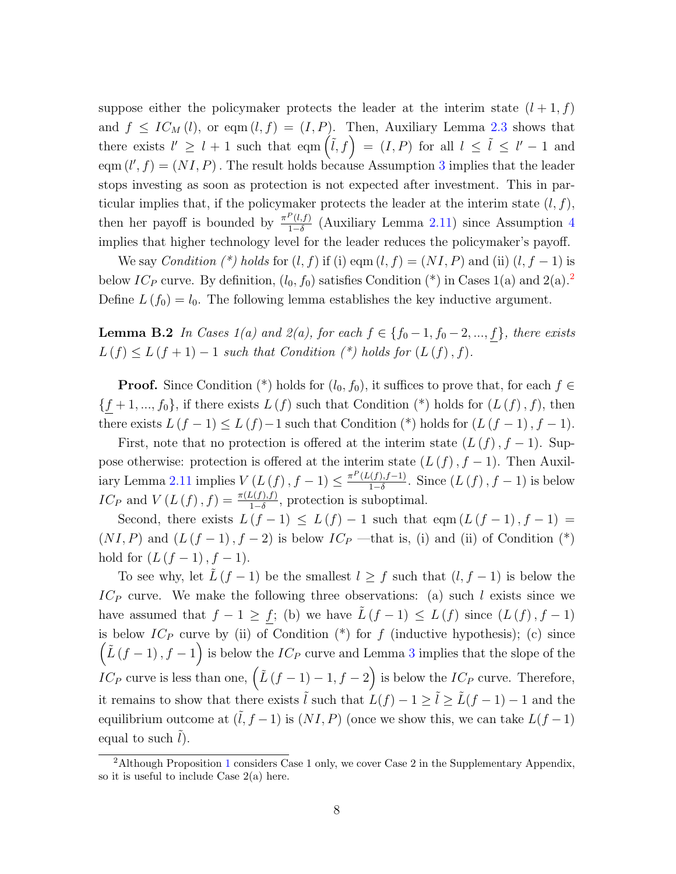suppose either the policymaker protects the leader at the interim state  $(l+1, f)$ and  $f \leq IC_M(l)$ , or eqm  $(l, f) = (I, P)$ . Then, Auxiliary Lemma 2.3 shows that there exists  $l' \geq l+1$  such that eqm  $(\tilde{l}, f) = (I, P)$  for all  $l \leq \tilde{l} \leq l'-1$  and eqm  $(l', f) = (NI, P)$ . The result holds because Assumption [3](#page-7-1) implies that the leader stops investing as soon as protection is not expected after investment. This in particular implies that, if the policymaker protects the leader at the interim state  $(l, f)$ , then her payoff is bounded by  $\frac{\pi^P(l,f)}{1-\delta}$  $\frac{1}{1-\delta}$  (Auxiliary Lemma 2.11) since Assumption [4](#page-10-1) implies that higher technology level for the leader reduces the policymaker's payoff.

We say Condition (\*) holds for  $(l, f)$  if (i) eqm  $(l, f) = (NI, P)$  and (ii)  $(l, f - 1)$  is below  $IC_P$  curve. By definition,  $(l_0, f_0)$  satisfies Condition (\*) in Cases 1(a) and [2](#page-48-0)(a).<sup>2</sup> Define  $L(f_0) = l_0$ . The following lemma establishes the key inductive argument.

<span id="page-48-1"></span>**Lemma B.2** In Cases  $1(a)$  and  $2(a)$ , for each  $f \in \{f_0-1, f_0-2, ..., f\}$ , there exists  $L(f) \leq L(f+1) - 1$  such that Condition  $(*)$  holds for  $(L(f), f)$ .

**Proof.** Since Condition (\*) holds for  $(l_0, f_0)$ , it suffices to prove that, for each  $f \in$  ${f+1,..., f_0}$ , if there exists  $L(f)$  such that Condition (\*) holds for  $(L(f), f)$ , then there exists  $L(f-1) \leq L(f) - 1$  such that Condition (\*) holds for  $(L(f-1), f-1)$ .

First, note that no protection is offered at the interim state  $(L(f), f - 1)$ . Suppose otherwise: protection is offered at the interim state  $(L(f), f - 1)$ . Then Auxiliary Lemma 2.11 implies  $V(L(f), f-1) \leq \frac{\pi^P(L(f), f-1)}{1-\delta}$  $\frac{\Gamma((f),f-1)}{1-\delta}$ . Since  $(L(f), f-1)$  is below  $IC_P$  and  $V(L(f), f) = \frac{\pi(L(f), f)}{1-\delta}$ , protection is suboptimal.

Second, there exists  $L(f-1) \leq L(f) - 1$  such that eqm  $(L(f-1), f-1) =$  $(NI, P)$  and  $(L (f - 1), f - 2)$  is below  $IC_P$  —that is, (i) and (ii) of Condition (\*) hold for  $(L (f - 1), f - 1)$ .

To see why, let  $\tilde{L}(f-1)$  be the smallest  $l \geq f$  such that  $(l, f-1)$  is below the  $IC_P$  curve. We make the following three observations: (a) such l exists since we have assumed that  $f - 1 \ge \underline{f}$ ; (b) we have  $\tilde{L}(f - 1) \le L(f)$  since  $(L(f), f - 1)$ is below  $IC_P$  curve by (ii) of Condition (\*) for f (inductive hypothesis); (c) since  $(L(f-1), f-1)$  is below the  $IC_P$  curve and Lemma [3](#page-15-2) implies that the slope of the *IC*<sub>P</sub> curve is less than one,  $(\tilde{L}(f-1)-1, f-2)$  is below the *IC*<sub>P</sub> curve. Therefore, it remains to show that there exists  $\tilde{l}$  such that  $L(f) - 1 \ge \tilde{l} \ge \tilde{L}(f - 1) - 1$  and the equilibrium outcome at  $(\tilde{l}, f - 1)$  is  $(NI, P)$  (once we show this, we can take  $L(f - 1)$ ) equal to such  $l$ ).

<span id="page-48-0"></span><sup>&</sup>lt;sup>2</sup>Although Proposition [1](#page-16-4) considers Case 1 only, we cover Case 2 in the Supplementary Appendix, so it is useful to include Case 2(a) here.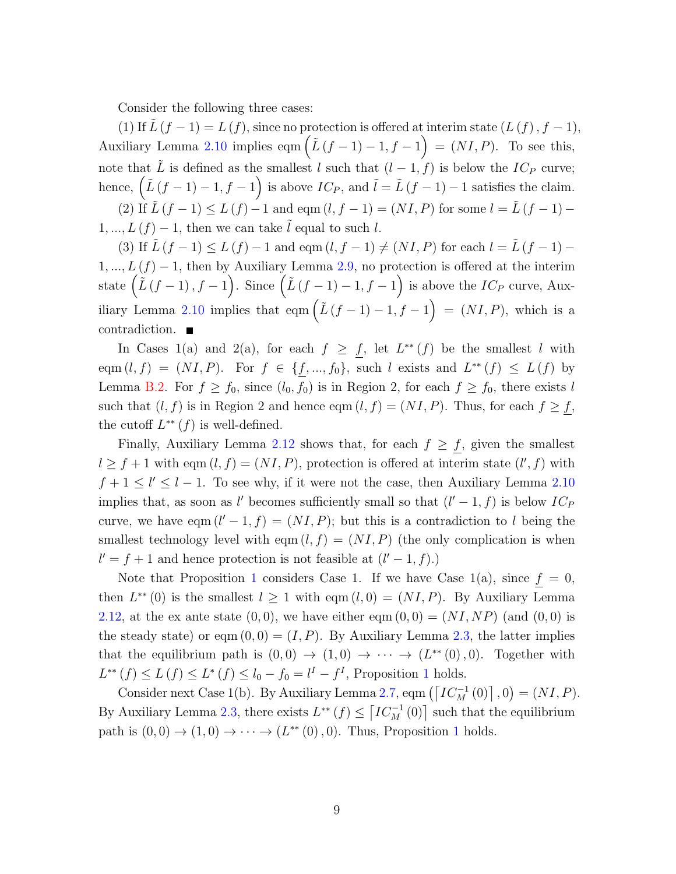Consider the following three cases:

(1) If  $\tilde{L}(f-1) = L(f)$ , since no protection is offered at interim state  $(L(f), f-1)$ , Auxiliary Lemma 2.10 implies eqm  $(\tilde{L}(f-1)-1, f-1) = (NI, P)$ . To see this, note that  $\tilde{L}$  is defined as the smallest l such that  $(l-1, f)$  is below the  $IC_P$  curve; hence,  $(\tilde{L}(f-1)-1, f-1)$  is above  $IC_P$ , and  $\tilde{l} = \tilde{L}(f-1)-1$  satisfies the claim. (2) If  $\tilde{L}(f - 1) \le L(f) - 1$  and eqm  $(l, f - 1) = (NI, P)$  for some  $l = \tilde{L}(f - 1) - 1$  $1, ..., L(f) - 1$ , then we can take  $\tilde{l}$  equal to such l.

(3) If  $\tilde{L}(f-1) \leq L(f) - 1$  and eqm  $(l, f-1) \neq (NI, P)$  for each  $l = \tilde{L}(f-1) 1, ..., L(f) - 1$ , then by Auxiliary Lemma 2.9, no protection is offered at the interim state  $(\tilde{L}(f-1), f-1)$ . Since  $(\tilde{L}(f-1)-1, f-1)$  is above the  $IC_P$  curve, Auxiliary Lemma 2.10 implies that eqm  $(\tilde{L}(f-1)-1, f-1) = (NI, P)$ , which is a contradiction.

In Cases 1(a) and 2(a), for each  $f \geq f$ , let  $L^{**}(f)$  be the smallest l with eqm  $(l, f) = (NI, P)$ . For  $f \in \{f, ..., f_0\}$ , such l exists and  $L^{**}(f) \le L(f)$  by Lemma [B.2.](#page-48-1) For  $f \ge f_0$ , since  $(l_0, f_0)$  is in Region 2, for each  $f \ge f_0$ , there exists l such that  $(l, f)$  is in Region 2 and hence eqm  $(l, f) = (NI, P)$ . Thus, for each  $f \ge f$ , the cutoff  $L^{**}(f)$  is well-defined.

Finally, Auxiliary Lemma 2.12 shows that, for each  $f \geq f$ , given the smallest  $l \ge f+1$  with eqm  $(l, f) = (NI, P)$ , protection is offered at interim state  $(l', f)$  with  $f + 1 \leq l' \leq l - 1$ . To see why, if it were not the case, then Auxiliary Lemma 2.10 implies that, as soon as l' becomes sufficiently small so that  $(l' - 1, f)$  is below  $IC_F$ curve, we have eqm  $(l'-1, f) = (NI, P)$ ; but this is a contradiction to l being the smallest technology level with eqm  $(l, f) = (NI, P)$  (the only complication is when  $l' = f + 1$  and hence protection is not feasible at  $(l' - 1, f)$ .

Note that Proposition [1](#page-16-4) considers Case 1. If we have Case  $1(a)$ , since  $f = 0$ , then  $L^{**}(0)$  is the smallest  $l \geq 1$  with eqm  $(l, 0) = (NI, P)$ . By Auxiliary Lemma 2.12, at the ex ante state  $(0, 0)$ , we have either eqm  $(0, 0) = (NI, NP)$  (and  $(0, 0)$ ) is the steady state) or eqm  $(0, 0) = (I, P)$ . By Auxiliary Lemma 2.3, the latter implies that the equilibrium path is  $(0,0) \rightarrow (1,0) \rightarrow \cdots \rightarrow (L^{**}(0),0)$ . Together with  $L^{**}(f) \le L(f) \le L^*(f) \le l_0 - f_0 = l^I - f^I$ , Proposition [1](#page-16-4) holds.

Consider next Case 1(b). By Auxiliary Lemma 2.7, eqm  $\left(\left\lceil IC_M^{-1}(0)\right\rceil, 0\right) = (NI, P)$ . By Auxiliary Lemma 2.3, there exists  $L^{**}(f) \leq [IC_M^{-1}(0)]$  such that the equilibrium path is  $(0,0) \rightarrow (1,0) \rightarrow \cdots \rightarrow (L^{**}(0),0)$  $(0,0) \rightarrow (1,0) \rightarrow \cdots \rightarrow (L^{**}(0),0)$  $(0,0) \rightarrow (1,0) \rightarrow \cdots \rightarrow (L^{**}(0),0)$ . Thus, Proposition 1 holds.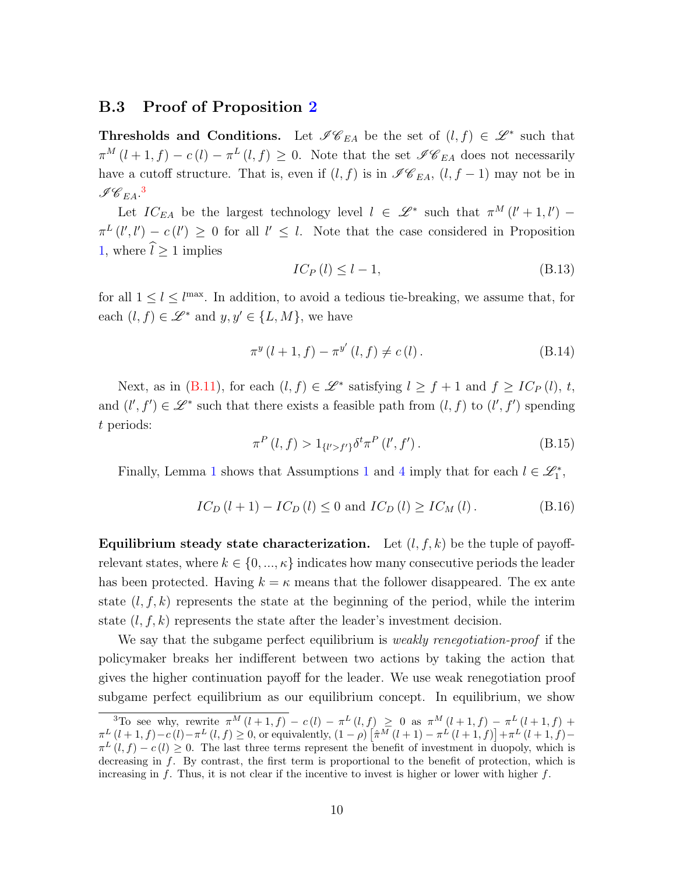#### B.3 Proof of Proposition [2](#page-25-1)

**Thresholds and Conditions.** Let  $\mathscr{I}\mathscr{C}_{EA}$  be the set of  $(l, f) \in \mathscr{L}^*$  such that  $\pi^M(l+1,f) - c(l) - \pi^L(l,f) \geq 0$ . Note that the set  $\mathscr{I} C_{EA}$  does not necessarily have a cutoff structure. That is, even if  $(l, f)$  is in  $\mathscr{I}\mathscr{C}_{EA}$ ,  $(l, f - 1)$  may not be in  $\mathscr{I}\hspace{-1pt}\mathscr{C}_{EA}.^3$  $\mathscr{I}\hspace{-1pt}\mathscr{C}_{EA}.^3$ 

Let  $IC_{EA}$  be the largest technology level  $l \in \mathcal{L}^*$  such that  $\pi^M(l'+1,l')$  –  $\pi^{L}(l',l') - c(l') \geq 0$  for all  $l' \leq l$ . Note that the case considered in Proposition [1,](#page-16-4) where  $\hat{l} \geq 1$  implies

<span id="page-50-1"></span>
$$
IC_P(l) \le l - 1,\tag{B.13}
$$

for all  $1 \leq l \leq l^{\max}$ . In addition, to avoid a tedious tie-breaking, we assume that, for each  $(l, f) \in \mathscr{L}^*$  and  $y, y' \in \{L, M\}$ , we have

$$
\pi^{y} (l+1, f) - \pi^{y'} (l, f) \neq c (l).
$$
 (B.14)

Next, as in [\(B.11\)](#page-45-0), for each  $(l, f) \in \mathcal{L}^*$  satisfying  $l \geq f + 1$  and  $f \geq IC_P(l), t$ , and  $(l', f') \in \mathcal{L}^*$  such that there exists a feasible path from  $(l, f)$  to  $(l', f')$  spending t periods:

$$
\pi^{P}(l,f) > 1_{\{l' > f'\}} \delta^{t} \pi^{P}(l',f'). \tag{B.15}
$$

Finally, Lemma [1](#page-6-2) shows that Assumptions 1 and [4](#page-10-1) imply that for each  $l \in \mathcal{L}_1^*$ ,

$$
IC_D(l+1) - IC_D(l) \le 0 \text{ and } IC_D(l) \ge IC_M(l). \tag{B.16}
$$

Equilibrium steady state characterization. Let  $(l, f, k)$  be the tuple of payoffrelevant states, where  $k \in \{0, ..., \kappa\}$  indicates how many consecutive periods the leader has been protected. Having  $k = \kappa$  means that the follower disappeared. The ex ante state  $(l, f, k)$  represents the state at the beginning of the period, while the interim state  $(l, f, k)$  represents the state after the leader's investment decision.

We say that the subgame perfect equilibrium is *weakly renegotiation-proof* if the policymaker breaks her indifferent between two actions by taking the action that gives the higher continuation payoff for the leader. We use weak renegotiation proof subgame perfect equilibrium as our equilibrium concept. In equilibrium, we show

<span id="page-50-0"></span><sup>&</sup>lt;sup>3</sup>To see why, rewrite  $\pi^{M}(l+1,f) - c(l) - \pi^{L}(l,f) \ge 0$  as  $\pi^{M}(l+1,f) - \pi^{L}(l+1,f) + c(l)$  $\pi^{L} (l+1, f) - c(l) - \pi^{L} (l, f) \geq 0$ , or equivalently,  $(1 - \rho) \left[ \hat{\pi}^{M} (l+1) - \pi^{L} (l+1, f) \right] + \pi^{L} (l+1, f) - c(l)$  $\pi^{L}(l, f) - c(l) \geq 0$ . The last three terms represent the benefit of investment in duopoly, which is decreasing in f. By contrast, the first term is proportional to the benefit of protection, which is increasing in f. Thus, it is not clear if the incentive to invest is higher or lower with higher  $f$ .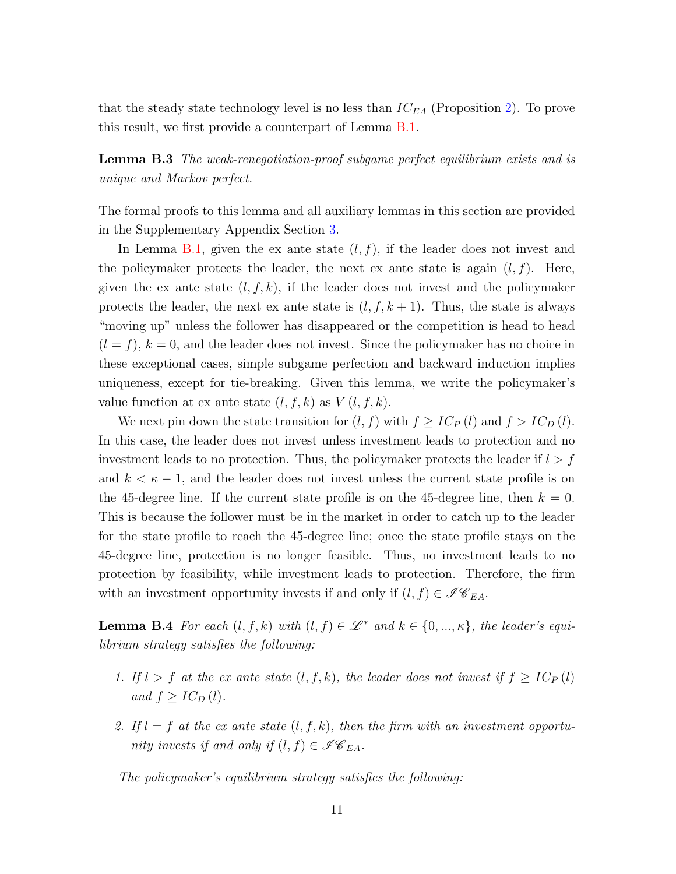that the steady state technology level is no less than  $IC_{EA}$  (Proposition [2\)](#page-25-1). To prove this result, we first provide a counterpart of Lemma [B.1.](#page-46-0)

**Lemma B.3** The weak-renegotiation-proof subgame perfect equilibrium exists and is unique and Markov perfect.

The formal proofs to this lemma and all auxiliary lemmas in this section are provided in the Supplementary Appendix Section [3.](#page-12-2)

In Lemma [B.1,](#page-46-0) given the ex ante state  $(l, f)$ , if the leader does not invest and the policymaker protects the leader, the next ex ante state is again  $(l, f)$ . Here, given the ex ante state  $(l, f, k)$ , if the leader does not invest and the policymaker protects the leader, the next ex ante state is  $(l, f, k + 1)$ . Thus, the state is always "moving up" unless the follower has disappeared or the competition is head to head  $(l = f), k = 0$ , and the leader does not invest. Since the policymaker has no choice in these exceptional cases, simple subgame perfection and backward induction implies uniqueness, except for tie-breaking. Given this lemma, we write the policymaker's value function at ex ante state  $(l, f, k)$  as  $V(l, f, k)$ .

We next pin down the state transition for  $(l, f)$  with  $f \geq IC_P(l)$  and  $f > IC_D(l)$ . In this case, the leader does not invest unless investment leads to protection and no investment leads to no protection. Thus, the policymaker protects the leader if  $l > f$ and  $k < \kappa - 1$ , and the leader does not invest unless the current state profile is on the 45-degree line. If the current state profile is on the 45-degree line, then  $k = 0$ . This is because the follower must be in the market in order to catch up to the leader for the state profile to reach the 45-degree line; once the state profile stays on the 45-degree line, protection is no longer feasible. Thus, no investment leads to no protection by feasibility, while investment leads to protection. Therefore, the firm with an investment opportunity invests if and only if  $(l, f) \in \mathscr{I}C_{EA}$ .

<span id="page-51-0"></span>**Lemma B.4** For each  $(l, f, k)$  with  $(l, f) \in \mathcal{L}^*$  and  $k \in \{0, ..., \kappa\}$ , the leader's equilibrium strategy satisfies the following:

- 1. If  $l > f$  at the ex ante state  $(l, f, k)$ , the leader does not invest if  $f \geq IC_P(l)$ and  $f \geq IC_D(l)$ .
- 2. If  $l = f$  at the ex ante state  $(l, f, k)$ , then the firm with an investment opportunity invests if and only if  $(l, f) \in \mathscr{I}C_{EA}$ .

The policymaker's equilibrium strategy satisfies the following: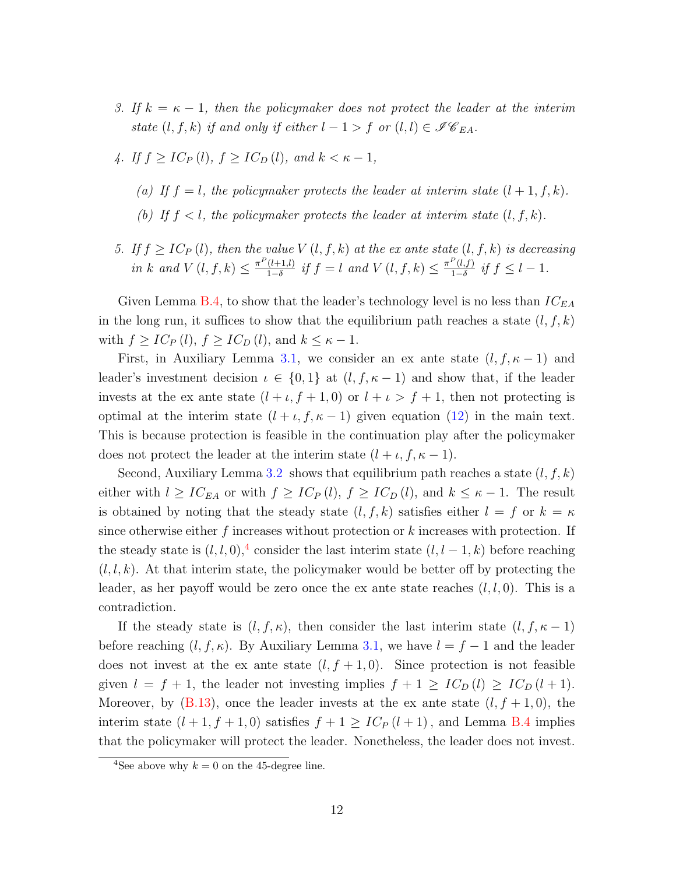- 3. If  $k = \kappa 1$ , then the policymaker does not protect the leader at the interim state  $(l, f, k)$  if and only if either  $l - 1 > f$  or  $(l, l) \in \mathscr{I}C_{EA}$ .
- 4. If  $f \geq IC_P(l)$ ,  $f \geq IC_D(l)$ , and  $k < \kappa 1$ ,
	- (a) If  $f = l$ , the policymaker protects the leader at interim state  $(l + 1, f, k)$ .
	- (b) If  $f < l$ , the policymaker protects the leader at interim state  $(l, f, k)$ .
- 5. If  $f \geq IC_P(l)$ , then the value  $V(l, f, k)$  at the ex ante state  $(l, f, k)$  is decreasing in k and  $V(l, f, k) \leq \frac{\pi^P(l+1, l)}{1-\delta}$  $\frac{(l+1,l)}{1-\delta}$  if  $f = l$  and  $V(l, f, k) \leq \frac{\pi^P(l, f)}{1-\delta}$  $\frac{1}{1-\delta}$  if  $f \leq l-1$ .

Given Lemma [B.4,](#page-51-0) to show that the leader's technology level is no less than  $IC_{EA}$ in the long run, it suffices to show that the equilibrium path reaches a state  $(l, f, k)$ with  $f \geq IC_P(l)$ ,  $f \geq IC_D(l)$ , and  $k \leq \kappa - 1$ .

First, in Auxiliary Lemma 3.1, we consider an ex ante state  $(l, f, \kappa - 1)$  and leader's investment decision  $\iota \in \{0,1\}$  at  $(l, f, \kappa - 1)$  and show that, if the leader invests at the ex ante state  $(l + \iota, f + 1, 0)$  or  $l + \iota > f + 1$ , then not protecting is optimal at the interim state  $(l + \iota, f, \kappa - 1)$  given equation [\(12\)](#page-23-1) in the main text. This is because protection is feasible in the continuation play after the policymaker does not protect the leader at the interim state  $(l + \iota, f, \kappa - 1)$ .

Second, Auxiliary Lemma 3.2 shows that equilibrium path reaches a state  $(l, f, k)$ either with  $l \geq IC_{EA}$  or with  $f \geq IC_P(l)$ ,  $f \geq IC_D(l)$ , and  $k \leq \kappa - 1$ . The result is obtained by noting that the steady state  $(l, f, k)$  satisfies either  $l = f$  or  $k = \kappa$ since otherwise either  $f$  increases without protection or  $k$  increases with protection. If the steady state is  $(l, l, 0)$ ,<sup>[4](#page-52-0)</sup> consider the last interim state  $(l, l-1, k)$  before reaching  $(l, l, k)$ . At that interim state, the policymaker would be better off by protecting the leader, as her payoff would be zero once the ex ante state reaches  $(l, l, 0)$ . This is a contradiction.

If the steady state is  $(l, f, \kappa)$ , then consider the last interim state  $(l, f, \kappa - 1)$ before reaching  $(l, f, \kappa)$ . By Auxiliary Lemma 3.1, we have  $l = f - 1$  and the leader does not invest at the ex ante state  $(l, f + 1, 0)$ . Since protection is not feasible given  $l = f + 1$ , the leader not investing implies  $f + 1 \geq IC_D(l) \geq IC_D(l+1)$ . Moreover, by  $(B.13)$ , once the leader invests at the ex ante state  $(l, f + 1, 0)$ , the interim state  $(l + 1, f + 1, 0)$  satisfies  $f + 1 \geq IC_P(l + 1)$ , and Lemma [B.4](#page-51-0) implies that the policymaker will protect the leader. Nonetheless, the leader does not invest.

<span id="page-52-0"></span><sup>&</sup>lt;sup>4</sup>See above why  $k = 0$  on the 45-degree line.